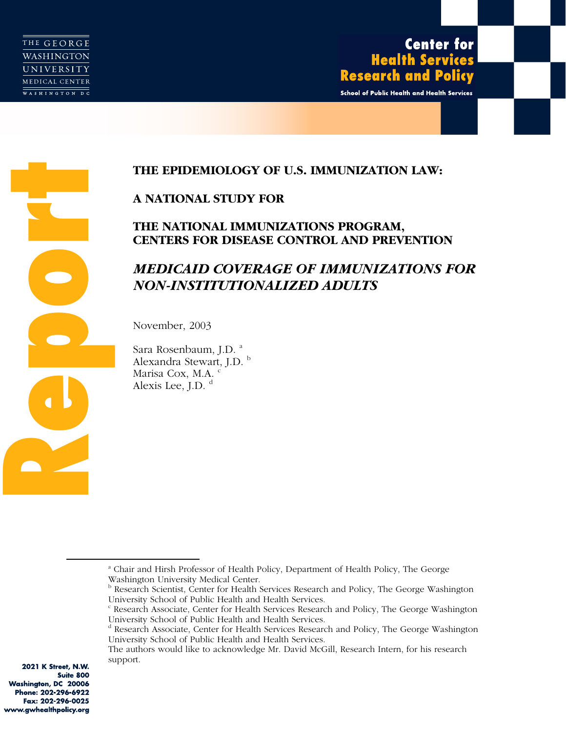School of Public Health and Health Services

# **A NATIONAL STUDY FOR**

# **THE NATIONAL IMMUNIZATIONS PROGRAM, CENTERS FOR DISEASE CONTROL AND PREVENTION**

# **REPORTED ANTIONAL STUDY FOR**<br> **REPORTIONAL IMMUNIZATIONS PROGRAM,**<br> **REPORTERS FOR DISEASE CONTROL AND PREVENTIONS**<br> **REPORTERS FOR DISEASE CONTROL AND PREVENTION**<br> **MEDICAID COVERAGE OF IMMUNIZATIONS**<br>
NON-INSTITUTIONALI *MEDICAID COVERAGE OF IMMUNIZATIONS FOR NON-INSTITUTIONALIZED ADULTS*

November, 2003

Sara Rosenbaum, J.D.<sup>a</sup> Alexandra Stewart, J.D.<sup>b</sup> Marisa Cox, M.A.<sup>c</sup> Alexis Lee, J.D.<sup>d</sup>

2021 K Street, N.W. Suite 800 Washington, DC 20006 Phone: 202-296-6922 Fax: 202-296-0025 www.gwhealthpolicy.org

<sup>&</sup>lt;u>a dia amin'ny fivondronan-kaominin'i A</u> Chair and Hirsh Professor of Health Policy, Department of Health Policy, The George Washington University Medical Center.

**b** Research Scientist, Center for Health Services Research and Policy, The George Washington University School of Public Health and Health Services.

<sup>&</sup>lt;sup>c</sup> Research Associate, Center for Health Services Research and Policy, The George Washington University School of Public Health and Health Services.

<sup>&</sup>lt;sup>d</sup> Research Associate, Center for Health Services Research and Policy, The George Washington University School of Public Health and Health Services.

The authors would like to acknowledge Mr. David McGill, Research Intern, for his research support.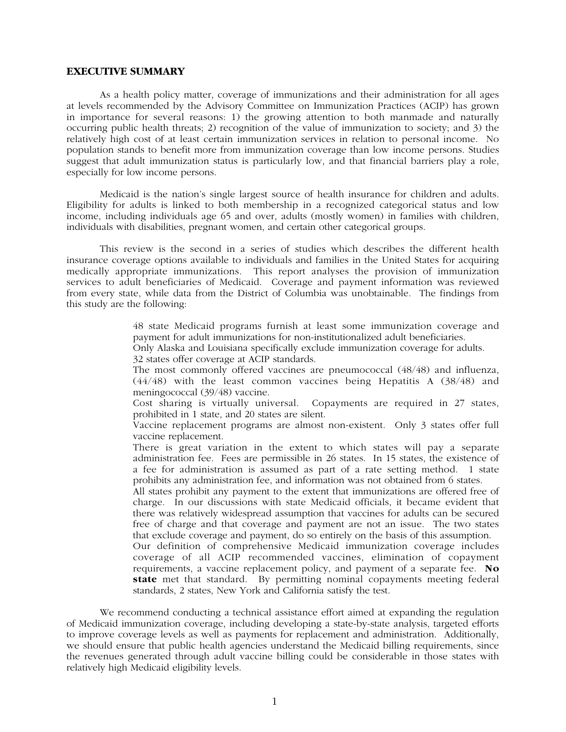## **EXECUTIVE SUMMARY**

As a health policy matter, coverage of immunizations and their administration for all ages at levels recommended by the Advisory Committee on Immunization Practices (ACIP) has grown in importance for several reasons: 1) the growing attention to both manmade and naturally occurring public health threats; 2) recognition of the value of immunization to society; and 3) the relatively high cost of at least certain immunization services in relation to personal income. No population stands to benefit more from immunization coverage than low income persons. Studies suggest that adult immunization status is particularly low, and that financial barriers play a role, especially for low income persons.

Medicaid is the nation's single largest source of health insurance for children and adults. Eligibility for adults is linked to both membership in a recognized categorical status and low income, including individuals age 65 and over, adults (mostly women) in families with children, individuals with disabilities, pregnant women, and certain other categorical groups.

This review is the second in a series of studies which describes the different health insurance coverage options available to individuals and families in the United States for acquiring medically appropriate immunizations. This report analyses the provision of immunization services to adult beneficiaries of Medicaid. Coverage and payment information was reviewed from every state, while data from the District of Columbia was unobtainable. The findings from this study are the following:

> 48 state Medicaid programs furnish at least some immunization coverage and payment for adult immunizations for non-institutionalized adult beneficiaries.

Only Alaska and Louisiana specifically exclude immunization coverage for adults. 32 states offer coverage at ACIP standards.

The most commonly offered vaccines are pneumococcal (48/48) and influenza, (44/48) with the least common vaccines being Hepatitis A (38/48) and meningococcal (39/48) vaccine.

Cost sharing is virtually universal. Copayments are required in 27 states, prohibited in 1 state, and 20 states are silent.

Vaccine replacement programs are almost non-existent. Only 3 states offer full vaccine replacement.

There is great variation in the extent to which states will pay a separate administration fee. Fees are permissible in 26 states. In 15 states, the existence of a fee for administration is assumed as part of a rate setting method. 1 state prohibits any administration fee, and information was not obtained from 6 states.

All states prohibit any payment to the extent that immunizations are offered free of charge. In our discussions with state Medicaid officials, it became evident that there was relatively widespread assumption that vaccines for adults can be secured free of charge and that coverage and payment are not an issue. The two states that exclude coverage and payment, do so entirely on the basis of this assumption.

Our definition of comprehensive Medicaid immunization coverage includes coverage of all ACIP recommended vaccines, elimination of copayment requirements, a vaccine replacement policy, and payment of a separate fee. **No state** met that standard. By permitting nominal copayments meeting federal standards, 2 states, New York and California satisfy the test.

We recommend conducting a technical assistance effort aimed at expanding the regulation of Medicaid immunization coverage, including developing a state-by-state analysis, targeted efforts to improve coverage levels as well as payments for replacement and administration. Additionally, we should ensure that public health agencies understand the Medicaid billing requirements, since the revenues generated through adult vaccine billing could be considerable in those states with relatively high Medicaid eligibility levels.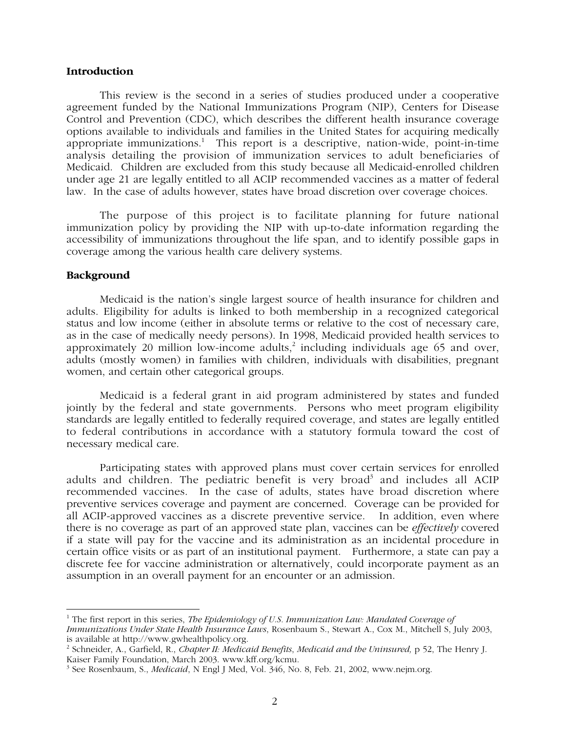# **Introduction**

This review is the second in a series of studies produced under a cooperative agreement funded by the National Immunizations Program (NIP), Centers for Disease Control and Prevention (CDC), which describes the different health insurance coverage options available to individuals and families in the United States for acquiring medically appropriate immunizations.<sup>1</sup> This report is a descriptive, nation-wide, point-in-time analysis detailing the provision of immunization services to adult beneficiaries of Medicaid. Children are excluded from this study because all Medicaid-enrolled children under age 21 are legally entitled to all ACIP recommended vaccines as a matter of federal law. In the case of adults however, states have broad discretion over coverage choices.

The purpose of this project is to facilitate planning for future national immunization policy by providing the NIP with up-to-date information regarding the accessibility of immunizations throughout the life span, and to identify possible gaps in coverage among the various health care delivery systems.

# **Background**

Medicaid is the nation's single largest source of health insurance for children and adults. Eligibility for adults is linked to both membership in a recognized categorical status and low income (either in absolute terms or relative to the cost of necessary care, as in the case of medically needy persons). In 1998, Medicaid provided health services to approximately 20 million low-income adults, $^2$  including individuals age 65 and over, adults (mostly women) in families with children, individuals with disabilities, pregnant women, and certain other categorical groups.

Medicaid is a federal grant in aid program administered by states and funded jointly by the federal and state governments. Persons who meet program eligibility standards are legally entitled to federally required coverage, and states are legally entitled to federal contributions in accordance with a statutory formula toward the cost of necessary medical care.

Participating states with approved plans must cover certain services for enrolled adults and children. The pediatric benefit is very broad<sup>3</sup> and includes all ACIP recommended vaccines. In the case of adults, states have broad discretion where preventive services coverage and payment are concerned. Coverage can be provided for all ACIP-approved vaccines as a discrete preventive service. In addition, even where there is no coverage as part of an approved state plan, vaccines can be *effectively* covered if a state will pay for the vaccine and its administration as an incidental procedure in certain office visits or as part of an institutional payment. Furthermore, a state can pay a discrete fee for vaccine administration or alternatively, could incorporate payment as an assumption in an overall payment for an encounter or an admission.

 <sup>1</sup> The first report in this series, *The Epidemiology of U.S. Immunization Law: Mandated Coverage of Immunizations Under State Health Insurance Laws*, Rosenbaum S., Stewart A., Cox M., Mitchell S, July 2003, is available at http://www.gwhealthpolicy.org.

<sup>2</sup> Schneider, A., Garfield, R., *Chapter II: Medicaid Benefits*, *Medicaid and the Uninsured,* p 52, The Henry J. Kaiser Family Foundation, March 2003. www.kff.org/kcmu.

<sup>3</sup> See Rosenbaum, S., *Medicaid*, N Engl J Med, Vol. 346, No. 8, Feb. 21, 2002, www.nejm.org.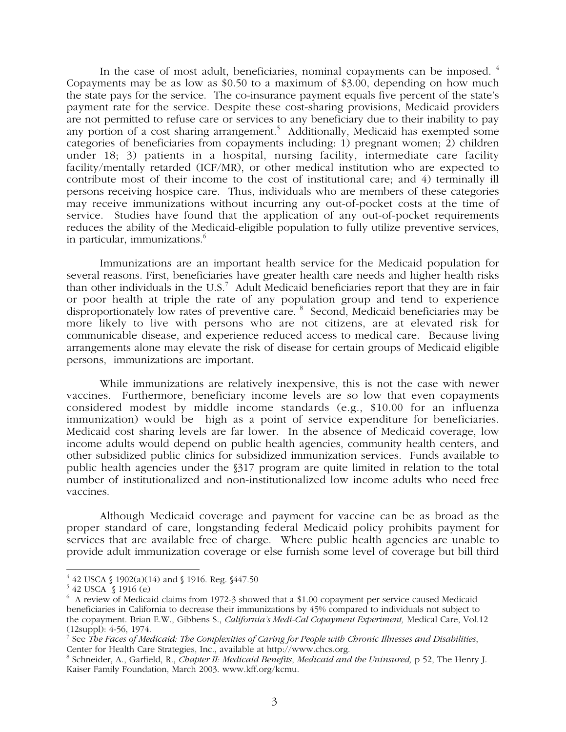In the case of most adult, beneficiaries, nominal copayments can be imposed. <sup>4</sup> Copayments may be as low as \$0.50 to a maximum of \$3.00, depending on how much the state pays for the service. The co-insurance payment equals five percent of the state's payment rate for the service. Despite these cost-sharing provisions, Medicaid providers are not permitted to refuse care or services to any beneficiary due to their inability to pay any portion of a cost sharing arrangement.<sup>5</sup> Additionally, Medicaid has exempted some categories of beneficiaries from copayments including: 1) pregnant women; 2) children under 18; 3) patients in a hospital, nursing facility, intermediate care facility facility/mentally retarded (ICF/MR), or other medical institution who are expected to contribute most of their income to the cost of institutional care; and 4) terminally ill persons receiving hospice care. Thus, individuals who are members of these categories may receive immunizations without incurring any out-of-pocket costs at the time of service. Studies have found that the application of any out-of-pocket requirements reduces the ability of the Medicaid-eligible population to fully utilize preventive services, in particular, immunizations.<sup>6</sup>

Immunizations are an important health service for the Medicaid population for several reasons. First, beneficiaries have greater health care needs and higher health risks than other individuals in the U.S.<sup>7</sup> Adult Medicaid beneficiaries report that they are in fair or poor health at triple the rate of any population group and tend to experience disproportionately low rates of preventive care. <sup>8</sup> Second, Medicaid beneficiaries may be more likely to live with persons who are not citizens, are at elevated risk for communicable disease, and experience reduced access to medical care. Because living arrangements alone may elevate the risk of disease for certain groups of Medicaid eligible persons, immunizations are important.

While immunizations are relatively inexpensive, this is not the case with newer vaccines. Furthermore, beneficiary income levels are so low that even copayments considered modest by middle income standards (e.g., \$10.00 for an influenza immunization) would be high as a point of service expenditure for beneficiaries. Medicaid cost sharing levels are far lower. In the absence of Medicaid coverage, low income adults would depend on public health agencies, community health centers, and other subsidized public clinics for subsidized immunization services. Funds available to public health agencies under the §317 program are quite limited in relation to the total number of institutionalized and non-institutionalized low income adults who need free vaccines.

Although Medicaid coverage and payment for vaccine can be as broad as the proper standard of care, longstanding federal Medicaid policy prohibits payment for services that are available free of charge. Where public health agencies are unable to provide adult immunization coverage or else furnish some level of coverage but bill third

 <sup>4</sup> 42 USCA § 1902(a)(14) and § 1916. Reg. §447.50

<sup>5</sup> 42 USCA § 1916 (e)

 $6\,$  A review of Medicaid claims from 1972-3 showed that a \$1.00 copayment per service caused Medicaid beneficiaries in California to decrease their immunizations by 45% compared to individuals not subject to the copayment. Brian E.W., Gibbens S., *California's Medi-Cal Copayment Experiment,* Medical Care, Vol.12 (12suppl): 4-56, 1974.

<sup>7</sup> See *The Faces of Medicaid: The Complexities of Caring for People with Chronic Illnesses and Disabilities*, Center for Health Care Strategies, Inc., available at http://www.chcs.org.

<sup>8</sup> Schneider, A., Garfield, R., *Chapter II: Medicaid Benefits*, *Medicaid and the Uninsured,* p 52, The Henry J. Kaiser Family Foundation, March 2003. www.kff.org/kcmu.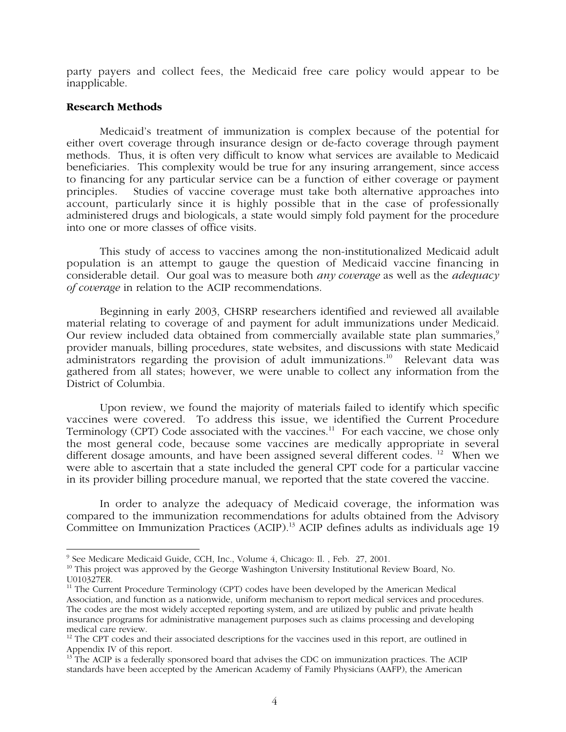party payers and collect fees, the Medicaid free care policy would appear to be inapplicable.

# **Research Methods**

Medicaid's treatment of immunization is complex because of the potential for either overt coverage through insurance design or de-facto coverage through payment methods. Thus, it is often very difficult to know what services are available to Medicaid beneficiaries. This complexity would be true for any insuring arrangement, since access to financing for any particular service can be a function of either coverage or payment principles. Studies of vaccine coverage must take both alternative approaches into account, particularly since it is highly possible that in the case of professionally administered drugs and biologicals, a state would simply fold payment for the procedure into one or more classes of office visits.

This study of access to vaccines among the non-institutionalized Medicaid adult population is an attempt to gauge the question of Medicaid vaccine financing in considerable detail. Our goal was to measure both *any coverage* as well as the *adequacy of coverage* in relation to the ACIP recommendations.

Beginning in early 2003, CHSRP researchers identified and reviewed all available material relating to coverage of and payment for adult immunizations under Medicaid. Our review included data obtained from commercially available state plan summaries,<sup>9</sup> provider manuals, billing procedures, state websites, and discussions with state Medicaid administrators regarding the provision of adult immunizations.<sup>10</sup> Relevant data was gathered from all states; however, we were unable to collect any information from the District of Columbia.

Upon review, we found the majority of materials failed to identify which specific vaccines were covered. To address this issue, we identified the Current Procedure Terminology (CPT) Code associated with the vaccines.<sup>11</sup> For each vaccine, we chose only the most general code, because some vaccines are medically appropriate in several different dosage amounts, and have been assigned several different codes.<sup>12</sup> When we were able to ascertain that a state included the general CPT code for a particular vaccine in its provider billing procedure manual, we reported that the state covered the vaccine.

In order to analyze the adequacy of Medicaid coverage, the information was compared to the immunization recommendations for adults obtained from the Advisory Committee on Immunization Practices (ACIP).<sup>13</sup> ACIP defines adults as individuals age 19

 <sup>9</sup> See Medicare Medicaid Guide, CCH, Inc., Volume 4, Chicago: Il. , Feb. 27, 2001.

<sup>&</sup>lt;sup>10</sup> This project was approved by the George Washington University Institutional Review Board, No. U010327ER.

 $11$  The Current Procedure Terminology (CPT) codes have been developed by the American Medical Association, and function as a nationwide, uniform mechanism to report medical services and procedures. The codes are the most widely accepted reporting system, and are utilized by public and private health insurance programs for administrative management purposes such as claims processing and developing medical care review.

<sup>&</sup>lt;sup>12</sup> The CPT codes and their associated descriptions for the vaccines used in this report, are outlined in Appendix IV of this report.

<sup>&</sup>lt;sup>13</sup> The ACIP is a federally sponsored board that advises the CDC on immunization practices. The ACIP standards have been accepted by the American Academy of Family Physicians (AAFP), the American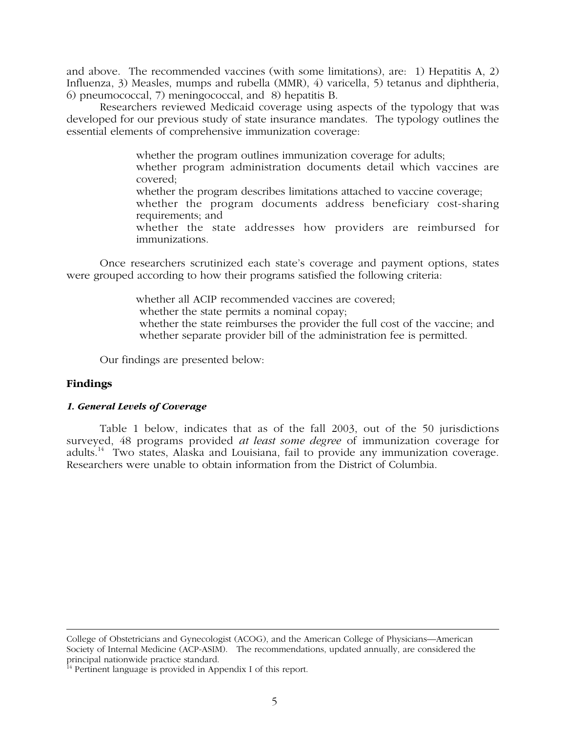and above. The recommended vaccines (with some limitations), are: 1) Hepatitis A, 2) Influenza, 3) Measles, mumps and rubella (MMR), 4) varicella, 5) tetanus and diphtheria, 6) pneumococcal, 7) meningococcal, and 8) hepatitis B.

Researchers reviewed Medicaid coverage using aspects of the typology that was developed for our previous study of state insurance mandates. The typology outlines the essential elements of comprehensive immunization coverage:

whether the program outlines immunization coverage for adults;

whether program administration documents detail which vaccines are covered;

whether the program describes limitations attached to vaccine coverage;

whether the program documents address beneficiary cost-sharing requirements; and

whether the state addresses how providers are reimbursed for immunizations.

Once researchers scrutinized each state's coverage and payment options, states were grouped according to how their programs satisfied the following criteria:

> whether all ACIP recommended vaccines are covered; whether the state permits a nominal copay; whether the state reimburses the provider the full cost of the vaccine; and whether separate provider bill of the administration fee is permitted.

Our findings are presented below:

# **Findings**

# *1. General Levels of Coverage*

Table 1 below, indicates that as of the fall 2003, out of the 50 jurisdictions surveyed, 48 programs provided *at least some degree* of immunization coverage for adults.<sup>14</sup> Two states, Alaska and Louisiana, fail to provide any immunization coverage. Researchers were unable to obtain information from the District of Columbia.

College of Obstetricians and Gynecologist (ACOG), and the American College of Physicians—American Society of Internal Medicine (ACP-ASIM). The recommendations, updated annually, are considered the principal nationwide practice standard.

 $\frac{1}{4}$  Pertinent language is provided in Appendix I of this report.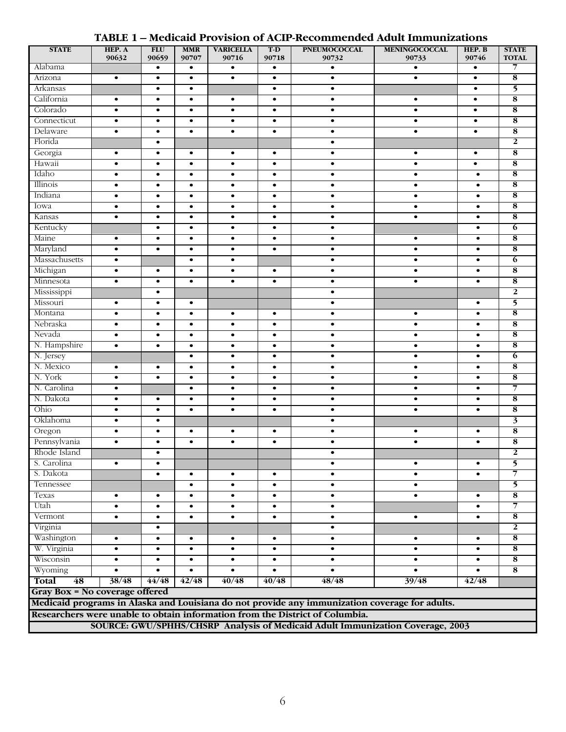# **TABLE 1 – Medicaid Provision of ACIP-Recommended Adult Immunizations**

| <b>STATE</b>                                                                   | HEP. A<br>90632                                                            | <b>FLU</b><br>90659 | <b>MMR</b><br>90707 | <b>VARICELLA</b><br>90716 | $T-D$<br>90718 | <b>PNEUMOCOCCAL</b><br>90732                                                                   | <b>MENINGOCOCCAL</b><br>90733 | HEP. B<br>90746 | <b>STATE</b><br><b>TOTAL</b> |
|--------------------------------------------------------------------------------|----------------------------------------------------------------------------|---------------------|---------------------|---------------------------|----------------|------------------------------------------------------------------------------------------------|-------------------------------|-----------------|------------------------------|
| Alabama                                                                        |                                                                            | $\bullet$           | $\bullet$           | $\bullet$                 | $\bullet$      | $\bullet$                                                                                      | $\bullet$                     | $\bullet$       | 7                            |
| Arizona                                                                        | $\bullet$                                                                  | $\bullet$           | $\bullet$           | $\bullet$                 | $\bullet$      | $\bullet$                                                                                      | $\bullet$                     | $\bullet$       | $\overline{\mathbf{8}}$      |
| Arkansas                                                                       |                                                                            | $\bullet$           | $\bullet$           |                           | $\bullet$      | $\bullet$                                                                                      |                               | $\bullet$       | 5                            |
| California                                                                     | $\bullet$                                                                  | $\bullet$           | $\bullet$           | $\bullet$                 | $\bullet$      | $\bullet$                                                                                      | $\bullet$                     | $\bullet$       | 8                            |
| Colorado                                                                       | $\bullet$                                                                  | $\bullet$           | $\bullet$           | $\bullet$                 | $\bullet$      | $\bullet$                                                                                      | $\bullet$                     | $\bullet$       | $\overline{\mathbf{8}}$      |
| Connecticut                                                                    | $\bullet$                                                                  | $\bullet$           | $\bullet$           | $\bullet$                 | $\bullet$      | $\bullet$                                                                                      | $\bullet$                     | $\bullet$       | $\overline{\mathbf{8}}$      |
| Delaware                                                                       | $\bullet$                                                                  | $\bullet$           | $\bullet$           | $\bullet$                 | $\bullet$      | $\bullet$                                                                                      | $\bullet$                     | $\bullet$       | $\overline{\mathbf{8}}$      |
| Florida                                                                        |                                                                            | $\bullet$           |                     |                           |                | $\bullet$                                                                                      |                               |                 | $\overline{2}$               |
| Georgia                                                                        | $\bullet$                                                                  | $\bullet$           | $\bullet$           | $\bullet$                 | $\bullet$      | $\bullet$                                                                                      | $\bullet$                     | $\bullet$       | 8                            |
| Hawaii                                                                         | $\bullet$                                                                  | $\bullet$           | $\bullet$           | $\bullet$                 | $\bullet$      | $\bullet$                                                                                      | $\bullet$                     | $\bullet$       | $\overline{\mathbf{8}}$      |
| Idaho                                                                          | $\bullet$                                                                  | $\bullet$           | $\bullet$           | $\bullet$                 | $\bullet$      | $\bullet$                                                                                      | $\bullet$                     | $\bullet$       | $\overline{\mathbf{8}}$      |
| Illinois                                                                       | $\bullet$                                                                  | $\bullet$           | $\bullet$           | $\bullet$                 | $\bullet$      | $\bullet$                                                                                      | $\bullet$                     | $\bullet$       | $\overline{\mathbf{8}}$      |
| Indiana                                                                        | $\bullet$                                                                  | $\bullet$           | $\bullet$           | $\bullet$                 | $\bullet$      | $\bullet$                                                                                      | $\bullet$                     | $\bullet$       | $\overline{\mathbf{8}}$      |
| Iowa                                                                           | $\bullet$                                                                  | $\bullet$           | $\bullet$           | $\bullet$                 | $\bullet$      | $\bullet$                                                                                      | $\bullet$                     | $\bullet$       | 8                            |
| Kansas                                                                         | $\bullet$                                                                  | $\bullet$           | $\bullet$           | $\bullet$                 | $\bullet$      | $\bullet$                                                                                      | $\bullet$                     | $\bullet$       | 8                            |
| Kentucky                                                                       |                                                                            | $\bullet$           | $\bullet$           | $\bullet$                 | $\bullet$      | $\bullet$                                                                                      |                               | $\bullet$       | $\overline{6}$               |
| Maine                                                                          | $\bullet$                                                                  | $\bullet$           | $\bullet$           | $\bullet$                 | $\bullet$      | $\bullet$                                                                                      | $\bullet$                     | $\bullet$       | $\overline{\mathbf{8}}$      |
| Maryland                                                                       | $\bullet$                                                                  | $\bullet$           | $\bullet$           | $\bullet$                 | $\bullet$      | $\bullet$                                                                                      | $\bullet$                     | $\bullet$       | $\overline{\mathbf{8}}$      |
| Massachusetts                                                                  | $\bullet$                                                                  |                     | $\bullet$           | ٠                         |                | $\bullet$                                                                                      | $\bullet$                     | $\bullet$       | $\overline{6}$               |
| Michigan                                                                       | $\bullet$                                                                  | $\bullet$           | $\bullet$           | $\bullet$                 | $\bullet$      | $\bullet$                                                                                      | $\bullet$                     | $\bullet$       | $\overline{\mathbf{8}}$      |
| Minnesota                                                                      | $\bullet$                                                                  | $\bullet$           | $\bullet$           | $\bullet$                 | $\bullet$      | $\bullet$                                                                                      | $\bullet$                     | $\bullet$       | $\overline{\mathbf{8}}$      |
| Mississippi                                                                    |                                                                            | $\bullet$           |                     |                           |                | $\bullet$                                                                                      |                               |                 | $\overline{2}$               |
| Missouri                                                                       | $\bullet$                                                                  | $\bullet$           | $\bullet$           |                           |                | $\bullet$                                                                                      |                               | $\bullet$       | 5                            |
| Montana                                                                        | $\bullet$                                                                  | $\bullet$           | $\bullet$           | $\bullet$                 | $\bullet$      | $\bullet$                                                                                      | $\bullet$                     | $\bullet$       | $\overline{\mathbf{8}}$      |
| Nebraska                                                                       | $\bullet$                                                                  | $\bullet$           | $\bullet$           | $\bullet$                 | $\bullet$      | $\bullet$                                                                                      | $\bullet$                     | $\bullet$       | $\overline{\mathbf{8}}$      |
| Nevada                                                                         | $\bullet$                                                                  | $\bullet$           | $\bullet$           | $\bullet$                 | $\bullet$      | $\bullet$                                                                                      | $\bullet$                     | $\bullet$       | 8                            |
| N. Hampshire                                                                   | $\bullet$                                                                  | $\bullet$           | $\bullet$           | $\bullet$                 | $\bullet$      | $\bullet$                                                                                      | $\bullet$                     | $\bullet$       | $\overline{\mathbf{8}}$      |
| N. Jersey                                                                      |                                                                            |                     | $\bullet$           | $\bullet$                 | $\bullet$      | $\bullet$                                                                                      | $\bullet$                     | $\bullet$       | $\overline{6}$               |
| N. Mexico                                                                      | $\bullet$                                                                  | $\bullet$           | $\bullet$           | $\bullet$                 | $\bullet$      | $\bullet$                                                                                      | $\bullet$                     | $\bullet$       | $\overline{\mathbf{8}}$      |
| N. York                                                                        | $\bullet$                                                                  | $\bullet$           | $\bullet$           | $\bullet$                 | $\bullet$      | $\bullet$                                                                                      | $\bullet$                     | $\bullet$       | $\overline{\mathbf{8}}$      |
| N. Carolina                                                                    | $\bullet$                                                                  |                     | $\bullet$           | $\bullet$                 | $\bullet$      | $\bullet$                                                                                      | $\bullet$                     | $\bullet$       | 7                            |
| N. Dakota                                                                      | $\bullet$                                                                  | $\bullet$           | $\bullet$           | $\bullet$                 | $\bullet$      | $\bullet$                                                                                      | $\bullet$                     | $\bullet$       | $\overline{\mathbf{8}}$      |
| Ohio                                                                           | $\bullet$                                                                  | $\bullet$           | $\bullet$           | $\bullet$                 | $\bullet$      | $\bullet$                                                                                      | $\bullet$                     | $\bullet$       | 8                            |
| Oklahoma                                                                       | $\bullet$                                                                  | $\bullet$           |                     |                           |                | $\bullet$                                                                                      |                               |                 | $\overline{\mathbf{3}}$      |
| Oregon                                                                         | $\bullet$                                                                  | $\bullet$           | $\bullet$           | $\bullet$                 | $\bullet$      | $\bullet$                                                                                      | $\bullet$                     | $\bullet$       | $\overline{\mathbf{8}}$      |
| Pennsylvania                                                                   | $\bullet$                                                                  | $\bullet$           | $\bullet$           | $\bullet$                 | $\bullet$      | $\bullet$                                                                                      | $\bullet$                     |                 | 8                            |
| Rhode Island                                                                   |                                                                            | $\bullet$           |                     |                           |                | $\bullet$                                                                                      |                               |                 | $\overline{2}$               |
| S. Carolina                                                                    | $\bullet$                                                                  | ٠                   |                     |                           |                | $\bullet$                                                                                      | $\bullet$                     | $\bullet$       | 5                            |
| S. Dakota                                                                      |                                                                            | $\bullet$           | $\bullet$           | $\bullet$                 | $\bullet$      | $\bullet$                                                                                      | $\bullet$                     | $\bullet$       | 7                            |
| Tennessee                                                                      |                                                                            |                     | $\bullet$           | $\bullet$                 | $\bullet$      | $\bullet$                                                                                      | $\bullet$                     |                 | 5                            |
| Texas                                                                          | $\bullet$                                                                  | $\bullet$           | $\bullet$           | $\bullet$                 | $\bullet$      | $\bullet$                                                                                      | $\bullet$                     | $\bullet$       | $\overline{\mathbf{8}}$      |
| Utah                                                                           | $\bullet$                                                                  | $\bullet$           | $\bullet$           | $\bullet$                 | $\bullet$      | $\bullet$                                                                                      |                               | $\bullet$       | $\overline{7}$               |
| Vermont                                                                        | $\bullet$                                                                  | $\bullet$           | $\bullet$           | $\bullet$                 | $\bullet$      | $\bullet$                                                                                      | $\bullet$                     | $\bullet$       | $\overline{\mathbf{8}}$      |
| Virginia                                                                       |                                                                            | $\bullet$           |                     |                           |                | $\bullet$                                                                                      |                               |                 | $\mathbf{2}$                 |
| Washington                                                                     | $\bullet$                                                                  | $\bullet$           | $\bullet$           | $\bullet$                 | $\bullet$      | $\bullet$                                                                                      | $\bullet$                     | $\bullet$       | $\overline{\mathbf{8}}$      |
| W. Virginia                                                                    | $\bullet$                                                                  | $\bullet$           | $\bullet$           | $\bullet$                 | $\bullet$      | $\bullet$                                                                                      | $\bullet$                     | $\bullet$       | 8                            |
| Wisconsin                                                                      | $\bullet$                                                                  | $\bullet$           | $\bullet$           | ٠                         | $\bullet$      | $\bullet$                                                                                      | ٠                             |                 | 8                            |
| Wyoming                                                                        | $\bullet$                                                                  | $\bullet$           | $\bullet$           | $\bullet$                 | $\bullet$      | $\bullet$                                                                                      |                               | $\bullet$       | $\overline{\mathbf{8}}$      |
| Total                                                                          | 48<br>38/48<br>44/48<br>42/48<br>40/48<br>40/48<br>48/48<br>39/48<br>42/48 |                     |                     |                           |                |                                                                                                |                               |                 |                              |
| Gray Box = No coverage offered                                                 |                                                                            |                     |                     |                           |                |                                                                                                |                               |                 |                              |
|                                                                                |                                                                            |                     |                     |                           |                | Medicaid programs in Alaska and Louisiana do not provide any immunization coverage for adults. |                               |                 |                              |
|                                                                                |                                                                            |                     |                     |                           |                | Researchers were unable to obtain information from the District of Columbia.                   |                               |                 |                              |
| SOURCE: GWU/SPHHS/CHSRP Analysis of Medicaid Adult Immunization Coverage, 2003 |                                                                            |                     |                     |                           |                |                                                                                                |                               |                 |                              |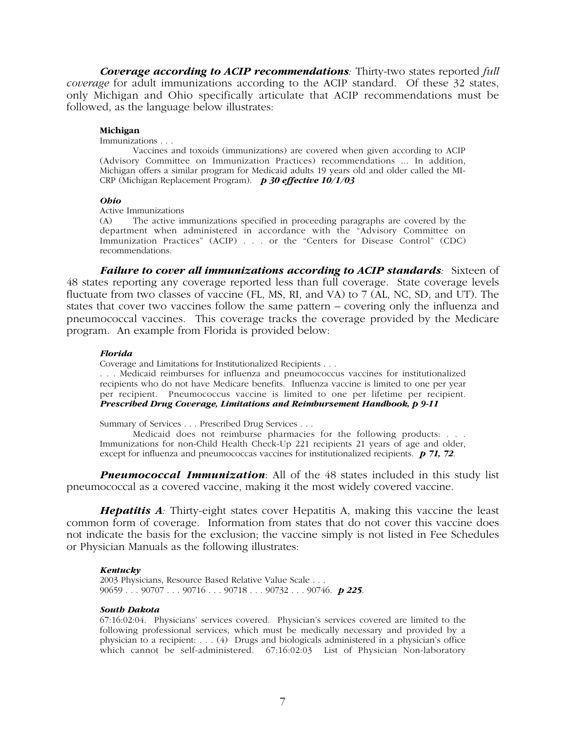*Coverage according to ACIP recommendations:* Thirty-two states reported *full coverage* for adult immunizations according to the ACIP standard. Of these 32 states, only Michigan and Ohio specifically articulate that ACIP recommendations must be followed, as the language below illustrates:

## **Michigan**

Immunizations . . .

Vaccines and toxoids (immunizations) are covered when given according to ACIP (Advisory Committee on Immunization Practices) recommendations ... In addition, Michigan offers a similar program for Medicaid adults 19 years old and older called the MI-CRP (Michigan Replacement Program). *p 30 effective 10/1/03*

## *Ohio*

Active Immunizations<br>(A) The active in

The active immunizations specified in proceeding paragraphs are covered by the department when administered in accordance with the "Advisory Committee on Immunization Practices" (ACIP) . . . or the "Centers for Disease Control" (CDC) recommendations.

*Failure to cover all immunizations according to ACIP standards:* Sixteen of 48 states reporting any coverage reported less than full coverage. State coverage levels fluctuate from two classes of vaccine (FL, MS, RI, and VA) to 7 (AL, NC, SD, and UT). The states that cover two vaccines follow the same pattern – covering only the influenza and pneumococcal vaccines. This coverage tracks the coverage provided by the Medicare program. An example from Florida is provided below:

### *Florida*

Coverage and Limitations for Institutionalized Recipients . . .

. . . Medicaid reimburses for influenza and pneumococcus vaccines for institutionalized recipients who do not have Medicare benefits. Influenza vaccine is limited to one per year per recipient. Pneumococcus vaccine is limited to one per lifetime per recipient. *Prescribed Drug Coverage, Limitations and Reimbursement Handbook, p 9-11*

Summary of Services . . . Prescribed Drug Services . . .

Medicaid does not reimburse pharmacies for the following products: . . . Immunizations for non-Child Health Check-Up 221 recipients 21 years of age and older, except for influenza and pneumococcas vaccines for institutionalized recipients. *p 71, 72*.

*Pneumococcal Immunization*: All of the 48 states included in this study list pneumococcal as a covered vaccine, making it the most widely covered vaccine.

*Hepatitis A*<sup>2</sup> Thirty-eight states cover Hepatitis A, making this vaccine the least common form of coverage. Information from states that do not cover this vaccine does not indicate the basis for the exclusion; the vaccine simply is not listed in Fee Schedules or Physician Manuals as the following illustrates:

### *Kentucky*

2003 Physicians, Resource Based Relative Value Scale . . . 90659 . . . 90707 . . . 90716 . . . 90718 . . . 90732 . . . 90746. *p 225*.

## *South Dakota*

67:16:02:04. Physicians' services covered. Physician's services covered are limited to the following professional services, which must be medically necessary and provided by a physician to a recipient: . . . (4) Drugs and biologicals administered in a physician's office which cannot be self-administered. 67:16:02:03 List of Physician Non-laboratory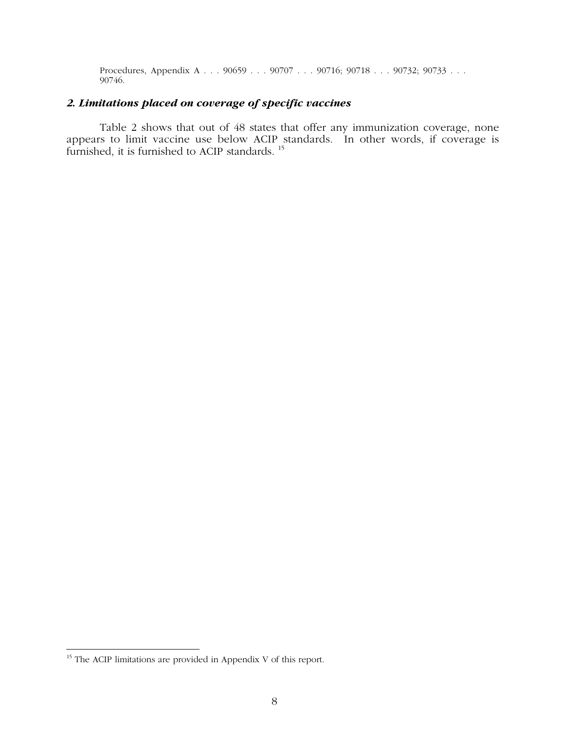Procedures, Appendix A . . . 90659 . . . 90707 . . . 90716; 90718 . . . 90732; 90733 . . . . 90746.

# *2. Limitations placed on coverage of specific vaccines*

Table 2 shows that out of 48 states that offer any immunization coverage, none appears to limit vaccine use below ACIP standards. In other words, if coverage is furnished, it is furnished to ACIP standards.<sup>15</sup>

<sup>&</sup>lt;sup>15</sup> The ACIP limitations are provided in Appendix V of this report.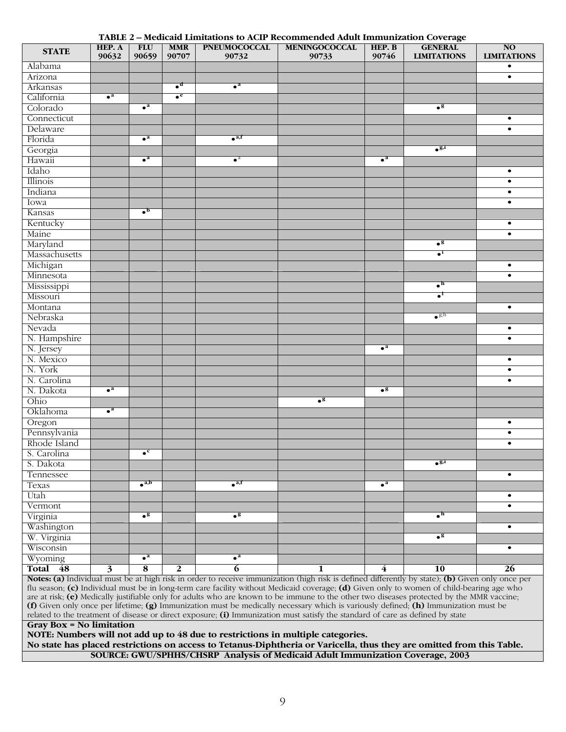## **TABLE 2 – Medicaid Limitations to ACIP Recommended Adult Immunization Coverage**

| <b>STATE</b>  | HEP. A<br>90632         | <b>FLU</b><br>90659      | <b>MMR</b><br>90707      | <b>PNEUMOCOCCAL</b><br>90732 | <b>MENINGOCOCCAL</b><br>90733 | HEP. B<br>90746 | $\cdots$<br><b>GENERAL</b><br><b>LIMITATIONS</b> | <b>NO</b><br><b>LIMITATIONS</b> |
|---------------|-------------------------|--------------------------|--------------------------|------------------------------|-------------------------------|-----------------|--------------------------------------------------|---------------------------------|
| Alabama       |                         |                          |                          |                              |                               |                 |                                                  | $\bullet$                       |
| Arizona       |                         |                          |                          |                              |                               |                 |                                                  | $\bullet$                       |
| Arkansas      |                         |                          | $\bullet^{\mathfrak{a}}$ | $\bullet^a$                  |                               |                 |                                                  |                                 |
| California    | $\bullet^a$             |                          | $\bullet^e$              |                              |                               |                 |                                                  |                                 |
| Colorado      |                         | $\bullet^a$              |                          |                              |                               |                 | $\bullet^{\mathbf{g}}$                           |                                 |
| Connecticut   |                         |                          |                          |                              |                               |                 |                                                  | $\bullet$                       |
| Delaware      |                         |                          |                          |                              |                               |                 |                                                  | $\bullet$                       |
| Florida       |                         | $\bullet^a$              |                          | $\bullet$ <sup>a,f</sup>     |                               |                 |                                                  |                                 |
| Georgia       |                         |                          |                          |                              |                               |                 | $\bullet^{g,i}$                                  |                                 |
| Hawaii        |                         | $\bullet^a$              |                          | $\bullet^a$                  |                               | $\bullet^a$     |                                                  |                                 |
| Idaho         |                         |                          |                          |                              |                               |                 |                                                  | $\bullet$                       |
| Illinois      |                         |                          |                          |                              |                               |                 |                                                  | $\bullet$                       |
| Indiana       |                         |                          |                          |                              |                               |                 |                                                  | $\bullet$                       |
| Iowa          |                         |                          |                          |                              |                               |                 |                                                  | $\bullet$                       |
| Kansas        |                         | $\cdot^{\mathrm{b}}$     |                          |                              |                               |                 |                                                  |                                 |
| Kentucky      |                         |                          |                          |                              |                               |                 |                                                  | $\bullet$                       |
| Maine         |                         |                          |                          |                              |                               |                 |                                                  | $\bullet$                       |
| Maryland      |                         |                          |                          |                              |                               |                 | $\bullet^g$                                      |                                 |
| Massachusetts |                         |                          |                          |                              |                               |                 | $\bullet$ <sup>1</sup>                           |                                 |
| Michigan      |                         |                          |                          |                              |                               |                 |                                                  | $\bullet$                       |
| Minnesota     |                         |                          |                          |                              |                               |                 |                                                  | $\bullet$                       |
| Mississippi   |                         |                          |                          |                              |                               |                 | $\bullet^{\mathsf{h}}$                           |                                 |
| Missouri      |                         |                          |                          |                              |                               |                 | $\bullet^1$                                      |                                 |
| Montana       |                         |                          |                          |                              |                               |                 |                                                  | $\bullet$                       |
| Nebraska      |                         |                          |                          |                              |                               |                 | $\bullet^{\mathrm{g,h}}$                         |                                 |
| Nevada        |                         |                          |                          |                              |                               |                 |                                                  |                                 |
|               |                         |                          |                          |                              |                               |                 |                                                  | $\bullet$<br>$\bullet$          |
| N. Hampshire  |                         |                          |                          |                              |                               | $\bullet^a$     |                                                  |                                 |
| N. Jersey     |                         |                          |                          |                              |                               |                 |                                                  | $\bullet$                       |
| N. Mexico     |                         |                          |                          |                              |                               |                 |                                                  |                                 |
| N. York       |                         |                          |                          |                              |                               |                 |                                                  | $\bullet$                       |
| N. Carolina   | $\bullet^a$             |                          |                          |                              |                               | $\bullet^g$     |                                                  | $\bullet$                       |
| N. Dakota     |                         |                          |                          |                              | $\bullet^g$                   |                 |                                                  |                                 |
| Ohio          | $\bullet^a$             |                          |                          |                              |                               |                 |                                                  |                                 |
| Oklahoma      |                         |                          |                          |                              |                               |                 |                                                  |                                 |
| Oregon        |                         |                          |                          |                              |                               |                 |                                                  | $\bullet$                       |
| Pennsylvania  |                         |                          |                          |                              |                               |                 |                                                  | $\bullet$                       |
| Rhode Island  |                         |                          |                          |                              |                               |                 |                                                  | $\bullet$                       |
| S. Carolina   |                         | $\bullet^{\mathrm{c}}$   |                          |                              |                               |                 | $\overline{\bullet^{g,i}}$                       |                                 |
| S. Dakota     |                         |                          |                          |                              |                               |                 |                                                  |                                 |
| Tennessee     |                         |                          |                          |                              |                               |                 |                                                  | $\bullet$                       |
| Texas         |                         | $\bullet$ <sup>a,b</sup> |                          | $\bullet^{a,r}$              |                               | $\bullet^a$     |                                                  |                                 |
| Utah          |                         |                          |                          |                              |                               |                 |                                                  | $\bullet$                       |
| Vermont       |                         |                          |                          |                              |                               |                 |                                                  | $\bullet$                       |
| Virginia      |                         | $\bullet^g$              |                          | $\bullet^{\mathbf{g}}$       |                               |                 | $\bullet^{\text{h}}$                             |                                 |
| Washington    |                         |                          |                          |                              |                               |                 |                                                  | $\bullet$                       |
| W. Virginia   |                         |                          |                          |                              |                               |                 | $\bullet^g$                                      |                                 |
| Wisconsin     |                         |                          |                          |                              |                               |                 |                                                  | $\bullet$                       |
| Wyoming       |                         | $\bullet^a$              |                          | $\bullet^a$                  |                               |                 |                                                  |                                 |
| Total 48      | $\overline{\mathbf{3}}$ | $\overline{\mathbf{8}}$  | $\overline{2}$           | $\overline{6}$               | 1                             | $\overline{4}$  | <b>10</b>                                        | <b>26</b>                       |

**Notes: (a)** Individual must be at high risk in order to receive immunization (high risk is defined differently by state); **(b)** Given only once per flu season; **(c)** Individual must be in long-term care facility without Medicaid coverage; **(d)** Given only to women of child-bearing age who are at risk; **(e)** Medically justifiable only for adults who are known to be immune to the other two diseases protected by the MMR vaccine; **(f)** Given only once per lifetime; **(g)** Immunization must be medically necessary which is variously defined; **(h)** Immunization must be related to the treatment of disease or direct exposure; **(i)** Immunization must satisfy the standard of care as defined by state

**Gray Box = No limitation**

**NOTE: Numbers will not add up to 48 due to restrictions in multiple categories.**

**No state has placed restrictions on access to Tetanus-Diphtheria or Varicella, thus they are omitted from this Table. SOURCE: GWU/SPHHS/CHSRP Analysis of Medicaid Adult Immunization Coverage, 2003**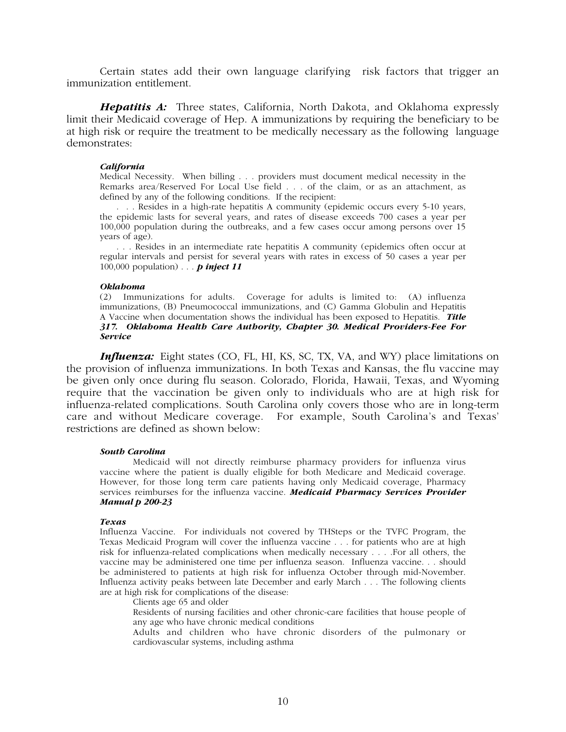Certain states add their own language clarifying risk factors that trigger an immunization entitlement.

*Hepatitis A:* Three states, California, North Dakota, and Oklahoma expressly limit their Medicaid coverage of Hep. A immunizations by requiring the beneficiary to be at high risk or require the treatment to be medically necessary as the following language demonstrates:

## *California*

Medical Necessity. When billing . . . providers must document medical necessity in the Remarks area/Reserved For Local Use field . . . of the claim, or as an attachment, as defined by any of the following conditions. If the recipient:

. . . Resides in a high-rate hepatitis A community (epidemic occurs every 5-10 years, the epidemic lasts for several years, and rates of disease exceeds 700 cases a year per 100,000 population during the outbreaks, and a few cases occur among persons over 15 years of age).

. . . Resides in an intermediate rate hepatitis A community (epidemics often occur at regular intervals and persist for several years with rates in excess of 50 cases a year per 100,000 population) . . . *p inject 11*

## *Oklahoma*

(2) Immunizations for adults. Coverage for adults is limited to: (A) influenza immunizations, (B) Pneumococcal immunizations, and (C) Gamma Globulin and Hepatitis A Vaccine when documentation shows the individual has been exposed to Hepatitis. *Title 317. Oklahoma Health Care Authority, Chapter 30. Medical Providers-Fee For Service*

*Influenza:* Eight states (CO, FL, HI, KS, SC, TX, VA, and WY) place limitations on the provision of influenza immunizations. In both Texas and Kansas, the flu vaccine may be given only once during flu season. Colorado, Florida, Hawaii, Texas, and Wyoming require that the vaccination be given only to individuals who are at high risk for influenza-related complications. South Carolina only covers those who are in long-term care and without Medicare coverage. For example, South Carolina's and Texas' restrictions are defined as shown below:

## *South Carolina*

Medicaid will not directly reimburse pharmacy providers for influenza virus vaccine where the patient is dually eligible for both Medicare and Medicaid coverage. However, for those long term care patients having only Medicaid coverage, Pharmacy services reimburses for the influenza vaccine. *Medicaid Pharmacy Services Provider Manual p 200-23*

## *Texas*

Influenza Vaccine. For individuals not covered by THSteps or the TVFC Program, the Texas Medicaid Program will cover the influenza vaccine . . . for patients who are at high risk for influenza-related complications when medically necessary . . . .For all others, the vaccine may be administered one time per influenza season. Influenza vaccine. . . should be administered to patients at high risk for influenza October through mid-November. Influenza activity peaks between late December and early March . . . The following clients are at high risk for complications of the disease:

Clients age 65 and older

Residents of nursing facilities and other chronic-care facilities that house people of any age who have chronic medical conditions

Adults and children who have chronic disorders of the pulmonary or cardiovascular systems, including asthma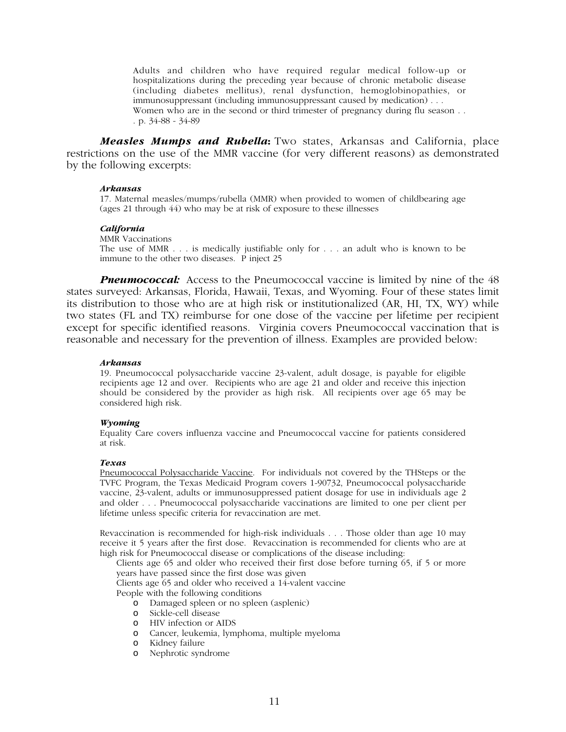Adults and children who have required regular medical follow-up or hospitalizations during the preceding year because of chronic metabolic disease (including diabetes mellitus), renal dysfunction, hemoglobinopathies, or immunosuppressant (including immunosuppressant caused by medication) . . . Women who are in the second or third trimester of pregnancy during flu season . . . p. 34-88 - 34-89

*Measles Mumps and Rubella***:** Two states, Arkansas and California, place restrictions on the use of the MMR vaccine (for very different reasons) as demonstrated by the following excerpts:

## *Arkansas*

17. Maternal measles/mumps/rubella (MMR) when provided to women of childbearing age (ages 21 through 44) who may be at risk of exposure to these illnesses

## *California*

MMR Vaccinations The use of MMR . . . is medically justifiable only for . . . an adult who is known to be immune to the other two diseases.  $\vec{P}$  inject 25

**Pneumococcal:** Access to the Pneumococcal vaccine is limited by nine of the 48 states surveyed: Arkansas, Florida, Hawaii, Texas, and Wyoming. Four of these states limit its distribution to those who are at high risk or institutionalized (AR, HI, TX, WY) while two states (FL and TX) reimburse for one dose of the vaccine per lifetime per recipient except for specific identified reasons. Virginia covers Pneumococcal vaccination that is reasonable and necessary for the prevention of illness. Examples are provided below:

## *Arkansas*

19. Pneumococcal polysaccharide vaccine 23-valent, adult dosage, is payable for eligible recipients age 12 and over. Recipients who are age 21 and older and receive this injection should be considered by the provider as high risk. All recipients over age 65 may be considered high risk.

## *Wyoming*

Equality Care covers influenza vaccine and Pneumococcal vaccine for patients considered at risk.

### *Texas*

Pneumococcal Polysaccharide Vaccine. For individuals not covered by the THSteps or the TVFC Program, the Texas Medicaid Program covers 1-90732, Pneumococcal polysaccharide vaccine, 23-valent, adults or immunosuppressed patient dosage for use in individuals age 2 and older . . . Pneumococcal polysaccharide vaccinations are limited to one per client per lifetime unless specific criteria for revaccination are met.

Revaccination is recommended for high-risk individuals . . . Those older than age 10 may receive it 5 years after the first dose. Revaccination is recommended for clients who are at high risk for Pneumococcal disease or complications of the disease including:

Clients age 65 and older who received their first dose before turning 65, if 5 or more years have passed since the first dose was given

Clients age 65 and older who received a 14-valent vaccine

People with the following conditions

- o Damaged spleen or no spleen (asplenic)
- o Sickle-cell disease
- o HIV infection or AIDS
- o Cancer, leukemia, lymphoma, multiple myeloma
- o Kidney failure
- o Nephrotic syndrome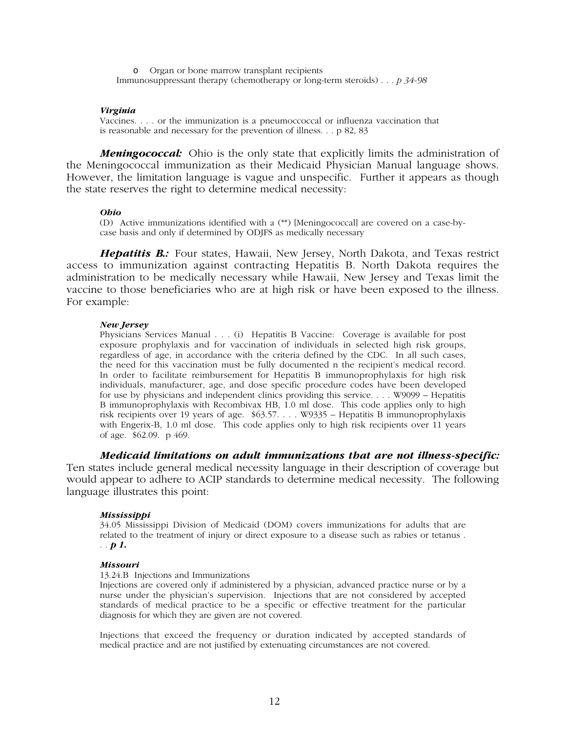o Organ or bone marrow transplant recipients Immunosuppressant therapy (chemotherapy or long-term steroids) . . . *p 34-98*

## *Virginia*

Vaccines. . . . or the immunization is a pneumoccoccal or influenza vaccination that is reasonable and necessary for the prevention of illness. . . p 82, 83

*Meningococcal:* Ohio is the only state that explicitly limits the administration of the Meningococcal immunization as their Medicaid Physician Manual language shows. However, the limitation language is vague and unspecific. Further it appears as though the state reserves the right to determine medical necessity:

## *Ohio*

(D) Active immunizations identified with a (\*\*) [Meningococcal] are covered on a case-bycase basis and only if determined by ODJFS as medically necessary

*Hepatitis B.:*Four states, Hawaii, New Jersey, North Dakota, and Texas restrict access to immunization against contracting Hepatitis B. North Dakota requires the administration to be medically necessary while Hawaii, New Jersey and Texas limit the vaccine to those beneficiaries who are at high risk or have been exposed to the illness. For example:

## *New Jersey*

Physicians Services Manual . . . (i) Hepatitis B Vaccine: Coverage is available for post exposure prophylaxis and for vaccination of individuals in selected high risk groups, regardless of age, in accordance with the criteria defined by the CDC. In all such cases, the need for this vaccination must be fully documented n the recipient's medical record. In order to facilitate reimbursement for Hepatitis B immunoprophylaxis for high risk individuals, manufacturer, age, and dose specific procedure codes have been developed for use by physicians and independent clinics providing this service. . . . W9099 – Hepatitis B immunoprophylaxis with Recombivax HB, 1.0 ml dose. This code applies only to high risk recipients over 19 years of age. \$63.57. . . . W9335 – Hepatitis B immunoprophylaxis with Engerix-B, 1.0 ml dose. This code applies only to high risk recipients over 11 years of age. \$62.09. p 469.

*Medicaid limitations on adult immunizations that are not illness-specific:*

Ten states include general medical necessity language in their description of coverage but would appear to adhere to ACIP standards to determine medical necessity. The following language illustrates this point:

## *Mississippi*

34.05 Mississippi Division of Medicaid (DOM) covers immunizations for adults that are related to the treatment of injury or direct exposure to a disease such as rabies or tetanus . . . *p 1***.**

#### *Missouri*

## 13.24.B Injections and Immunizations

Injections are covered only if administered by a physician, advanced practice nurse or by a nurse under the physician's supervision. Injections that are not considered by accepted standards of medical practice to be a specific or effective treatment for the particular diagnosis for which they are given are not covered.

Injections that exceed the frequency or duration indicated by accepted standards of medical practice and are not justified by extenuating circumstances are not covered.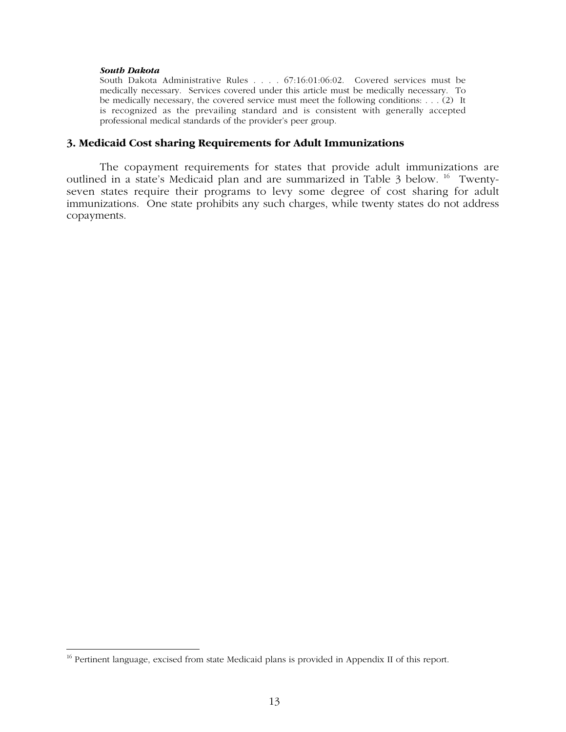## *South Dakota*

South Dakota Administrative Rules . . . . 67:16:01:06:02. Covered services must be medically necessary. Services covered under this article must be medically necessary. To be medically necessary, the covered service must meet the following conditions: . . . (2) It is recognized as the prevailing standard and is consistent with generally accepted professional medical standards of the provider's peer group.

# **3. Medicaid Cost sharing Requirements for Adult Immunizations**

The copayment requirements for states that provide adult immunizations are outlined in a state's Medicaid plan and are summarized in Table 3 below. 16 Twentyseven states require their programs to levy some degree of cost sharing for adult immunizations. One state prohibits any such charges, while twenty states do not address copayments.

<sup>&</sup>lt;sup>16</sup> Pertinent language, excised from state Medicaid plans is provided in Appendix II of this report.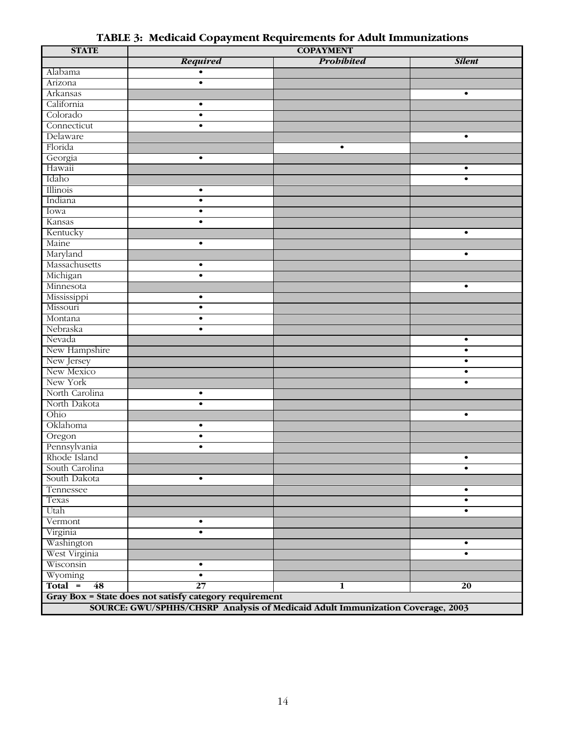| <b>STATE</b>          | <b>COPAYMENT</b>                                       |                                                                                |               |  |  |
|-----------------------|--------------------------------------------------------|--------------------------------------------------------------------------------|---------------|--|--|
|                       | <b>Required</b>                                        | <b>Probibited</b>                                                              | <b>Silent</b> |  |  |
| Alabama               | $\bullet$                                              |                                                                                |               |  |  |
| Arizona               | $\bullet$                                              |                                                                                |               |  |  |
| Arkansas              |                                                        |                                                                                | $\bullet$     |  |  |
| California            | $\bullet$                                              |                                                                                |               |  |  |
| Colorado              | $\bullet$                                              |                                                                                |               |  |  |
| Connecticut           | $\bullet$                                              |                                                                                |               |  |  |
| Delaware              |                                                        |                                                                                | $\bullet$     |  |  |
| Florida               |                                                        | $\bullet$                                                                      |               |  |  |
| Georgia               | $\bullet$                                              |                                                                                |               |  |  |
| Hawaii                |                                                        |                                                                                | $\bullet$     |  |  |
| Idaho                 |                                                        |                                                                                | $\bullet$     |  |  |
| Illinois              | $\bullet$                                              |                                                                                |               |  |  |
| Indiana               | $\bullet$                                              |                                                                                |               |  |  |
| Iowa                  | $\bullet$                                              |                                                                                |               |  |  |
| Kansas                | $\bullet$                                              |                                                                                |               |  |  |
| Kentucky              |                                                        |                                                                                | $\bullet$     |  |  |
| Maine                 | $\bullet$                                              |                                                                                |               |  |  |
| Maryland              |                                                        |                                                                                | $\bullet$     |  |  |
| Massachusetts         | $\bullet$                                              |                                                                                |               |  |  |
|                       | $\bullet$                                              |                                                                                |               |  |  |
| Michigan<br>Minnesota |                                                        |                                                                                | $\bullet$     |  |  |
|                       |                                                        |                                                                                |               |  |  |
| Mississippi           | $\bullet$                                              |                                                                                |               |  |  |
| Missouri              | $\bullet$                                              |                                                                                |               |  |  |
| Montana               | $\bullet$                                              |                                                                                |               |  |  |
| Nebraska              | $\bullet$                                              |                                                                                |               |  |  |
| Nevada                |                                                        |                                                                                | $\bullet$     |  |  |
| New Hampshire         |                                                        |                                                                                | $\bullet$     |  |  |
| New Jersey            |                                                        |                                                                                | $\bullet$     |  |  |
| New Mexico            |                                                        |                                                                                | $\bullet$     |  |  |
| New York              |                                                        |                                                                                | $\bullet$     |  |  |
| North Carolina        | $\bullet$                                              |                                                                                |               |  |  |
| North Dakota          | $\bullet$                                              |                                                                                |               |  |  |
| Ohio                  |                                                        |                                                                                | $\bullet$     |  |  |
| Oklahoma              | $\bullet$                                              |                                                                                |               |  |  |
| Oregon                | $\bullet$                                              |                                                                                |               |  |  |
| Pennsylvania          | $\bullet$                                              |                                                                                |               |  |  |
| Rhode Island          |                                                        |                                                                                | $\bullet$     |  |  |
| South Carolina        |                                                        |                                                                                | $\bullet$     |  |  |
| South Dakota          | $\bullet$                                              |                                                                                |               |  |  |
| Tennessee             |                                                        |                                                                                | $\bullet$     |  |  |
| Texas                 |                                                        |                                                                                | $\bullet$     |  |  |
| Utah                  |                                                        |                                                                                | $\bullet$     |  |  |
| Vermont               | $\bullet$                                              |                                                                                |               |  |  |
| Virginia              | $\bullet$                                              |                                                                                |               |  |  |
| Washington            |                                                        |                                                                                | $\bullet$     |  |  |
| West Virginia         |                                                        |                                                                                | $\bullet$     |  |  |
| Wisconsin             | $\bullet$                                              |                                                                                |               |  |  |
| Wyoming               | $\bullet$                                              |                                                                                |               |  |  |
| $Total =$<br>48       | $\overline{27}$                                        | 1                                                                              | 20            |  |  |
|                       | Gray Box = State does not satisfy category requirement |                                                                                |               |  |  |
|                       |                                                        | SOURCE: GWU/SPHHS/CHSRP Analysis of Medicaid Adult Immunization Coverage, 2003 |               |  |  |
|                       |                                                        |                                                                                |               |  |  |

**TABLE 3: Medicaid Copayment Requirements for Adult Immunizations**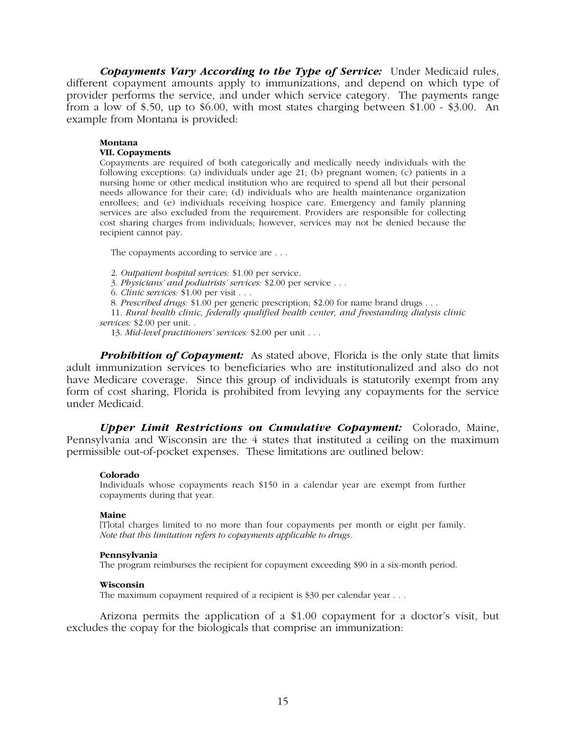*Copayments Vary According to the Type of Service:* Under Medicaid rules, different copayment amounts apply to immunizations, and depend on which type of provider performs the service, and under which service category. The payments range from a low of \$.50, up to \$6.00, with most states charging between \$1.00 - \$3.00. An example from Montana is provided:

## **Montana**

## **VII. Copayments**

Copayments are required of both categorically and medically needy individuals with the following exceptions: (a) individuals under age 21; (b) pregnant women; (c) patients in a nursing home or other medical institution who are required to spend all but their personal needs allowance for their care; (d) individuals who are health maintenance organization enrollees; and (e) individuals receiving hospice care. Emergency and family planning services are also excluded from the requirement. Providers are responsible for collecting cost sharing charges from individuals; however, services may not be denied because the recipient cannot pay.

The copayments according to service are . . .

2. *Outpatient hospital services:* \$1.00 per service.

3. *Physicians' and podiatrists' services:* \$2.00 per service . . .

6. *Clinic services:* \$1.00 per visit . . .

8. *Prescribed drugs:* \$1.00 per generic prescription; \$2.00 for name brand drugs . . .

11. *Rural health clinic, federally qualified health center, and freestanding dialysis clinic services:* \$2.00 per unit. .

13. *Mid-level practitioners' services:* \$2.00 per unit . . .

**Prohibition of Copayment:** As stated above, Florida is the only state that limits adult immunization services to beneficiaries who are institutionalized and also do not have Medicare coverage. Since this group of individuals is statutorily exempt from any form of cost sharing, Florida is prohibited from levying any copayments for the service under Medicaid.

*Upper Limit Restrictions on Cumulative Copayment:* Colorado, Maine, Pennsylvania and Wisconsin are the 4 states that instituted a ceiling on the maximum permissible out-of-pocket expenses. These limitations are outlined below:

## **Colorado**

Individuals whose copayments reach \$150 in a calendar year are exempt from further copayments during that year.

## **Maine**

[T]otal charges limited to no more than four copayments per month or eight per family. *Note that this limitation refers to copayments applicable to drugs.*

## **Pennsylvania**

The program reimburses the recipient for copayment exceeding \$90 in a six-month period.

## **Wisconsin**

The maximum copayment required of a recipient is \$30 per calendar year . . .

Arizona permits the application of a \$1.00 copayment for a doctor's visit, but excludes the copay for the biologicals that comprise an immunization: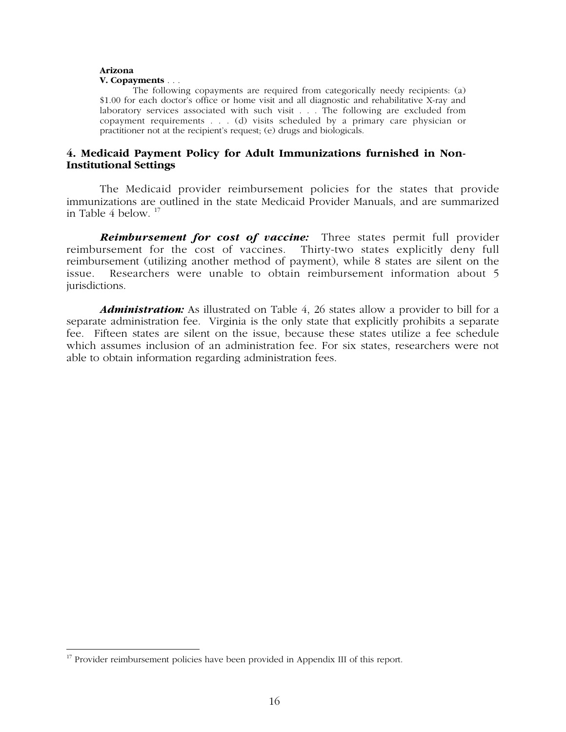### **Arizona V. Copayments** . . .

The following copayments are required from categorically needy recipients: (a) \$1.00 for each doctor's office or home visit and all diagnostic and rehabilitative X-ray and laboratory services associated with such visit . . . The following are excluded from copayment requirements . . . (d) visits scheduled by a primary care physician or practitioner not at the recipient's request; (e) drugs and biologicals.

# **4. Medicaid Payment Policy for Adult Immunizations furnished in Non-Institutional Settings**

The Medicaid provider reimbursement policies for the states that provide immunizations are outlined in the state Medicaid Provider Manuals, and are summarized in Table 4 below.  $17$ 

*Reimbursement for cost of vaccine:* Three states permit full provider reimbursement for the cost of vaccines. Thirty-two states explicitly deny full reimbursement (utilizing another method of payment), while 8 states are silent on the issue. Researchers were unable to obtain reimbursement information about 5 jurisdictions.

*Administration:* As illustrated on Table 4, 26 states allow a provider to bill for a separate administration fee. Virginia is the only state that explicitly prohibits a separate fee. Fifteen states are silent on the issue, because these states utilize a fee schedule which assumes inclusion of an administration fee. For six states, researchers were not able to obtain information regarding administration fees.

<sup>&</sup>lt;sup>17</sup> Provider reimbursement policies have been provided in Appendix III of this report.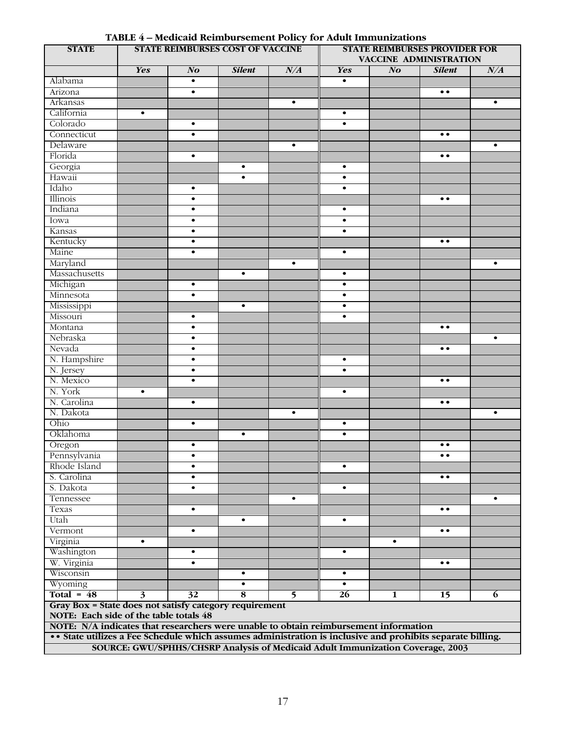| <b>STATE</b>                                                                                               |            |                 | <b>STATE REIMBURSES COST OF VACCINE</b>                                        |                | <b>STATE REIMBURSES PROVIDER FOR</b><br>VACCINE ADMINISTRATION |                |                     |           |
|------------------------------------------------------------------------------------------------------------|------------|-----------------|--------------------------------------------------------------------------------|----------------|----------------------------------------------------------------|----------------|---------------------|-----------|
|                                                                                                            | <b>Yes</b> | N <sub>O</sub>  | <b>Silent</b>                                                                  | N/A            | <b>Yes</b>                                                     | N <sub>o</sub> | <b>Silent</b>       | N/A       |
| Alabama                                                                                                    |            | $\bullet$       |                                                                                |                | $\bullet$                                                      |                |                     |           |
| Arizona                                                                                                    |            | $\bullet$       |                                                                                |                |                                                                |                | $\bullet\; \bullet$ |           |
| Arkansas                                                                                                   |            |                 |                                                                                | $\bullet$      |                                                                |                |                     | $\bullet$ |
| California                                                                                                 | $\bullet$  |                 |                                                                                |                | $\bullet$                                                      |                |                     |           |
| Colorado                                                                                                   |            | $\bullet$       |                                                                                |                | $\bullet$                                                      |                |                     |           |
| Connecticut                                                                                                |            | $\bullet$       |                                                                                |                |                                                                |                | $\bullet$           |           |
| Delaware                                                                                                   |            |                 |                                                                                | $\bullet$      |                                                                |                |                     | $\bullet$ |
| Florida                                                                                                    |            | $\bullet$       |                                                                                |                |                                                                |                | $\bullet$           |           |
| Georgia                                                                                                    |            |                 | $\bullet$                                                                      |                | $\bullet$                                                      |                |                     |           |
| Hawaii                                                                                                     |            |                 | $\bullet$                                                                      |                | $\bullet$                                                      |                |                     |           |
| Idaho                                                                                                      |            | $\bullet$       |                                                                                |                | $\bullet$                                                      |                |                     |           |
| Illinois                                                                                                   |            | $\bullet$       |                                                                                |                |                                                                |                | $\bullet\;\bullet$  |           |
| Indiana                                                                                                    |            | $\bullet$       |                                                                                |                | $\bullet$                                                      |                |                     |           |
|                                                                                                            |            |                 |                                                                                |                |                                                                |                |                     |           |
| Iowa                                                                                                       |            | $\bullet$       |                                                                                |                | $\bullet$                                                      |                |                     |           |
| Kansas                                                                                                     |            | $\bullet$       |                                                                                |                | $\bullet$                                                      |                |                     |           |
| Kentucky                                                                                                   |            | $\bullet$       |                                                                                |                |                                                                |                | $\bullet$           |           |
| Maine                                                                                                      |            | $\bullet$       |                                                                                |                | $\bullet$                                                      |                |                     |           |
| Maryland                                                                                                   |            |                 |                                                                                | $\bullet$      |                                                                |                |                     | $\bullet$ |
| Massachusetts                                                                                              |            |                 | $\bullet$                                                                      |                | $\bullet$                                                      |                |                     |           |
| Michigan                                                                                                   |            | $\bullet$       |                                                                                |                | $\bullet$                                                      |                |                     |           |
| Minnesota                                                                                                  |            | $\bullet$       |                                                                                |                | $\bullet$                                                      |                |                     |           |
| Mississippi                                                                                                |            |                 | $\bullet$                                                                      |                | $\bullet$                                                      |                |                     |           |
| Missouri                                                                                                   |            | $\bullet$       |                                                                                |                | $\bullet$                                                      |                |                     |           |
| Montana                                                                                                    |            | $\bullet$       |                                                                                |                |                                                                |                | $\bullet$           |           |
| Nebraska                                                                                                   |            | $\bullet$       |                                                                                |                |                                                                |                |                     | $\bullet$ |
| Nevada                                                                                                     |            | $\bullet$       |                                                                                |                |                                                                |                | $\bullet\;\bullet$  |           |
| N. Hampshire                                                                                               |            | $\bullet$       |                                                                                |                | $\bullet$                                                      |                |                     |           |
| N. Jersey                                                                                                  |            | $\bullet$       |                                                                                |                | $\bullet$                                                      |                |                     |           |
| N. Mexico                                                                                                  |            | $\bullet$       |                                                                                |                |                                                                |                | $\bullet\; \bullet$ |           |
| N. York                                                                                                    | $\bullet$  |                 |                                                                                |                | $\bullet$                                                      |                |                     |           |
| N. Carolina                                                                                                |            | $\bullet$       |                                                                                |                |                                                                |                | $\bullet$           |           |
| N. Dakota                                                                                                  |            |                 |                                                                                | $\bullet$      |                                                                |                |                     | $\bullet$ |
| Ohio                                                                                                       |            | $\bullet$       |                                                                                |                | $\bullet$                                                      |                |                     |           |
| Oklahoma                                                                                                   |            |                 | $\bullet$                                                                      |                | $\bullet$                                                      |                |                     |           |
| Oregon                                                                                                     |            | $\bullet$       |                                                                                |                |                                                                |                | $\bullet\bullet$    |           |
| Pennsylvania                                                                                               |            | $\bullet$       |                                                                                |                |                                                                |                | $\bullet\;\bullet$  |           |
| Rhode Island                                                                                               |            | $\bullet$       |                                                                                |                | ٠                                                              |                |                     |           |
| S. Carolina                                                                                                |            | $\bullet$       |                                                                                |                |                                                                |                | $\bullet\;\bullet$  |           |
| S. Dakota                                                                                                  |            | $\bullet$       |                                                                                |                | $\bullet$                                                      |                |                     |           |
| Tennessee                                                                                                  |            |                 |                                                                                | $\bullet$      |                                                                |                |                     | $\bullet$ |
| Texas                                                                                                      |            | $\bullet$       |                                                                                |                |                                                                |                | $\bullet\; \bullet$ |           |
| Utah                                                                                                       |            |                 | $\bullet$                                                                      |                | $\bullet$                                                      |                |                     |           |
| Vermont                                                                                                    |            | $\bullet$       |                                                                                |                |                                                                |                | $\bullet\;\bullet$  |           |
| Virginia                                                                                                   | $\bullet$  |                 |                                                                                |                |                                                                | $\bullet$      |                     |           |
|                                                                                                            |            |                 |                                                                                |                |                                                                |                |                     |           |
| Washington                                                                                                 |            | $\bullet$       |                                                                                |                | $\bullet$                                                      |                |                     |           |
| W. Virginia                                                                                                |            | $\bullet$       |                                                                                |                |                                                                |                | $\bullet$           |           |
| Wisconsin                                                                                                  |            |                 | $\bullet$                                                                      |                | $\bullet$                                                      |                |                     |           |
| Wyoming                                                                                                    |            |                 | $\bullet$                                                                      |                | $\bullet$                                                      |                |                     |           |
| Total = $48$                                                                                               | 3          | $\overline{32}$ | 8                                                                              | 5 <sup>5</sup> | 26                                                             | 1              | 15                  | 6         |
| Gray Box = State does not satisfy category requirement                                                     |            |                 |                                                                                |                |                                                                |                |                     |           |
| NOTE: Each side of the table totals 48                                                                     |            |                 |                                                                                |                |                                                                |                |                     |           |
| NOTE: N/A indicates that researchers were unable to obtain reimbursement information                       |            |                 |                                                                                |                |                                                                |                |                     |           |
| •• State utilizes a Fee Schedule which assumes administration is inclusive and prohibits separate billing. |            |                 |                                                                                |                |                                                                |                |                     |           |
|                                                                                                            |            |                 | SOURCE: GWU/SPHHS/CHSRP Analysis of Medicaid Adult Immunization Coverage, 2003 |                |                                                                |                |                     |           |

**TABLE 4 – Medicaid Reimbursement Policy for Adult Immunizations**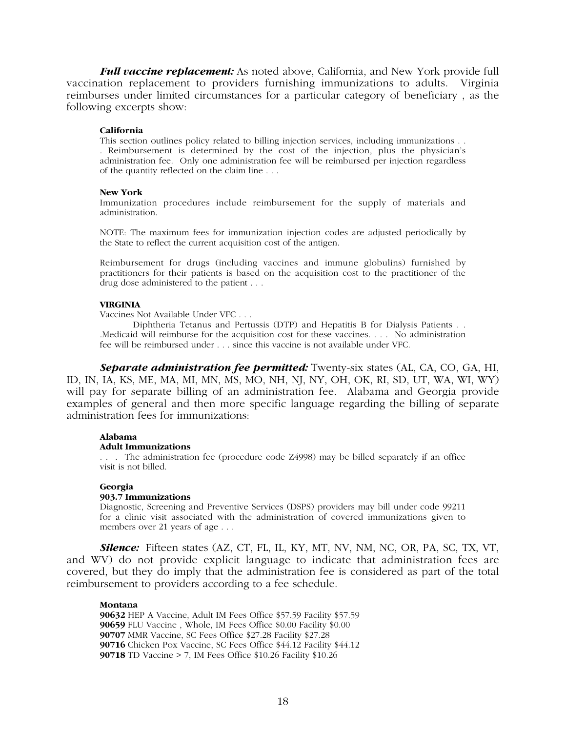*Full vaccine replacement:* As noted above, California, and New York provide full vaccination replacement to providers furnishing immunizations to adults. Virginia reimburses under limited circumstances for a particular category of beneficiary , as the following excerpts show:

## **California**

This section outlines policy related to billing injection services, including immunizations . . . Reimbursement is determined by the cost of the injection, plus the physician's administration fee. Only one administration fee will be reimbursed per injection regardless of the quantity reflected on the claim line . . .

## **New York**

Immunization procedures include reimbursement for the supply of materials and administration.

NOTE: The maximum fees for immunization injection codes are adjusted periodically by the State to reflect the current acquisition cost of the antigen.

Reimbursement for drugs (including vaccines and immune globulins) furnished by practitioners for their patients is based on the acquisition cost to the practitioner of the drug dose administered to the patient . . .

## **VIRGINIA**

Vaccines Not Available Under VFC . . .

Diphtheria Tetanus and Pertussis (DTP) and Hepatitis B for Dialysis Patients . . .Medicaid will reimburse for the acquisition cost for these vaccines. . . . No administration fee will be reimbursed under . . . since this vaccine is not available under VFC.

*Separate administration fee permitted:* Twenty-six states (AL, CA, CO, GA, HI, ID, IN, IA, KS, ME, MA, MI, MN, MS, MO, NH, NJ, NY, OH, OK, RI, SD, UT, WA, WI, WY) will pay for separate billing of an administration fee. Alabama and Georgia provide examples of general and then more specific language regarding the billing of separate administration fees for immunizations:

## **Alabama**

## **Adult Immunizations**

. . . The administration fee (procedure code Z4998) may be billed separately if an office visit is not billed.

## **Georgia**

## **903.7 Immunizations**

Diagnostic, Screening and Preventive Services (DSPS) providers may bill under code 99211 for a clinic visit associated with the administration of covered immunizations given to members over 21 years of age . . .

*Silence:* Fifteen states (AZ, CT, FL, IL, KY, MT, NV, NM, NC, OR, PA, SC, TX, VT, and WV) do not provide explicit language to indicate that administration fees are covered, but they do imply that the administration fee is considered as part of the total reimbursement to providers according to a fee schedule.

## **Montana**

HEP A Vaccine, Adult IM Fees Office \$57.59 Facility \$57.59 FLU Vaccine , Whole, IM Fees Office \$0.00 Facility \$0.00 MMR Vaccine, SC Fees Office \$27.28 Facility \$27.28 Chicken Pox Vaccine, SC Fees Office \$44.12 Facility \$44.12 TD Vaccine > 7, IM Fees Office \$10.26 Facility \$10.26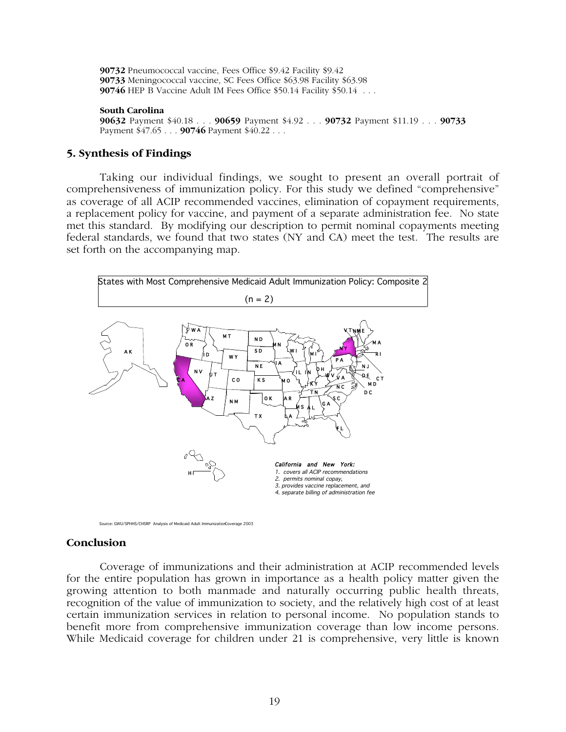**90732** Pneumococcal vaccine, Fees Office \$9.42 Facility \$9.42 **90733** Meningococcal vaccine, SC Fees Office \$63.98 Facility \$63.98 **90746** HEP B Vaccine Adult IM Fees Office \$50.14 Facility \$50.14 . . .

## **South Carolina**

**90632** Payment \$40.18 . . . **90659** Payment \$4.92 . . . **90732** Payment \$11.19 . . . **90733** Payment \$47.65 . . . **90746** Payment \$40.22 . . .

# **5. Synthesis of Findings**

Taking our individual findings, we sought to present an overall portrait of comprehensiveness of immunization policy. For this study we defined "comprehensive" as coverage of all ACIP recommended vaccines, elimination of copayment requirements, a replacement policy for vaccine, and payment of a separate administration fee. No state met this standard. By modifying our description to permit nominal copayments meeting federal standards, we found that two states (NY and CA) meet the test. The results are set forth on the accompanying map.



Source: GWU/SPHHS/CHSRP Analysis of Medicaid Adult ImmunizationCoverage 2003

## **Conclusion**

Coverage of immunizations and their administration at ACIP recommended levels for the entire population has grown in importance as a health policy matter given the growing attention to both manmade and naturally occurring public health threats, recognition of the value of immunization to society, and the relatively high cost of at least certain immunization services in relation to personal income. No population stands to benefit more from comprehensive immunization coverage than low income persons. While Medicaid coverage for children under 21 is comprehensive, very little is known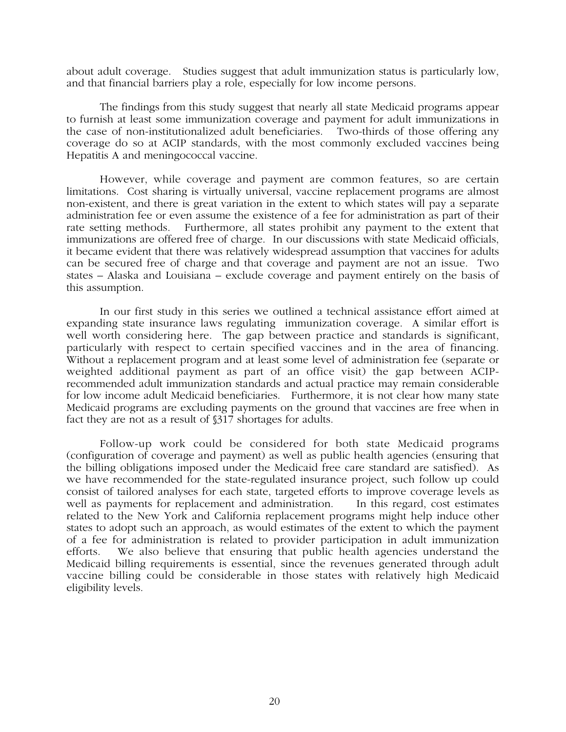about adult coverage. Studies suggest that adult immunization status is particularly low, and that financial barriers play a role, especially for low income persons.

The findings from this study suggest that nearly all state Medicaid programs appear to furnish at least some immunization coverage and payment for adult immunizations in the case of non-institutionalized adult beneficiaries. Two-thirds of those offering any coverage do so at ACIP standards, with the most commonly excluded vaccines being Hepatitis A and meningococcal vaccine.

However, while coverage and payment are common features, so are certain limitations. Cost sharing is virtually universal, vaccine replacement programs are almost non-existent, and there is great variation in the extent to which states will pay a separate administration fee or even assume the existence of a fee for administration as part of their rate setting methods. Furthermore, all states prohibit any payment to the extent that immunizations are offered free of charge. In our discussions with state Medicaid officials, it became evident that there was relatively widespread assumption that vaccines for adults can be secured free of charge and that coverage and payment are not an issue. Two states – Alaska and Louisiana – exclude coverage and payment entirely on the basis of this assumption.

In our first study in this series we outlined a technical assistance effort aimed at expanding state insurance laws regulating immunization coverage. A similar effort is well worth considering here. The gap between practice and standards is significant, particularly with respect to certain specified vaccines and in the area of financing. Without a replacement program and at least some level of administration fee (separate or weighted additional payment as part of an office visit) the gap between ACIPrecommended adult immunization standards and actual practice may remain considerable for low income adult Medicaid beneficiaries. Furthermore, it is not clear how many state Medicaid programs are excluding payments on the ground that vaccines are free when in fact they are not as a result of §317 shortages for adults.

Follow-up work could be considered for both state Medicaid programs (configuration of coverage and payment) as well as public health agencies (ensuring that the billing obligations imposed under the Medicaid free care standard are satisfied). As we have recommended for the state-regulated insurance project, such follow up could consist of tailored analyses for each state, targeted efforts to improve coverage levels as well as payments for replacement and administration. In this regard, cost estimates related to the New York and California replacement programs might help induce other states to adopt such an approach, as would estimates of the extent to which the payment of a fee for administration is related to provider participation in adult immunization efforts. We also believe that ensuring that public health agencies understand the Medicaid billing requirements is essential, since the revenues generated through adult vaccine billing could be considerable in those states with relatively high Medicaid eligibility levels.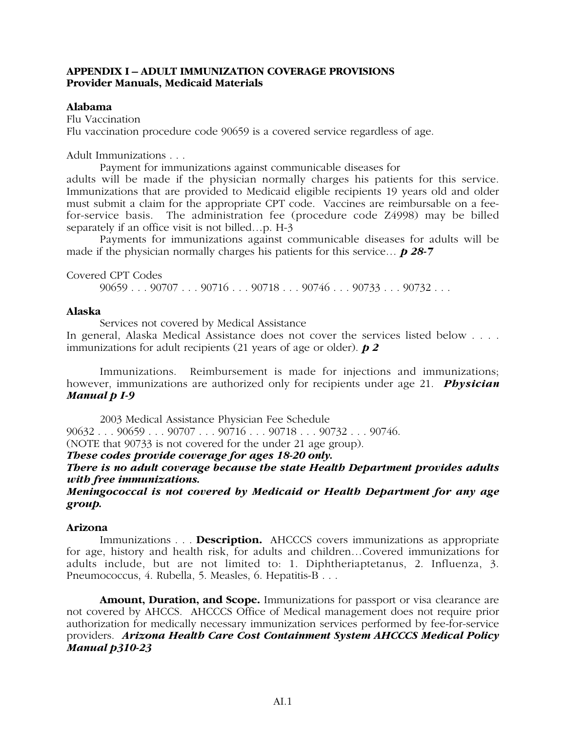# **APPENDIX I – ADULT IMMUNIZATION COVERAGE PROVISIONS Provider Manuals, Medicaid Materials**

# **Alabama**

Flu Vaccination Flu vaccination procedure code 90659 is a covered service regardless of age.

Adult Immunizations . . .

Payment for immunizations against communicable diseases for

adults will be made if the physician normally charges his patients for this service. Immunizations that are provided to Medicaid eligible recipients 19 years old and older must submit a claim for the appropriate CPT code. Vaccines are reimbursable on a feefor-service basis. The administration fee (procedure code Z4998) may be billed separately if an office visit is not billed…p. H-3

Payments for immunizations against communicable diseases for adults will be made if the physician normally charges his patients for this service… *p 28-7*

Covered CPT Codes

90659 . . . 90707 . . . 90716 . . . 90718 . . . 90746 . . . 90733 . . . 90732 . . .

# **Alaska**

Services not covered by Medical Assistance

In general, Alaska Medical Assistance does not cover the services listed below . . . . immunizations for adult recipients (21 years of age or older). *p 2*

Immunizations. Reimbursement is made for injections and immunizations; however, immunizations are authorized only for recipients under age 21. *Physician Manual p I-9*

2003 Medical Assistance Physician Fee Schedule 90632 . . . 90659 . . . 90707 . . . 90716 . . . 90718 . . . 90732 . . . 90746. (NOTE that 90733 is not covered for the under 21 age group).

*These codes provide coverage for ages 18-20 only.*

*There is no adult coverage because the state Health Department provides adults with free immunizations.*

*Meningococcal is not covered by Medicaid or Health Department for any age group.*

# **Arizona**

Immunizations . . . **Description.** AHCCCS covers immunizations as appropriate for age, history and health risk, for adults and children…Covered immunizations for adults include, but are not limited to: 1. Diphtheriaptetanus, 2. Influenza, 3. Pneumococcus, 4. Rubella, 5. Measles, 6. Hepatitis-B . . .

**Amount, Duration, and Scope.** Immunizations for passport or visa clearance are not covered by AHCCS. AHCCCS Office of Medical management does not require prior authorization for medically necessary immunization services performed by fee-for-service providers. *Arizona Health Care Cost Containment System AHCCCS Medical Policy Manual p310-23*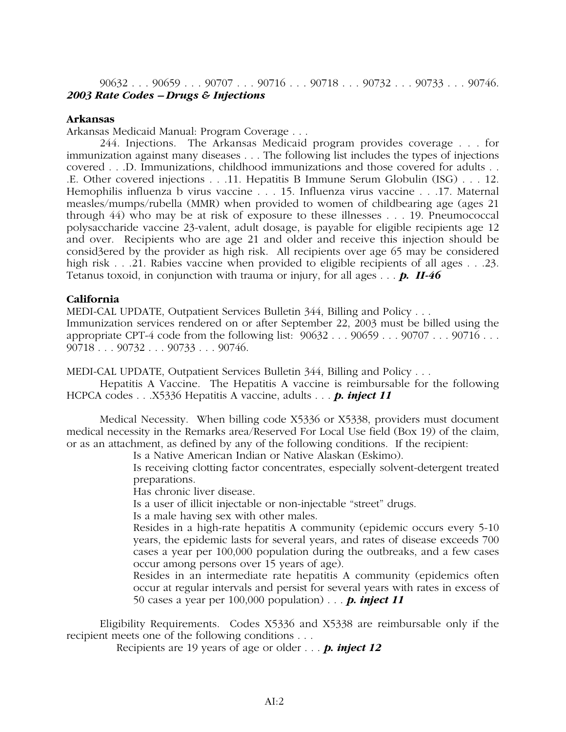90632 . . . 90659 . . . 90707 . . . 90716 . . . 90718 . . . 90732 . . . 90733 . . . 90746. *2003 Rate Codes – Drugs & Injections*

# **Arkansas**

Arkansas Medicaid Manual: Program Coverage . . .

244. Injections. The Arkansas Medicaid program provides coverage . . . for immunization against many diseases . . . The following list includes the types of injections covered . . .D. Immunizations, childhood immunizations and those covered for adults . . .E. Other covered injections . . .11. Hepatitis B Immune Serum Globulin (ISG) . . . 12. Hemophilis influenza b virus vaccine . . . 15. Influenza virus vaccine . . .17. Maternal measles/mumps/rubella (MMR) when provided to women of childbearing age (ages 21 through 44) who may be at risk of exposure to these illnesses . . . 19. Pneumococcal polysaccharide vaccine 23-valent, adult dosage, is payable for eligible recipients age 12 and over. Recipients who are age 21 and older and receive this injection should be consid3ered by the provider as high risk. All recipients over age 65 may be considered high risk . . .21. Rabies vaccine when provided to eligible recipients of all ages . . .23. Tetanus toxoid, in conjunction with trauma or injury, for all ages . . . *p. II-46*

# **California**

MEDI-CAL UPDATE, Outpatient Services Bulletin 344, Billing and Policy . . .

Immunization services rendered on or after September 22, 2003 must be billed using the appropriate CPT-4 code from the following list:  $90632...90659...90707...90716...$ 90718 . . . 90732 . . . 90733 . . . 90746.

MEDI-CAL UPDATE, Outpatient Services Bulletin 344, Billing and Policy . . .

Hepatitis A Vaccine. The Hepatitis A vaccine is reimbursable for the following HCPCA codes . . .X5336 Hepatitis A vaccine, adults . . . *p. inject 11*

Medical Necessity. When billing code X5336 or X5338, providers must document medical necessity in the Remarks area/Reserved For Local Use field (Box 19) of the claim, or as an attachment, as defined by any of the following conditions. If the recipient:

Is a Native American Indian or Native Alaskan (Eskimo).

Is receiving clotting factor concentrates, especially solvent-detergent treated preparations.

Has chronic liver disease.

Is a user of illicit injectable or non-injectable "street" drugs.

Is a male having sex with other males.

Resides in a high-rate hepatitis A community (epidemic occurs every 5-10 years, the epidemic lasts for several years, and rates of disease exceeds 700 cases a year per 100,000 population during the outbreaks, and a few cases occur among persons over 15 years of age).

Resides in an intermediate rate hepatitis A community (epidemics often occur at regular intervals and persist for several years with rates in excess of 50 cases a year per 100,000 population) . . . *p. inject 11*

Eligibility Requirements. Codes X5336 and X5338 are reimbursable only if the recipient meets one of the following conditions . . .

Recipients are 19 years of age or older . . . *p. inject 12*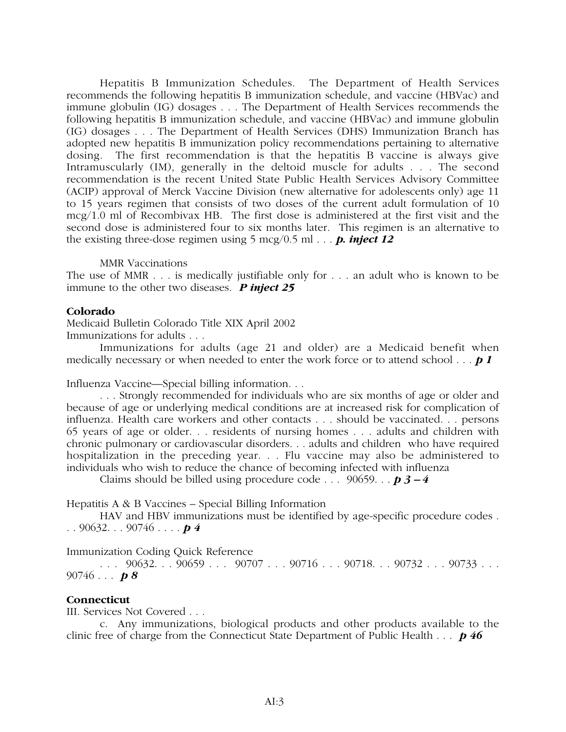Hepatitis B Immunization Schedules. The Department of Health Services recommends the following hepatitis B immunization schedule, and vaccine (HBVac) and immune globulin (IG) dosages . . . The Department of Health Services recommends the following hepatitis B immunization schedule, and vaccine (HBVac) and immune globulin (IG) dosages . . . The Department of Health Services (DHS) Immunization Branch has adopted new hepatitis B immunization policy recommendations pertaining to alternative dosing. The first recommendation is that the hepatitis B vaccine is always give Intramuscularly (IM), generally in the deltoid muscle for adults . . . The second recommendation is the recent United State Public Health Services Advisory Committee (ACIP) approval of Merck Vaccine Division (new alternative for adolescents only) age 11 to 15 years regimen that consists of two doses of the current adult formulation of 10 mcg/1.0 ml of Recombivax HB. The first dose is administered at the first visit and the second dose is administered four to six months later. This regimen is an alternative to the existing three-dose regimen using  $5 \text{ mcg}/0.5 \text{ ml} \dots$  **p. inject 12** 

MMR Vaccinations

The use of MMR . . . is medically justifiable only for . . . an adult who is known to be immune to the other two diseases. *P inject 25*

# **Colorado**

Medicaid Bulletin Colorado Title XIX April 2002 Immunizations for adults . . .

Immunizations for adults (age 21 and older) are a Medicaid benefit when medically necessary or when needed to enter the work force or to attend school . . . *p 1*

Influenza Vaccine—Special billing information. . .

. . . Strongly recommended for individuals who are six months of age or older and because of age or underlying medical conditions are at increased risk for complication of influenza. Health care workers and other contacts . . . should be vaccinated. . . persons 65 years of age or older. . . residents of nursing homes . . . adults and children with chronic pulmonary or cardiovascular disorders. . . adults and children who have required hospitalization in the preceding year. . . Flu vaccine may also be administered to individuals who wish to reduce the chance of becoming infected with influenza

Claims should be billed using procedure code . . . 90659. . . *p 3 – 4*

Hepatitis A & B Vaccines – Special Billing Information

HAV and HBV immunizations must be identified by age-specific procedure codes . . . 90632. . . 90746 . . . . *p 4*

Immunization Coding Quick Reference

 $\ldots$  90632.  $\ldots$  90659  $\ldots$  90707  $\ldots$  90716  $\ldots$  90718.  $\ldots$  90732  $\ldots$  90733  $\ldots$ 90746 . . . *p 8*

# **Connecticut**

III. Services Not Covered . . .

c. Any immunizations, biological products and other products available to the clinic free of charge from the Connecticut State Department of Public Health . . . *p 46*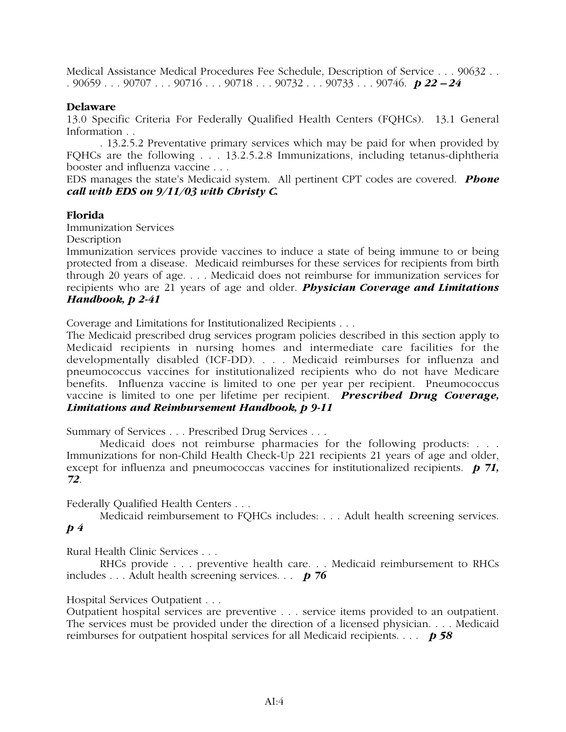Medical Assistance Medical Procedures Fee Schedule, Description of Service . . . 90632 . . . 90659 . . . 90707 . . . 90716 . . . 90718 . . . 90732 . . . 90733 . . . 90746. *p 22 – 24*

# **Delaware**

13.0 Specific Criteria For Federally Qualified Health Centers (FQHCs). 13.1 General Information . .

. 13.2.5.2 Preventative primary services which may be paid for when provided by FQHCs are the following . . . 13.2.5.2.8 Immunizations, including tetanus-diphtheria booster and influenza vaccine . . .

EDS manages the state's Medicaid system. All pertinent CPT codes are covered. *Phone call with EDS on 9/11/03 with Christy C.*

# **Florida**

Immunization Services

**Description** 

Immunization services provide vaccines to induce a state of being immune to or being protected from a disease. Medicaid reimburses for these services for recipients from birth through 20 years of age. . . . Medicaid does not reimburse for immunization services for recipients who are 21 years of age and older. *Physician Coverage and Limitations Handbook, p 2-41*

Coverage and Limitations for Institutionalized Recipients . . .

The Medicaid prescribed drug services program policies described in this section apply to Medicaid recipients in nursing homes and intermediate care facilities for the developmentally disabled (ICF-DD). . . . Medicaid reimburses for influenza and pneumococcus vaccines for institutionalized recipients who do not have Medicare benefits. Influenza vaccine is limited to one per year per recipient. Pneumococcus vaccine is limited to one per lifetime per recipient. *Prescribed Drug Coverage, Limitations and Reimbursement Handbook, p 9-11*

Summary of Services . . . Prescribed Drug Services . . .

Medicaid does not reimburse pharmacies for the following products: . . . Immunizations for non-Child Health Check-Up 221 recipients 21 years of age and older, except for influenza and pneumococcas vaccines for institutionalized recipients. *p 71, 72*.

Federally Qualified Health Centers . . .

Medicaid reimbursement to FQHCs includes: . . . Adult health screening services. *p 4*

Rural Health Clinic Services . . .

RHCs provide . . . preventive health care. . . Medicaid reimbursement to RHCs includes . . . Adult health screening services. . . *p 76*

Hospital Services Outpatient . . .

Outpatient hospital services are preventive . . . service items provided to an outpatient. The services must be provided under the direction of a licensed physician. . . . Medicaid reimburses for outpatient hospital services for all Medicaid recipients. . . . *p 58*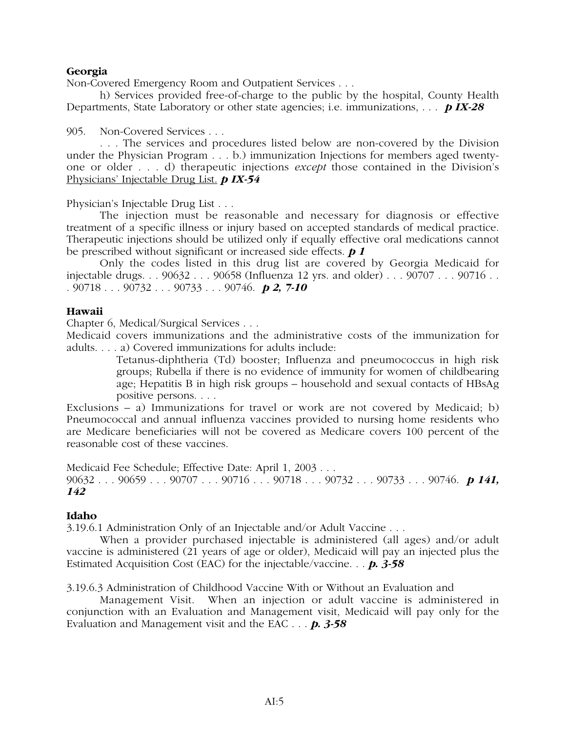# **Georgia**

Non-Covered Emergency Room and Outpatient Services . . .

h) Services provided free-of-charge to the public by the hospital, County Health Departments, State Laboratory or other state agencies; i.e. immunizations, . . . *p IX-28*

905. Non-Covered Services . . .

. . . The services and procedures listed below are non-covered by the Division under the Physician Program . . . b.) immunization Injections for members aged twentyone or older . . . d) therapeutic injections *except* those contained in the Division's Physicians' Injectable Drug List. *p IX-54*

Physician's Injectable Drug List . . .

The injection must be reasonable and necessary for diagnosis or effective treatment of a specific illness or injury based on accepted standards of medical practice. Therapeutic injections should be utilized only if equally effective oral medications cannot be prescribed without significant or increased side effects. *p 1*

Only the codes listed in this drug list are covered by Georgia Medicaid for injectable drugs. . . 90632 . . . 90658 (Influenza 12 yrs. and older) . . . 90707 . . . 90716 . . . 90718 . . . 90732 . . . 90733 . . . 90746. *p 2, 7-10*

## **Hawaii**

Chapter 6, Medical/Surgical Services . . .

Medicaid covers immunizations and the administrative costs of the immunization for adults. . . . a) Covered immunizations for adults include:

> Tetanus-diphtheria (Td) booster; Influenza and pneumococcus in high risk groups; Rubella if there is no evidence of immunity for women of childbearing age; Hepatitis B in high risk groups – household and sexual contacts of HBsAg positive persons. . . .

Exclusions – a) Immunizations for travel or work are not covered by Medicaid; b) Pneumococcal and annual influenza vaccines provided to nursing home residents who are Medicare beneficiaries will not be covered as Medicare covers 100 percent of the reasonable cost of these vaccines.

Medicaid Fee Schedule; Effective Date: April 1, 2003 . . . 90632 . . . 90659 . . . 90707 . . . 90716 . . . 90718 . . . 90732 . . . 90733 . . . 90746. *p 141, 142*

# **Idaho**

3.19.6.1 Administration Only of an Injectable and/or Adult Vaccine . . .

When a provider purchased injectable is administered (all ages) and/or adult vaccine is administered (21 years of age or older), Medicaid will pay an injected plus the Estimated Acquisition Cost (EAC) for the injectable/vaccine. . . *p. 3-58*

3.19.6.3 Administration of Childhood Vaccine With or Without an Evaluation and

Management Visit. When an injection or adult vaccine is administered in conjunction with an Evaluation and Management visit, Medicaid will pay only for the Evaluation and Management visit and the EAC . . . *p. 3-58*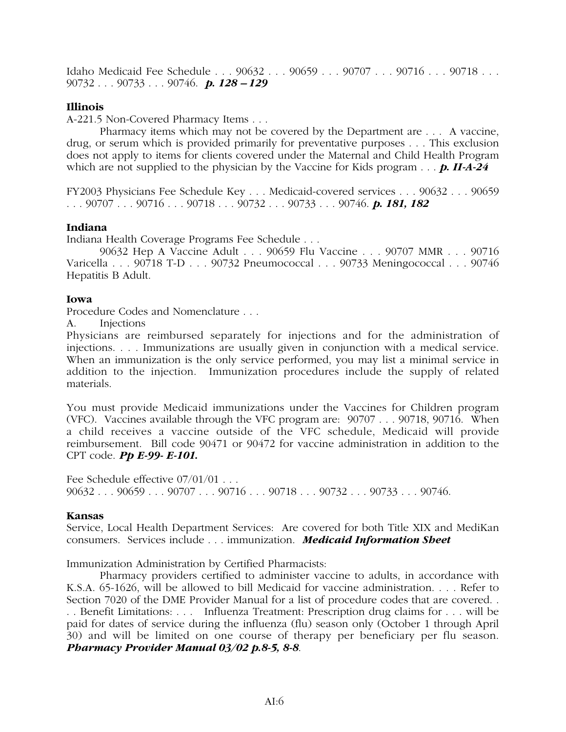Idaho Medicaid Fee Schedule . . . 90632 . . . 90659 . . . 90707 . . . 90716 . . . 90718 . . . 90732 . . . 90733 . . . 90746. *p. 128 – 129*

# **Illinois**

A-221.5 Non-Covered Pharmacy Items . . .

Pharmacy items which may not be covered by the Department are . . . A vaccine, drug, or serum which is provided primarily for preventative purposes . . . This exclusion does not apply to items for clients covered under the Maternal and Child Health Program which are not supplied to the physician by the Vaccine for Kids program . . . *p. II-A-24* 

FY2003 Physicians Fee Schedule Key . . . Medicaid-covered services . . . 90632 . . . 90659 . . . 90707 . . . 90716 . . . 90718 . . . 90732 . . . 90733 . . . 90746. *p. 181, 182*

## **Indiana**

Indiana Health Coverage Programs Fee Schedule . . .

90632 Hep A Vaccine Adult . . . 90659 Flu Vaccine . . . 90707 MMR . . . 90716 Varicella . . . 90718 T-D . . . 90732 Pneumococcal . . . 90733 Meningococcal . . . 90746 Hepatitis B Adult.

## **Iowa**

Procedure Codes and Nomenclature . . .

A. Injections

Physicians are reimbursed separately for injections and for the administration of injections. . . . Immunizations are usually given in conjunction with a medical service. When an immunization is the only service performed, you may list a minimal service in addition to the injection. Immunization procedures include the supply of related materials.

You must provide Medicaid immunizations under the Vaccines for Children program (VFC). Vaccines available through the VFC program are: 90707 . . . 90718, 90716. When a child receives a vaccine outside of the VFC schedule, Medicaid will provide reimbursement. Bill code 90471 or 90472 for vaccine administration in addition to the CPT code. *Pp E-99- E-101.*

Fee Schedule effective 07/01/01 . . . 90632 . . . 90659 . . . 90707 . . . 90716 . . . 90718 . . . 90732 . . . 90733 . . . 90746.

## **Kansas**

Service, Local Health Department Services: Are covered for both Title XIX and MediKan consumers. Services include . . . immunization. *Medicaid Information Sheet*

Immunization Administration by Certified Pharmacists:

Pharmacy providers certified to administer vaccine to adults, in accordance with K.S.A. 65-1626, will be allowed to bill Medicaid for vaccine administration. . . . Refer to Section 7020 of the DME Provider Manual for a list of procedure codes that are covered. . . . Benefit Limitations: . . . Influenza Treatment: Prescription drug claims for . . . will be paid for dates of service during the influenza (flu) season only (October 1 through April 30) and will be limited on one course of therapy per beneficiary per flu season. *Pharmacy Provider Manual 03/02 p.8-5, 8-8*.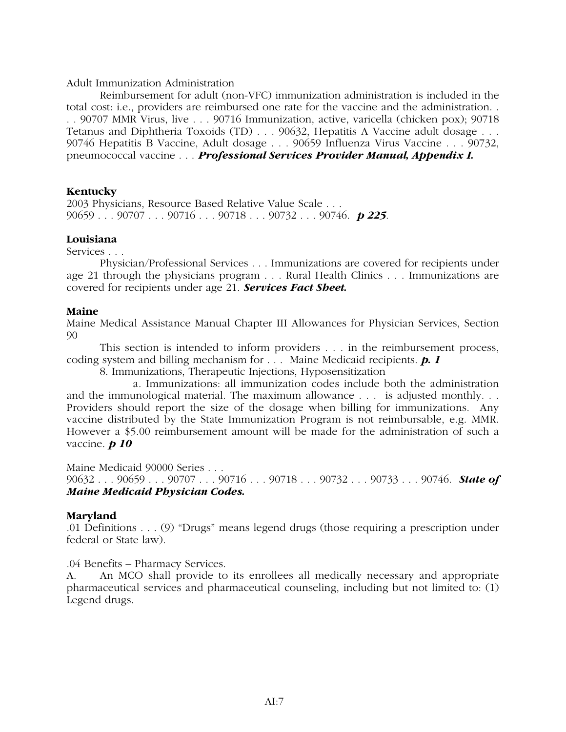# Adult Immunization Administration

Reimbursement for adult (non-VFC) immunization administration is included in the total cost: i.e., providers are reimbursed one rate for the vaccine and the administration. . . . 90707 MMR Virus, live . . . 90716 Immunization, active, varicella (chicken pox); 90718 Tetanus and Diphtheria Toxoids (TD) . . . 90632, Hepatitis A Vaccine adult dosage . . . 90746 Hepatitis B Vaccine, Adult dosage . . . 90659 Influenza Virus Vaccine . . . 90732, pneumococcal vaccine . . . *Professional Services Provider Manual, Appendix I.*

# **Kentucky**

2003 Physicians, Resource Based Relative Value Scale . . . 90659 . . . 90707 . . . 90716 . . . 90718 . . . 90732 . . . 90746. *p 225*.

# **Louisiana**

Services . . .

Physician/Professional Services . . . Immunizations are covered for recipients under age 21 through the physicians program . . . Rural Health Clinics . . . Immunizations are covered for recipients under age 21. *Services Fact Sheet.*

# **Maine**

Maine Medical Assistance Manual Chapter III Allowances for Physician Services, Section 90

This section is intended to inform providers . . . in the reimbursement process, coding system and billing mechanism for . . . Maine Medicaid recipients. *p. 1*

8. Immunizations, Therapeutic Injections, Hyposensitization

a. Immunizations: all immunization codes include both the administration and the immunological material. The maximum allowance . . . is adjusted monthly. . . Providers should report the size of the dosage when billing for immunizations. Any vaccine distributed by the State Immunization Program is not reimbursable, e.g. MMR. However a \$5.00 reimbursement amount will be made for the administration of such a vaccine. *p 10*

Maine Medicaid 90000 Series . . . 90632 . . . 90659 . . . 90707 . . . 90716 . . . 90718 . . . 90732 . . . 90733 . . . 90746. *State of Maine Medicaid Physician Codes.*

# **Maryland**

.01 Definitions . . . (9) "Drugs" means legend drugs (those requiring a prescription under federal or State law).

.04 Benefits – Pharmacy Services.

A. An MCO shall provide to its enrollees all medically necessary and appropriate pharmaceutical services and pharmaceutical counseling, including but not limited to: (1) Legend drugs.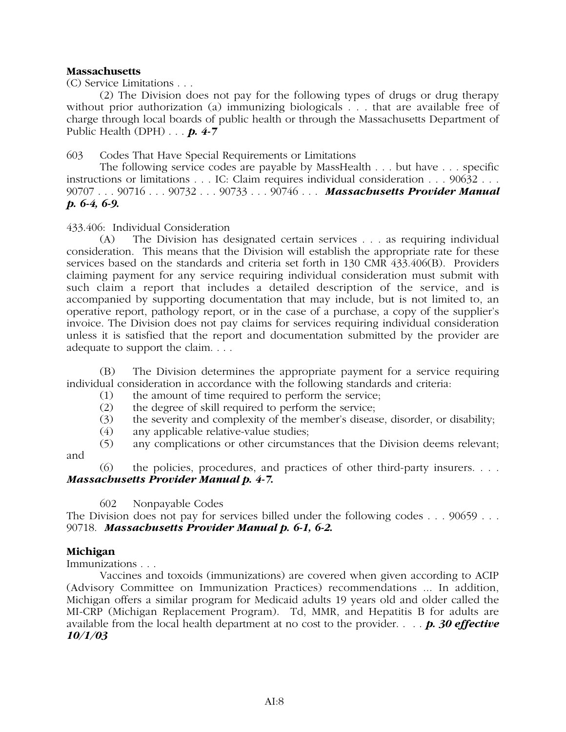# **Massachusetts**

(C) Service Limitations . . .

(2) The Division does not pay for the following types of drugs or drug therapy without prior authorization (a) immunizing biologicals . . . that are available free of charge through local boards of public health or through the Massachusetts Department of Public Health (DPH) . . . *p. 4-7*

603 Codes That Have Special Requirements or Limitations

The following service codes are payable by MassHealth . . . but have . . . specific instructions or limitations . . . IC: Claim requires individual consideration . . . 90632 . . . 90707 . . . 90716 . . . 90732 . . . 90733 . . . 90746 . . . *Massachusetts Provider Manual p. 6-4, 6-9.*

433.406: Individual Consideration

(A) The Division has designated certain services . . . as requiring individual consideration. This means that the Division will establish the appropriate rate for these services based on the standards and criteria set forth in 130 CMR 433.406(B). Providers claiming payment for any service requiring individual consideration must submit with such claim a report that includes a detailed description of the service, and is accompanied by supporting documentation that may include, but is not limited to, an operative report, pathology report, or in the case of a purchase, a copy of the supplier's invoice. The Division does not pay claims for services requiring individual consideration unless it is satisfied that the report and documentation submitted by the provider are adequate to support the claim. . . .

(B) The Division determines the appropriate payment for a service requiring individual consideration in accordance with the following standards and criteria:

- (1) the amount of time required to perform the service;
- (2) the degree of skill required to perform the service;
- (3) the severity and complexity of the member's disease, disorder, or disability;
- (4) any applicable relative-value studies;
- (5) any complications or other circumstances that the Division deems relevant; and

(6) the policies, procedures, and practices of other third-party insurers. . . . *Massachusetts Provider Manual p. 4-7.*

602 Nonpayable Codes

The Division does not pay for services billed under the following codes . . . 90659 . . . 90718. *Massachusetts Provider Manual p. 6-1, 6-2.*

# **Michigan**

Immunizations . . .

Vaccines and toxoids (immunizations) are covered when given according to ACIP (Advisory Committee on Immunization Practices) recommendations ... In addition, Michigan offers a similar program for Medicaid adults 19 years old and older called the MI-CRP (Michigan Replacement Program). Td, MMR, and Hepatitis B for adults are available from the local health department at no cost to the provider. . . . *p. 30 effective 10/1/03*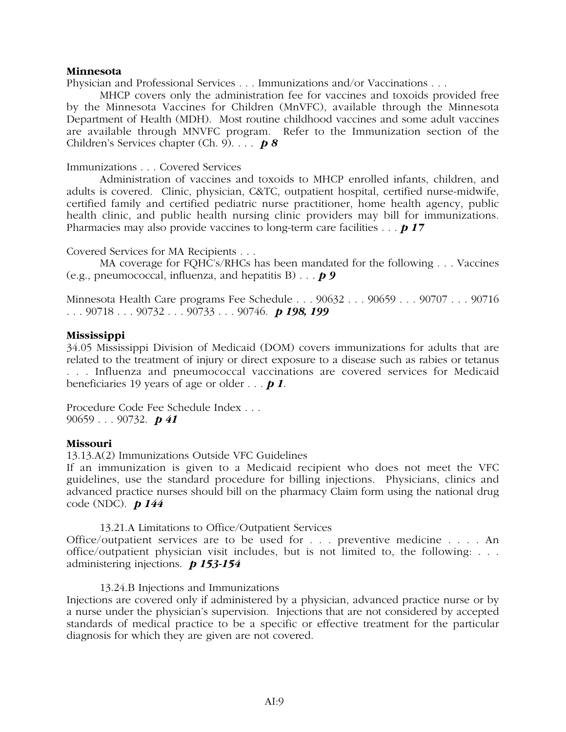# **Minnesota**

Physician and Professional Services . . . Immunizations and/or Vaccinations . . .

MHCP covers only the administration fee for vaccines and toxoids provided free by the Minnesota Vaccines for Children (MnVFC), available through the Minnesota Department of Health (MDH). Most routine childhood vaccines and some adult vaccines are available through MNVFC program. Refer to the Immunization section of the Children's Services chapter (Ch. 9). . . . *p 8*

Immunizations . . . Covered Services

Administration of vaccines and toxoids to MHCP enrolled infants, children, and adults is covered. Clinic, physician, C&TC, outpatient hospital, certified nurse-midwife, certified family and certified pediatric nurse practitioner, home health agency, public health clinic, and public health nursing clinic providers may bill for immunizations. Pharmacies may also provide vaccines to long-term care facilities . . . *p 17*

Covered Services for MA Recipients . . .

MA coverage for FQHC's/RHCs has been mandated for the following . . . Vaccines (e.g., pneumococcal, influenza, and hepatitis B) . . . *p 9*

Minnesota Health Care programs Fee Schedule . . . 90632 . . . 90659 . . . 90707 . . . 90716 . . . 90718 . . . 90732 . . . 90733 . . . 90746. *p 198, 199*

# **Mississippi**

34.05 Mississippi Division of Medicaid (DOM) covers immunizations for adults that are related to the treatment of injury or direct exposure to a disease such as rabies or tetanus . . . Influenza and pneumococcal vaccinations are covered services for Medicaid beneficiaries 19 years of age or older . . . *p 1*.

Procedure Code Fee Schedule Index . . . 90659 . . . 90732. *p 41*

# **Missouri**

13.13.A(2) Immunizations Outside VFC Guidelines

If an immunization is given to a Medicaid recipient who does not meet the VFC guidelines, use the standard procedure for billing injections. Physicians, clinics and advanced practice nurses should bill on the pharmacy Claim form using the national drug code (NDC). *p 144*

# 13.21.A Limitations to Office/Outpatient Services

Office/outpatient services are to be used for . . . preventive medicine . . . . An office/outpatient physician visit includes, but is not limited to, the following: . . . administering injections. *p 153-154*

# 13.24.B Injections and Immunizations

Injections are covered only if administered by a physician, advanced practice nurse or by a nurse under the physician's supervision. Injections that are not considered by accepted standards of medical practice to be a specific or effective treatment for the particular diagnosis for which they are given are not covered.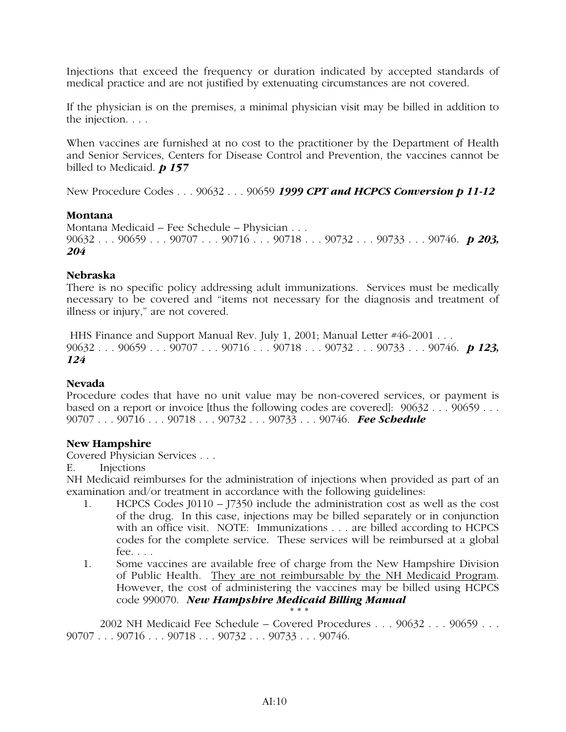Injections that exceed the frequency or duration indicated by accepted standards of medical practice and are not justified by extenuating circumstances are not covered.

If the physician is on the premises, a minimal physician visit may be billed in addition to the injection. . . .

When vaccines are furnished at no cost to the practitioner by the Department of Health and Senior Services, Centers for Disease Control and Prevention, the vaccines cannot be billed to Medicaid. *p 157*

New Procedure Codes . . . 90632 . . . 90659 *1999 CPT and HCPCS Conversion p 11-12*

# **Montana**

Montana Medicaid – Fee Schedule – Physician . . . 90632 . . . 90659 . . . 90707 . . . 90716 . . . 90718 . . . 90732 . . . 90733 . . . 90746. *p 203, 204*

# **Nebraska**

There is no specific policy addressing adult immunizations. Services must be medically necessary to be covered and "items not necessary for the diagnosis and treatment of illness or injury," are not covered.

HHS Finance and Support Manual Rev. July 1, 2001; Manual Letter #46-2001 . . . 90632 . . . 90659 . . . 90707 . . . 90716 . . . 90718 . . . 90732 . . . 90733 . . . 90746. *p 123, 124*

# **Nevada**

Procedure codes that have no unit value may be non-covered services, or payment is based on a report or invoice [thus the following codes are covered]: 90632 . . . 90659 . . . 90707 . . . 90716 . . . 90718 . . . 90732 . . . 90733 . . . 90746. *Fee Schedule*

# **New Hampshire**

Covered Physician Services . . .

E. Injections

NH Medicaid reimburses for the administration of injections when provided as part of an examination and/or treatment in accordance with the following guidelines:

- 1. HCPCS Codes J0110 J7350 include the administration cost as well as the cost of the drug. In this case, injections may be billed separately or in conjunction with an office visit. NOTE: Immunizations . . . are billed according to HCPCS codes for the complete service. These services will be reimbursed at a global fee. . . .
- 1. Some vaccines are available free of charge from the New Hampshire Division of Public Health. They are not reimbursable by the NH Medicaid Program. However, the cost of administering the vaccines may be billed using HCPCS code 990070. *New Hampshire Medicaid Billing Manual*

\* \* \*

2002 NH Medicaid Fee Schedule – Covered Procedures . . . 90632 . . . 90659 . . . 90707 . . . 90716 . . . 90718 . . . 90732 . . . 90733 . . . 90746.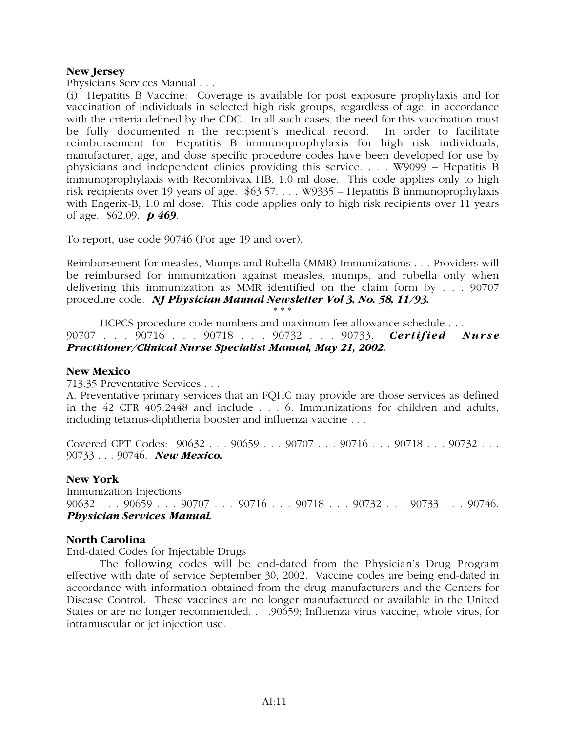# **New Jersey**

Physicians Services Manual . . .

(i) Hepatitis B Vaccine: Coverage is available for post exposure prophylaxis and for vaccination of individuals in selected high risk groups, regardless of age, in accordance with the criteria defined by the CDC. In all such cases, the need for this vaccination must be fully documented n the recipient's medical record. In order to facilitate reimbursement for Hepatitis B immunoprophylaxis for high risk individuals, manufacturer, age, and dose specific procedure codes have been developed for use by physicians and independent clinics providing this service. . . . W9099 – Hepatitis B immunoprophylaxis with Recombivax HB, 1.0 ml dose. This code applies only to high risk recipients over 19 years of age. \$63.57. . . . W9335 – Hepatitis B immunoprophylaxis with Engerix-B, 1.0 ml dose. This code applies only to high risk recipients over 11 years of age. \$62.09. *p 469*.

To report, use code 90746 (For age 19 and over).

Reimbursement for measles, Mumps and Rubella (MMR) Immunizations . . . Providers will be reimbursed for immunization against measles, mumps, and rubella only when delivering this immunization as MMR identified on the claim form by . . . 90707 procedure code. *NJ Physician Manual Newsletter Vol 3, No. 58, 11/93.*

\* \* \* HCPCS procedure code numbers and maximum fee allowance schedule . . . 90707 . . . 90716 . . . 90718 . . . 90732 . . . 90733. *Certified Nurse Practitioner/Clinical Nurse Specialist Manual, May 21, 2002.*

# **New Mexico**

713.35 Preventative Services . . .

A. Preventative primary services that an FQHC may provide are those services as defined in the 42 CFR 405.2448 and include . . . 6. Immunizations for children and adults, including tetanus-diphtheria booster and influenza vaccine . . .

Covered CPT Codes:  $90632...90659...90707...90716...90718...90732...$ 90733 . . . 90746. *New Mexico.*

# **New York**

Immunization Injections 90632 . . . 90659 . . . 90707 . . . 90716 . . . 90718 . . . 90732 . . . 90733 . . . 90746. *Physician Services Manual.*

# **North Carolina**

End-dated Codes for Injectable Drugs

The following codes will be end-dated from the Physician's Drug Program effective with date of service September 30, 2002. Vaccine codes are being end-dated in accordance with information obtained from the drug manufacturers and the Centers for Disease Control. These vaccines are no longer manufactured or available in the United States or are no longer recommended. . . .90659; Influenza virus vaccine, whole virus, for intramuscular or jet injection use.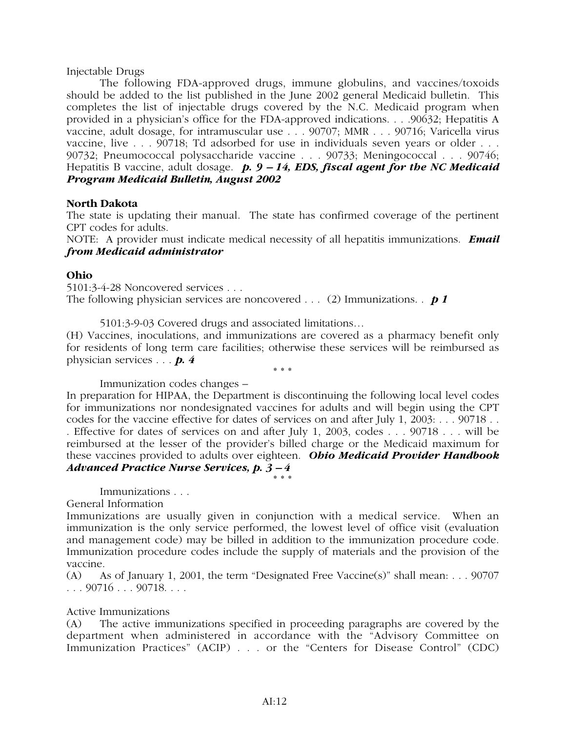# Injectable Drugs

The following FDA-approved drugs, immune globulins, and vaccines/toxoids should be added to the list published in the June 2002 general Medicaid bulletin. This completes the list of injectable drugs covered by the N.C. Medicaid program when provided in a physician's office for the FDA-approved indications. . . .90632; Hepatitis A vaccine, adult dosage, for intramuscular use . . . 90707; MMR . . . 90716; Varicella virus vaccine, live . . . 90718; Td adsorbed for use in individuals seven years or older . . . 90732; Pneumococcal polysaccharide vaccine . . . 90733; Meningococcal . . . 90746; Hepatitis B vaccine, adult dosage. *p. 9 – 14, EDS, fiscal agent for the NC Medicaid Program Medicaid Bulletin, August 2002*

# **North Dakota**

The state is updating their manual. The state has confirmed coverage of the pertinent CPT codes for adults.

NOTE: A provider must indicate medical necessity of all hepatitis immunizations. *Email from Medicaid administrator*

# **Ohio**

5101:3-4-28 Noncovered services . . . The following physician services are noncovered . . . (2) Immunizations. . *p 1*

5101:3-9-03 Covered drugs and associated limitations…

(H) Vaccines, inoculations, and immunizations are covered as a pharmacy benefit only for residents of long term care facilities; otherwise these services will be reimbursed as physician services . . . *p. 4*

\* \* \*

Immunization codes changes –

In preparation for HIPAA, the Department is discontinuing the following local level codes for immunizations nor nondesignated vaccines for adults and will begin using the CPT codes for the vaccine effective for dates of services on and after July 1, 2003: . . . 90718 . . . Effective for dates of services on and after July 1, 2003, codes . . . 90718 . . . will be reimbursed at the lesser of the provider's billed charge or the Medicaid maximum for these vaccines provided to adults over eighteen. *Ohio Medicaid Provider Handbook Advanced Practice Nurse Services, p. 3 – 4*

\* \* \*

Immunizations . . .

General Information

Immunizations are usually given in conjunction with a medical service. When an immunization is the only service performed, the lowest level of office visit (evaluation and management code) may be billed in addition to the immunization procedure code. Immunization procedure codes include the supply of materials and the provision of the vaccine.

(A) As of January 1, 2001, the term "Designated Free Vaccine(s)" shall mean: . . . 90707 . . . 90716 . . . 90718. . . .

# Active Immunizations

(A) The active immunizations specified in proceeding paragraphs are covered by the department when administered in accordance with the "Advisory Committee on Immunization Practices" (ACIP) . . . or the "Centers for Disease Control" (CDC)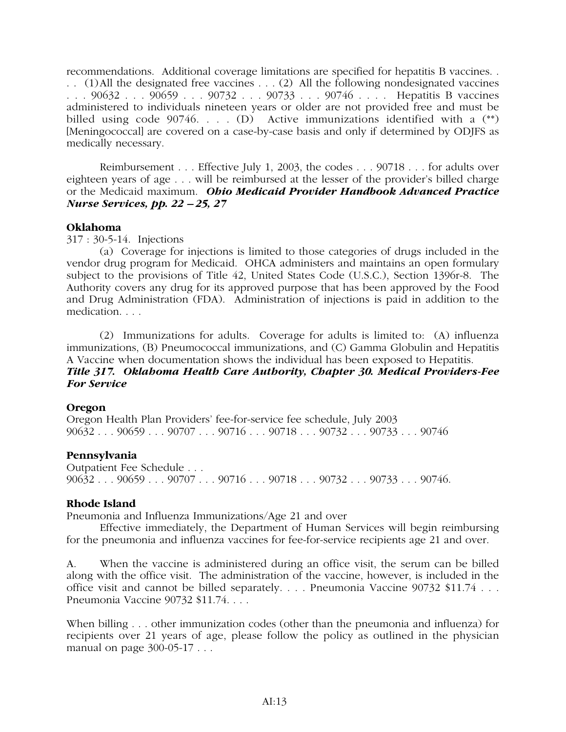recommendations. Additional coverage limitations are specified for hepatitis B vaccines. . . . (1)All the designated free vaccines . . . (2) All the following nondesignated vaccines . . . 90632 . . . 90659 . . . 90732 . . . 90733 . . . 90746 . . . . Hepatitis B vaccines administered to individuals nineteen years or older are not provided free and must be billed using code 90746. . . . (D) Active immunizations identified with a (\*\*) [Meningococcal] are covered on a case-by-case basis and only if determined by ODJFS as medically necessary.

Reimbursement . . . Effective July 1, 2003, the codes . . . 90718 . . . for adults over eighteen years of age . . . will be reimbursed at the lesser of the provider's billed charge or the Medicaid maximum. *Ohio Medicaid Provider Handbook Advanced Practice Nurse Services, pp. 22 – 25, 27*

# **Oklahoma**

317 : 30-5-14. Injections

(a) Coverage for injections is limited to those categories of drugs included in the vendor drug program for Medicaid. OHCA administers and maintains an open formulary subject to the provisions of Title 42, United States Code (U.S.C.), Section 1396r-8. The Authority covers any drug for its approved purpose that has been approved by the Food and Drug Administration (FDA). Administration of injections is paid in addition to the medication. . . .

(2) Immunizations for adults. Coverage for adults is limited to: (A) influenza immunizations, (B) Pneumococcal immunizations, and (C) Gamma Globulin and Hepatitis A Vaccine when documentation shows the individual has been exposed to Hepatitis. *Title 317. Oklahoma Health Care Authority, Chapter 30. Medical Providers-Fee*

# *For Service*

# **Oregon**

Oregon Health Plan Providers' fee-for-service fee schedule, July 2003 90632 . . . 90659 . . . 90707 . . . 90716 . . . 90718 . . . 90732 . . . 90733 . . . 90746

# **Pennsylvania**

Outpatient Fee Schedule . . . 90632 . . . 90659 . . . 90707 . . . 90716 . . . 90718 . . . 90732 . . . 90733 . . . 90746.

# **Rhode Island**

Pneumonia and Influenza Immunizations/Age 21 and over

Effective immediately, the Department of Human Services will begin reimbursing for the pneumonia and influenza vaccines for fee-for-service recipients age 21 and over.

A. When the vaccine is administered during an office visit, the serum can be billed along with the office visit. The administration of the vaccine, however, is included in the office visit and cannot be billed separately. . . . Pneumonia Vaccine 90732 \$11.74 . . . Pneumonia Vaccine 90732 \$11.74. . . .

When billing . . . other immunization codes (other than the pneumonia and influenza) for recipients over 21 years of age, please follow the policy as outlined in the physician manual on page 300-05-17 . . .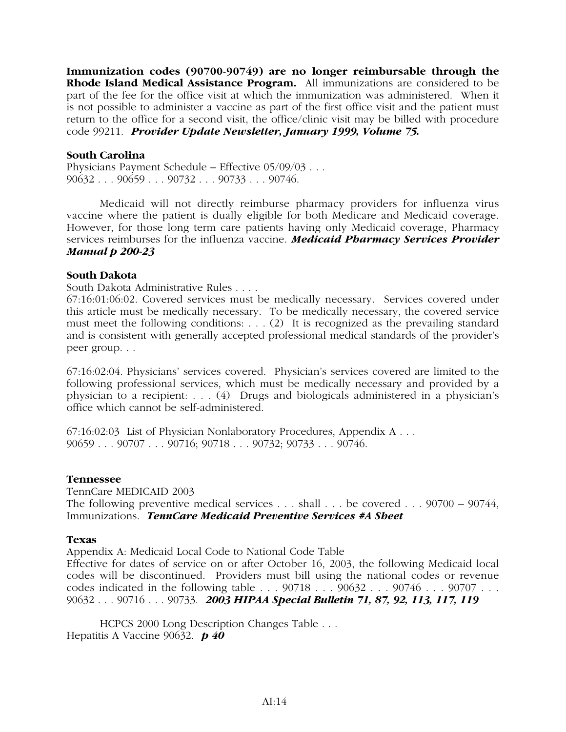**Immunization codes (90700-90749) are no longer reimbursable through the Rhode Island Medical Assistance Program.** All immunizations are considered to be part of the fee for the office visit at which the immunization was administered. When it is not possible to administer a vaccine as part of the first office visit and the patient must return to the office for a second visit, the office/clinic visit may be billed with procedure code 99211. *Provider Update Newsletter, January 1999, Volume 75.*

# **South Carolina**

Physicians Payment Schedule – Effective 05/09/03 . . . 90632 . . . 90659 . . . 90732 . . . 90733 . . . 90746.

Medicaid will not directly reimburse pharmacy providers for influenza virus vaccine where the patient is dually eligible for both Medicare and Medicaid coverage. However, for those long term care patients having only Medicaid coverage, Pharmacy services reimburses for the influenza vaccine. *Medicaid Pharmacy Services Provider Manual p 200-23*

# **South Dakota**

South Dakota Administrative Rules . . . .

67:16:01:06:02. Covered services must be medically necessary. Services covered under this article must be medically necessary. To be medically necessary, the covered service must meet the following conditions: . . . (2) It is recognized as the prevailing standard and is consistent with generally accepted professional medical standards of the provider's peer group. . .

67:16:02:04. Physicians' services covered. Physician's services covered are limited to the following professional services, which must be medically necessary and provided by a physician to a recipient: . . . (4) Drugs and biologicals administered in a physician's office which cannot be self-administered.

67:16:02:03 List of Physician Nonlaboratory Procedures, Appendix A . . . 90659 . . . 90707 . . . 90716; 90718 . . . 90732; 90733 . . . 90746.

# **Tennessee**

TennCare MEDICAID 2003 The following preventive medical services . . . shall . . . be covered . . . 90700 – 90744, Immunizations. *TennCare Medicaid Preventive Services #A Sheet*

# **Texas**

Appendix A: Medicaid Local Code to National Code Table

Effective for dates of service on or after October 16, 2003, the following Medicaid local codes will be discontinued. Providers must bill using the national codes or revenue codes indicated in the following table . . . 90718 . . . 90632 . . . 90746 . . . 90707 . . . 90632 . . . 90716 . . . 90733. *2003 HIPAA Special Bulletin 71, 87, 92, 113, 117, 119*

HCPCS 2000 Long Description Changes Table . . . Hepatitis A Vaccine 90632. *p 40*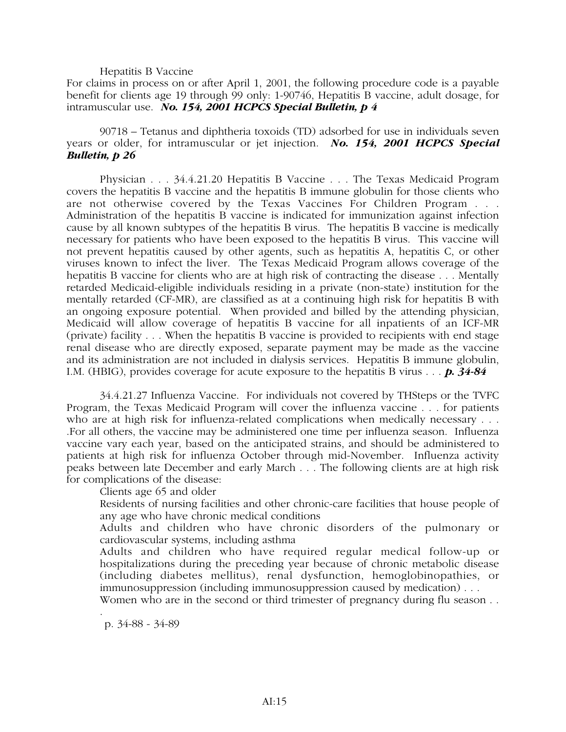## Hepatitis B Vaccine

For claims in process on or after April 1, 2001, the following procedure code is a payable benefit for clients age 19 through 99 only: 1-90746, Hepatitis B vaccine, adult dosage, for intramuscular use. *No. 154, 2001 HCPCS Special Bulletin, p 4*

90718 – Tetanus and diphtheria toxoids (TD) adsorbed for use in individuals seven years or older, for intramuscular or jet injection. *No. 154, 2001 HCPCS Special Bulletin, p 26*

Physician . . . 34.4.21.20 Hepatitis B Vaccine . . . The Texas Medicaid Program covers the hepatitis B vaccine and the hepatitis B immune globulin for those clients who are not otherwise covered by the Texas Vaccines For Children Program . . . Administration of the hepatitis B vaccine is indicated for immunization against infection cause by all known subtypes of the hepatitis B virus. The hepatitis B vaccine is medically necessary for patients who have been exposed to the hepatitis B virus. This vaccine will not prevent hepatitis caused by other agents, such as hepatitis A, hepatitis C, or other viruses known to infect the liver. The Texas Medicaid Program allows coverage of the hepatitis B vaccine for clients who are at high risk of contracting the disease . . . Mentally retarded Medicaid-eligible individuals residing in a private (non-state) institution for the mentally retarded (CF-MR), are classified as at a continuing high risk for hepatitis B with an ongoing exposure potential. When provided and billed by the attending physician, Medicaid will allow coverage of hepatitis B vaccine for all inpatients of an ICF-MR (private) facility . . . When the hepatitis B vaccine is provided to recipients with end stage renal disease who are directly exposed, separate payment may be made as the vaccine and its administration are not included in dialysis services. Hepatitis B immune globulin, I.M. (HBIG), provides coverage for acute exposure to the hepatitis B virus . . . *p. 34-84*

34.4.21.27 Influenza Vaccine. For individuals not covered by THSteps or the TVFC Program, the Texas Medicaid Program will cover the influenza vaccine . . . for patients who are at high risk for influenza-related complications when medically necessary . . . .For all others, the vaccine may be administered one time per influenza season. Influenza vaccine vary each year, based on the anticipated strains, and should be administered to patients at high risk for influenza October through mid-November. Influenza activity peaks between late December and early March . . . The following clients are at high risk for complications of the disease:

Clients age 65 and older

Residents of nursing facilities and other chronic-care facilities that house people of any age who have chronic medical conditions

Adults and children who have chronic disorders of the pulmonary or cardiovascular systems, including asthma

Adults and children who have required regular medical follow-up or hospitalizations during the preceding year because of chronic metabolic disease (including diabetes mellitus), renal dysfunction, hemoglobinopathies, or immunosuppression (including immunosuppression caused by medication) . . .

Women who are in the second or third trimester of pregnancy during flu season...

p. 34-88 - 34-89

.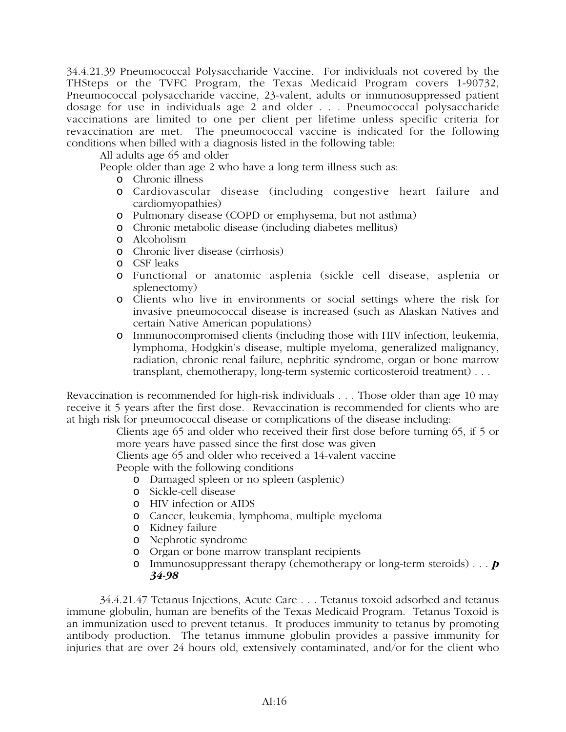34.4.21.39 Pneumococcal Polysaccharide Vaccine. For individuals not covered by the THSteps or the TVFC Program, the Texas Medicaid Program covers 1-90732, Pneumococcal polysaccharide vaccine, 23-valent, adults or immunosuppressed patient dosage for use in individuals age 2 and older . . . Pneumococcal polysaccharide vaccinations are limited to one per client per lifetime unless specific criteria for revaccination are met. The pneumococcal vaccine is indicated for the following conditions when billed with a diagnosis listed in the following table:

All adults age 65 and older

People older than age 2 who have a long term illness such as:

- o Chronic illness
- o Cardiovascular disease (including congestive heart failure and cardiomyopathies)
- o Pulmonary disease (COPD or emphysema, but not asthma)
- o Chronic metabolic disease (including diabetes mellitus)
- o Alcoholism
- o Chronic liver disease (cirrhosis)
- o CSF leaks
- o Functional or anatomic asplenia (sickle cell disease, asplenia or splenectomy)
- o Clients who live in environments or social settings where the risk for invasive pneumococcal disease is increased (such as Alaskan Natives and certain Native American populations)
- o Immunocompromised clients (including those with HIV infection, leukemia, lymphoma, Hodgkin's disease, multiple myeloma, generalized malignancy, radiation, chronic renal failure, nephritic syndrome, organ or bone marrow transplant, chemotherapy, long-term systemic corticosteroid treatment) . . .

Revaccination is recommended for high-risk individuals . . . Those older than age 10 may receive it 5 years after the first dose. Revaccination is recommended for clients who are at high risk for pneumococcal disease or complications of the disease including:

> Clients age 65 and older who received their first dose before turning 65, if 5 or more years have passed since the first dose was given

Clients age 65 and older who received a 14-valent vaccine

People with the following conditions

- o Damaged spleen or no spleen (asplenic)
- o Sickle-cell disease
- o HIV infection or AIDS
- o Cancer, leukemia, lymphoma, multiple myeloma
- o Kidney failure
- o Nephrotic syndrome
- o Organ or bone marrow transplant recipients
- o Immunosuppressant therapy (chemotherapy or long-term steroids) . . . *p 34-98*

34.4.21.47 Tetanus Injections, Acute Care . . . Tetanus toxoid adsorbed and tetanus immune globulin, human are benefits of the Texas Medicaid Program. Tetanus Toxoid is an immunization used to prevent tetanus. It produces immunity to tetanus by promoting antibody production. The tetanus immune globulin provides a passive immunity for injuries that are over 24 hours old, extensively contaminated, and/or for the client who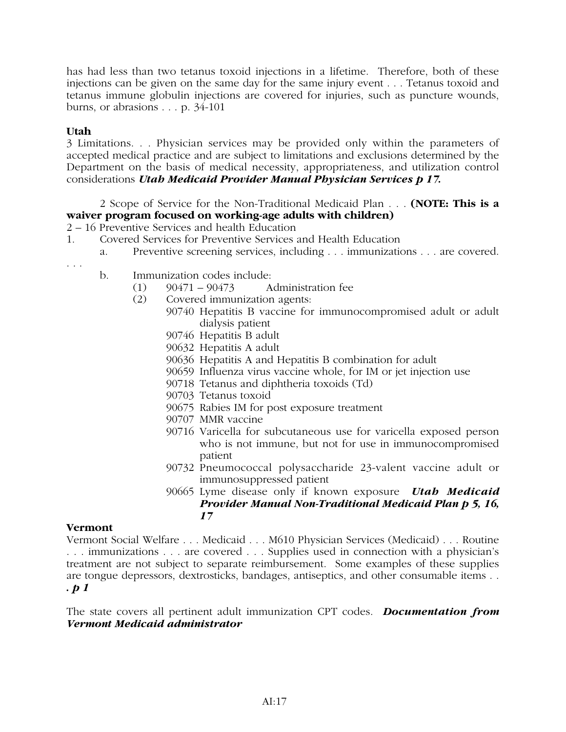has had less than two tetanus toxoid injections in a lifetime. Therefore, both of these injections can be given on the same day for the same injury event . . . Tetanus toxoid and tetanus immune globulin injections are covered for injuries, such as puncture wounds, burns, or abrasions . . . p. 34-101

# **Utah**

3 Limitations. . . Physician services may be provided only within the parameters of accepted medical practice and are subject to limitations and exclusions determined by the Department on the basis of medical necessity, appropriateness, and utilization control considerations *Utah Medicaid Provider Manual Physician Services p 17.*

2 Scope of Service for the Non-Traditional Medicaid Plan . . . **(NOTE: This is a waiver program focused on working-age adults with children)**

2 – 16 Preventive Services and health Education

- 1. Covered Services for Preventive Services and Health Education
	- a. Preventive screening services, including . . . immunizations . . . are covered.

. . .

- b. Immunization codes include:
	- $(1)$  90471 90473 Administration fee
	- (2) Covered immunization agents:
		- 90740 Hepatitis B vaccine for immunocompromised adult or adult dialysis patient
			- 90746 Hepatitis B adult
			- 90632 Hepatitis A adult
			- 90636 Hepatitis A and Hepatitis B combination for adult
			- 90659 Influenza virus vaccine whole, for IM or jet injection use
			- 90718 Tetanus and diphtheria toxoids (Td)
			- 90703 Tetanus toxoid
			- 90675 Rabies IM for post exposure treatment
			- 90707 MMR vaccine
			- 90716 Varicella for subcutaneous use for varicella exposed person who is not immune, but not for use in immunocompromised patient
			- 90732 Pneumococcal polysaccharide 23-valent vaccine adult or immunosuppressed patient
			- 90665 Lyme disease only if known exposure *Utah Medicaid Provider Manual Non-Traditional Medicaid Plan p 5, 16, 17*

# **Vermont**

Vermont Social Welfare . . . Medicaid . . . M610 Physician Services (Medicaid) . . . Routine . . . immunizations . . . are covered . . . Supplies used in connection with a physician's treatment are not subject to separate reimbursement. Some examples of these supplies are tongue depressors, dextrosticks, bandages, antiseptics, and other consumable items . . *. p 1*

The state covers all pertinent adult immunization CPT codes. *Documentation from Vermont Medicaid administrator*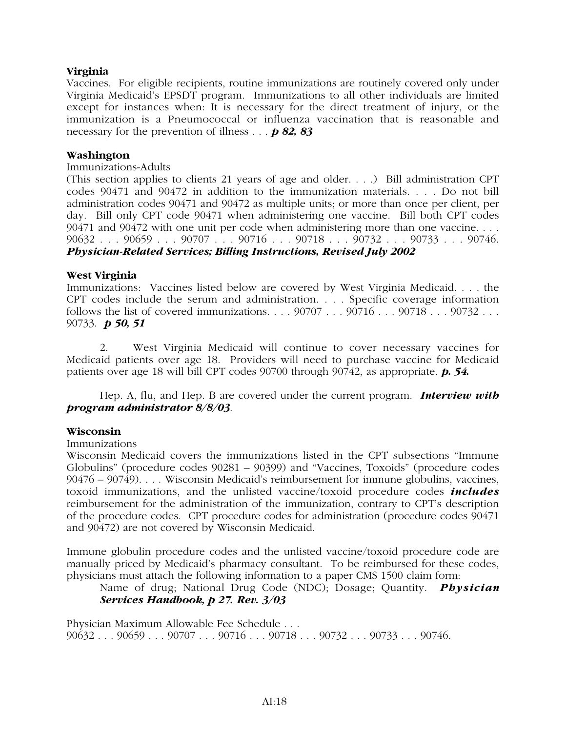# **Virginia**

Vaccines. For eligible recipients, routine immunizations are routinely covered only under Virginia Medicaid's EPSDT program. Immunizations to all other individuals are limited except for instances when: It is necessary for the direct treatment of injury, or the immunization is a Pneumococcal or influenza vaccination that is reasonable and necessary for the prevention of illness . . . *p 82, 83*

# **Washington**

# Immunizations-Adults

(This section applies to clients 21 years of age and older. . . .) Bill administration CPT codes 90471 and 90472 in addition to the immunization materials. . . . Do not bill administration codes 90471 and 90472 as multiple units; or more than once per client, per day. Bill only CPT code 90471 when administering one vaccine. Bill both CPT codes 90471 and 90472 with one unit per code when administering more than one vaccine. . . . 90632 . . . 90659 . . . 90707 . . . 90716 . . . 90718 . . . 90732 . . . 90733 . . . 90746. *Physician-Related Services; Billing Instructions, Revised July 2002*

# **West Virginia**

Immunizations: Vaccines listed below are covered by West Virginia Medicaid. . . . the CPT codes include the serum and administration. . . . Specific coverage information follows the list of covered immunizations.  $\ldots$  . 90707  $\ldots$  90716  $\ldots$  90718  $\ldots$  90732  $\ldots$ 90733. *p 50, 51*

2. West Virginia Medicaid will continue to cover necessary vaccines for Medicaid patients over age 18. Providers will need to purchase vaccine for Medicaid patients over age 18 will bill CPT codes 90700 through 90742, as appropriate. *p. 54.*

Hep. A, flu, and Hep. B are covered under the current program. *Interview with program administrator 8/8/03*.

# **Wisconsin**

# Immunizations

Wisconsin Medicaid covers the immunizations listed in the CPT subsections "Immune Globulins" (procedure codes 90281 – 90399) and "Vaccines, Toxoids" (procedure codes 90476 – 90749). . . . Wisconsin Medicaid's reimbursement for immune globulins, vaccines, toxoid immunizations, and the unlisted vaccine/toxoid procedure codes *includes* reimbursement for the administration of the immunization, contrary to CPT's description of the procedure codes. CPT procedure codes for administration (procedure codes 90471 and 90472) are not covered by Wisconsin Medicaid.

Immune globulin procedure codes and the unlisted vaccine/toxoid procedure code are manually priced by Medicaid's pharmacy consultant. To be reimbursed for these codes, physicians must attach the following information to a paper CMS 1500 claim form:

Name of drug; National Drug Code (NDC); Dosage; Quantity. *Physician Services Handbook, p 27. Rev. 3/03*

Physician Maximum Allowable Fee Schedule . . . 90632 . . . 90659 . . . 90707 . . . 90716 . . . 90718 . . . 90732 . . . 90733 . . . 90746.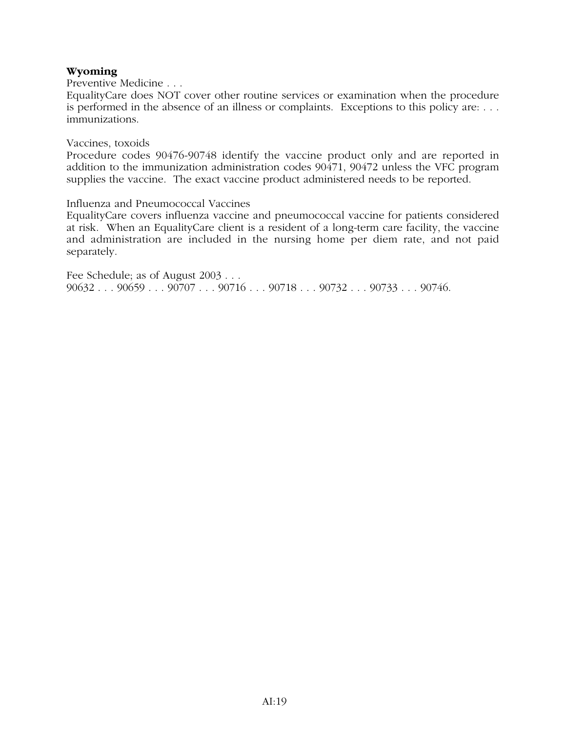# **Wyoming**

Preventive Medicine . . .

EqualityCare does NOT cover other routine services or examination when the procedure is performed in the absence of an illness or complaints. Exceptions to this policy are: . . . immunizations.

# Vaccines, toxoids

Procedure codes 90476-90748 identify the vaccine product only and are reported in addition to the immunization administration codes 90471, 90472 unless the VFC program supplies the vaccine. The exact vaccine product administered needs to be reported.

# Influenza and Pneumococcal Vaccines

EqualityCare covers influenza vaccine and pneumococcal vaccine for patients considered at risk. When an EqualityCare client is a resident of a long-term care facility, the vaccine and administration are included in the nursing home per diem rate, and not paid separately.

Fee Schedule; as of August 2003 . . . 90632 . . . 90659 . . . 90707 . . . 90716 . . . 90718 . . . 90732 . . . 90733 . . . 90746.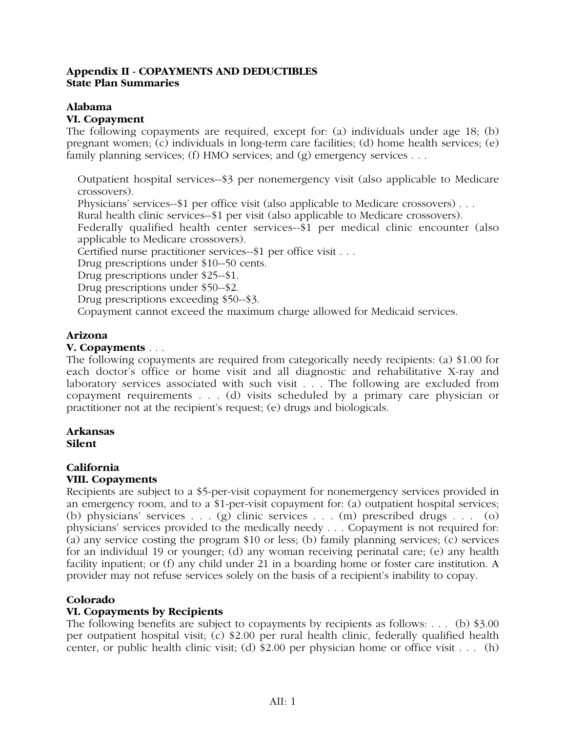# **Appendix II - COPAYMENTS AND DEDUCTIBLES State Plan Summaries**

# **Alabama**

# **VI. Copayment**

The following copayments are required, except for: (a) individuals under age 18; (b) pregnant women; (c) individuals in long-term care facilities; (d) home health services; (e) family planning services; (f) HMO services; and  $(g)$  emergency services . . .

Outpatient hospital services--\$3 per nonemergency visit (also applicable to Medicare crossovers).

Physicians' services--\$1 per office visit (also applicable to Medicare crossovers) . . .

Rural health clinic services--\$1 per visit (also applicable to Medicare crossovers).

Federally qualified health center services--\$1 per medical clinic encounter (also applicable to Medicare crossovers).

Certified nurse practitioner services--\$1 per office visit . . .

Drug prescriptions under \$10--50 cents.

Drug prescriptions under \$25--\$1.

Drug prescriptions under \$50--\$2.

Drug prescriptions exceeding \$50--\$3.

Copayment cannot exceed the maximum charge allowed for Medicaid services.

# **Arizona**

# **V. Copayments** . . .

The following copayments are required from categorically needy recipients: (a) \$1.00 for each doctor's office or home visit and all diagnostic and rehabilitative X-ray and laboratory services associated with such visit . . . The following are excluded from copayment requirements . . . (d) visits scheduled by a primary care physician or practitioner not at the recipient's request; (e) drugs and biologicals.

## **Arkansas Silent**

# **California**

# **VIII. Copayments**

Recipients are subject to a \$5-per-visit copayment for nonemergency services provided in an emergency room, and to a \$1-per-visit copayment for: (a) outpatient hospital services; (b) physicians' services . . . (g) clinic services . . . (m) prescribed drugs . . . (o) physicians' services provided to the medically needy . . . Copayment is not required for: (a) any service costing the program \$10 or less; (b) family planning services; (c) services for an individual 19 or younger; (d) any woman receiving perinatal care; (e) any health facility inpatient; or (f) any child under 21 in a boarding home or foster care institution. A provider may not refuse services solely on the basis of a recipient's inability to copay.

# **Colorado**

# **VI. Copayments by Recipients**

The following benefits are subject to copayments by recipients as follows: . . . (b) \$3.00 per outpatient hospital visit; (c) \$2.00 per rural health clinic, federally qualified health center, or public health clinic visit; (d) \$2.00 per physician home or office visit . . . (h)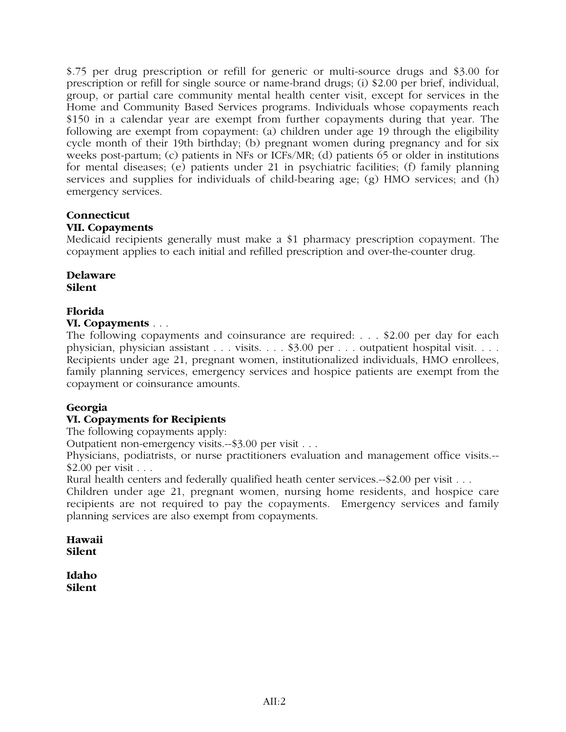\$.75 per drug prescription or refill for generic or multi-source drugs and \$3.00 for prescription or refill for single source or name-brand drugs; (i) \$2.00 per brief, individual, group, or partial care community mental health center visit, except for services in the Home and Community Based Services programs. Individuals whose copayments reach \$150 in a calendar year are exempt from further copayments during that year. The following are exempt from copayment: (a) children under age 19 through the eligibility cycle month of their 19th birthday; (b) pregnant women during pregnancy and for six weeks post-partum; (c) patients in NFs or ICFs/MR; (d) patients 65 or older in institutions for mental diseases; (e) patients under 21 in psychiatric facilities; (f) family planning services and supplies for individuals of child-bearing age; (g) HMO services; and (h) emergency services.

# **Connecticut**

# **VII. Copayments**

Medicaid recipients generally must make a \$1 pharmacy prescription copayment. The copayment applies to each initial and refilled prescription and over-the-counter drug.

**Delaware Silent**

# **Florida**

# **VI. Copayments** . . .

The following copayments and coinsurance are required: . . . \$2.00 per day for each physician, physician assistant . . . visits. . . . \$3.00 per . . . outpatient hospital visit. . . . Recipients under age 21, pregnant women, institutionalized individuals, HMO enrollees, family planning services, emergency services and hospice patients are exempt from the copayment or coinsurance amounts.

# **Georgia**

# **VI. Copayments for Recipients**

The following copayments apply:

Outpatient non-emergency visits.--\$3.00 per visit . . .

Physicians, podiatrists, or nurse practitioners evaluation and management office visits.-- \$2.00 per visit . . .

Rural health centers and federally qualified heath center services.--\$2.00 per visit . . .

Children under age 21, pregnant women, nursing home residents, and hospice care recipients are not required to pay the copayments. Emergency services and family planning services are also exempt from copayments.

**Hawaii Silent**

**Idaho Silent**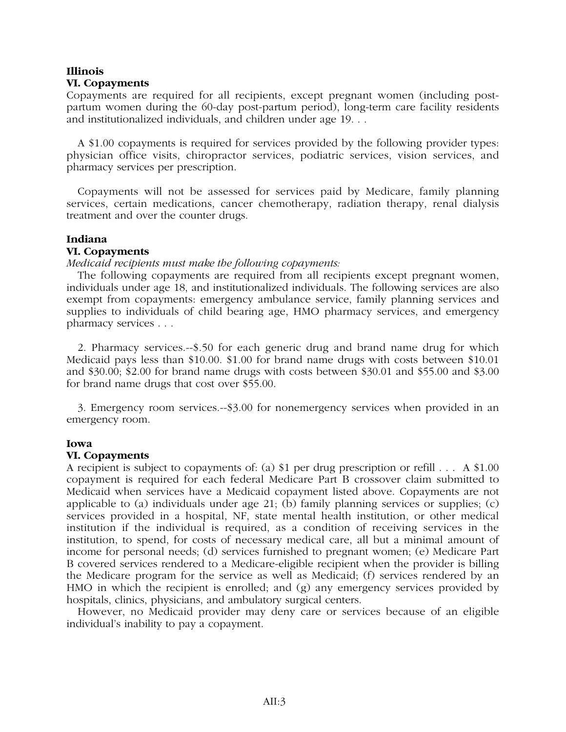# **Illinois VI. Copayments**

Copayments are required for all recipients, except pregnant women (including postpartum women during the 60-day post-partum period), long-term care facility residents and institutionalized individuals, and children under age 19. . .

A \$1.00 copayments is required for services provided by the following provider types: physician office visits, chiropractor services, podiatric services, vision services, and pharmacy services per prescription.

Copayments will not be assessed for services paid by Medicare, family planning services, certain medications, cancer chemotherapy, radiation therapy, renal dialysis treatment and over the counter drugs.

# **Indiana**

# **VI. Copayments**

# *Medicaid recipients must make the following copayments:*

The following copayments are required from all recipients except pregnant women, individuals under age 18, and institutionalized individuals. The following services are also exempt from copayments: emergency ambulance service, family planning services and supplies to individuals of child bearing age, HMO pharmacy services, and emergency pharmacy services . . .

2. Pharmacy services.--\$.50 for each generic drug and brand name drug for which Medicaid pays less than \$10.00. \$1.00 for brand name drugs with costs between \$10.01 and \$30.00; \$2.00 for brand name drugs with costs between \$30.01 and \$55.00 and \$3.00 for brand name drugs that cost over \$55.00.

3. Emergency room services.--\$3.00 for nonemergency services when provided in an emergency room.

# **Iowa**

# **VI. Copayments**

A recipient is subject to copayments of: (a) \$1 per drug prescription or refill . . . A \$1.00 copayment is required for each federal Medicare Part B crossover claim submitted to Medicaid when services have a Medicaid copayment listed above. Copayments are not applicable to (a) individuals under age  $21$ ; (b) family planning services or supplies; (c) services provided in a hospital, NF, state mental health institution, or other medical institution if the individual is required, as a condition of receiving services in the institution, to spend, for costs of necessary medical care, all but a minimal amount of income for personal needs; (d) services furnished to pregnant women; (e) Medicare Part B covered services rendered to a Medicare-eligible recipient when the provider is billing the Medicare program for the service as well as Medicaid; (f) services rendered by an HMO in which the recipient is enrolled; and (g) any emergency services provided by hospitals, clinics, physicians, and ambulatory surgical centers.

However, no Medicaid provider may deny care or services because of an eligible individual's inability to pay a copayment.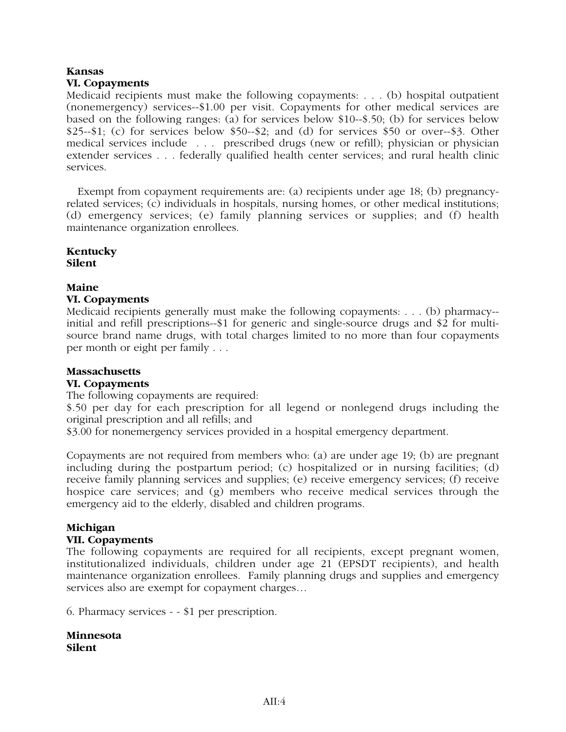# **Kansas VI. Copayments**

Medicaid recipients must make the following copayments: . . . (b) hospital outpatient (nonemergency) services--\$1.00 per visit. Copayments for other medical services are based on the following ranges: (a) for services below \$10--\$.50; (b) for services below \$25--\$1; (c) for services below \$50--\$2; and (d) for services \$50 or over--\$3. Other medical services include . . . prescribed drugs (new or refill); physician or physician extender services . . . federally qualified health center services; and rural health clinic services.

Exempt from copayment requirements are: (a) recipients under age 18; (b) pregnancyrelated services; (c) individuals in hospitals, nursing homes, or other medical institutions; (d) emergency services; (e) family planning services or supplies; and (f) health maintenance organization enrollees.

# **Kentucky Silent**

# **Maine**

# **VI. Copayments**

Medicaid recipients generally must make the following copayments: . . . (b) pharmacy- initial and refill prescriptions--\$1 for generic and single-source drugs and \$2 for multisource brand name drugs, with total charges limited to no more than four copayments per month or eight per family . . .

# **Massachusetts**

# **VI. Copayments**

The following copayments are required:

\$.50 per day for each prescription for all legend or nonlegend drugs including the original prescription and all refills; and

\$3.00 for nonemergency services provided in a hospital emergency department.

Copayments are not required from members who: (a) are under age 19; (b) are pregnant including during the postpartum period; (c) hospitalized or in nursing facilities; (d) receive family planning services and supplies; (e) receive emergency services; (f) receive hospice care services; and (g) members who receive medical services through the emergency aid to the elderly, disabled and children programs.

# **Michigan**

# **VII. Copayments**

The following copayments are required for all recipients, except pregnant women, institutionalized individuals, children under age 21 (EPSDT recipients), and health maintenance organization enrollees. Family planning drugs and supplies and emergency services also are exempt for copayment charges…

6. Pharmacy services - - \$1 per prescription.

**Minnesota Silent**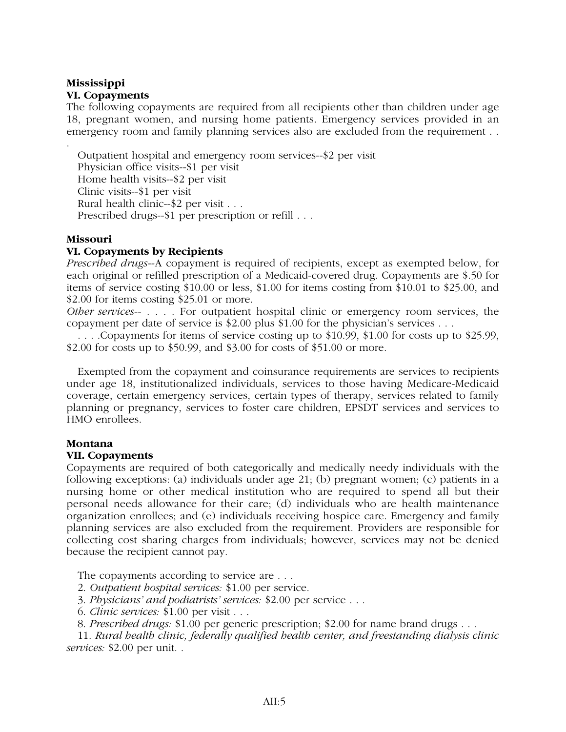# **Mississippi VI. Copayments**

The following copayments are required from all recipients other than children under age 18, pregnant women, and nursing home patients. Emergency services provided in an emergency room and family planning services also are excluded from the requirement . .

Outpatient hospital and emergency room services--\$2 per visit Physician office visits--\$1 per visit Home health visits--\$2 per visit Clinic visits--\$1 per visit Rural health clinic--\$2 per visit . . . Prescribed drugs--\$1 per prescription or refill . . .

# **Missouri**

.

# **VI. Copayments by Recipients**

*Prescribed drugs*--A copayment is required of recipients, except as exempted below, for each original or refilled prescription of a Medicaid-covered drug. Copayments are \$.50 for items of service costing \$10.00 or less, \$1.00 for items costing from \$10.01 to \$25.00, and \$2.00 for items costing \$25.01 or more.

*Other services*-- . . . . For outpatient hospital clinic or emergency room services, the copayment per date of service is \$2.00 plus \$1.00 for the physician's services . . .

. . . .Copayments for items of service costing up to \$10.99, \$1.00 for costs up to \$25.99, \$2.00 for costs up to \$50.99, and \$3.00 for costs of \$51.00 or more.

Exempted from the copayment and coinsurance requirements are services to recipients under age 18, institutionalized individuals, services to those having Medicare-Medicaid coverage, certain emergency services, certain types of therapy, services related to family planning or pregnancy, services to foster care children, EPSDT services and services to HMO enrollees.

# **Montana**

# **VII. Copayments**

Copayments are required of both categorically and medically needy individuals with the following exceptions: (a) individuals under age 21; (b) pregnant women; (c) patients in a nursing home or other medical institution who are required to spend all but their personal needs allowance for their care; (d) individuals who are health maintenance organization enrollees; and (e) individuals receiving hospice care. Emergency and family planning services are also excluded from the requirement. Providers are responsible for collecting cost sharing charges from individuals; however, services may not be denied because the recipient cannot pay.

The copayments according to service are ...

- 2. *Outpatient hospital services:* \$1.00 per service.
- 3. *Physicians' and podiatrists' services:* \$2.00 per service . . .
- 6. *Clinic services:* \$1.00 per visit . . .
- 8. *Prescribed drugs:* \$1.00 per generic prescription; \$2.00 for name brand drugs . . .

11. *Rural health clinic, federally qualified health center, and freestanding dialysis clinic services:* \$2.00 per unit. .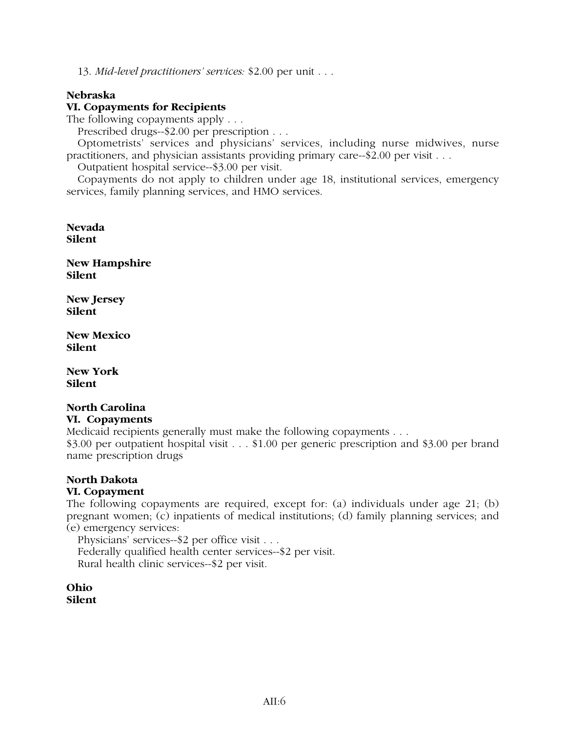13. *Mid-level practitioners' services:* \$2.00 per unit . . .

# **Nebraska**

# **VI. Copayments for Recipients**

The following copayments apply . . .

Prescribed drugs--\$2.00 per prescription . . .

Optometrists' services and physicians' services, including nurse midwives, nurse practitioners, and physician assistants providing primary care--\$2.00 per visit . . .

Outpatient hospital service--\$3.00 per visit.

Copayments do not apply to children under age 18, institutional services, emergency services, family planning services, and HMO services.

**Nevada Silent**

**New Hampshire Silent**

**New Jersey Silent**

**New Mexico Silent**

**New York Silent**

# **North Carolina**

# **VI. Copayments**

Medicaid recipients generally must make the following copayments . . .

\$3.00 per outpatient hospital visit . . . \$1.00 per generic prescription and \$3.00 per brand name prescription drugs

# **North Dakota**

# **VI. Copayment**

The following copayments are required, except for: (a) individuals under age 21; (b) pregnant women; (c) inpatients of medical institutions; (d) family planning services; and (e) emergency services:

Physicians' services--\$2 per office visit . . . Federally qualified health center services--\$2 per visit. Rural health clinic services--\$2 per visit.

**Ohio Silent**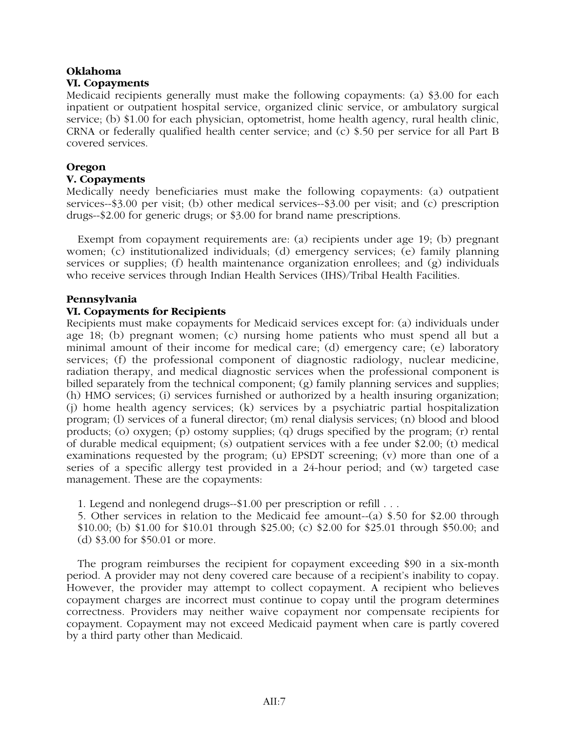# **Oklahoma VI. Copayments**

Medicaid recipients generally must make the following copayments: (a) \$3.00 for each inpatient or outpatient hospital service, organized clinic service, or ambulatory surgical service; (b) \$1.00 for each physician, optometrist, home health agency, rural health clinic, CRNA or federally qualified health center service; and (c) \$.50 per service for all Part B covered services.

# **Oregon**

# **V. Copayments**

Medically needy beneficiaries must make the following copayments: (a) outpatient services--\$3.00 per visit; (b) other medical services--\$3.00 per visit; and (c) prescription drugs--\$2.00 for generic drugs; or \$3.00 for brand name prescriptions.

Exempt from copayment requirements are: (a) recipients under age 19; (b) pregnant women; (c) institutionalized individuals; (d) emergency services; (e) family planning services or supplies; (f) health maintenance organization enrollees; and (g) individuals who receive services through Indian Health Services (IHS)/Tribal Health Facilities.

# **Pennsylvania**

# **VI. Copayments for Recipients**

Recipients must make copayments for Medicaid services except for: (a) individuals under age 18; (b) pregnant women; (c) nursing home patients who must spend all but a minimal amount of their income for medical care; (d) emergency care; (e) laboratory services; (f) the professional component of diagnostic radiology, nuclear medicine, radiation therapy, and medical diagnostic services when the professional component is billed separately from the technical component; (g) family planning services and supplies; (h) HMO services; (i) services furnished or authorized by a health insuring organization; (j) home health agency services; (k) services by a psychiatric partial hospitalization program; (l) services of a funeral director; (m) renal dialysis services; (n) blood and blood products; (o) oxygen; (p) ostomy supplies; (q) drugs specified by the program; (r) rental of durable medical equipment; (s) outpatient services with a fee under \$2.00; (t) medical examinations requested by the program; (u) EPSDT screening; (v) more than one of a series of a specific allergy test provided in a 24-hour period; and (w) targeted case management. These are the copayments:

1. Legend and nonlegend drugs--\$1.00 per prescription or refill . . .

5. Other services in relation to the Medicaid fee amount--(a) \$.50 for \$2.00 through \$10.00; (b) \$1.00 for \$10.01 through \$25.00; (c) \$2.00 for \$25.01 through \$50.00; and (d) \$3.00 for \$50.01 or more.

The program reimburses the recipient for copayment exceeding \$90 in a six-month period. A provider may not deny covered care because of a recipient's inability to copay. However, the provider may attempt to collect copayment. A recipient who believes copayment charges are incorrect must continue to copay until the program determines correctness. Providers may neither waive copayment nor compensate recipients for copayment. Copayment may not exceed Medicaid payment when care is partly covered by a third party other than Medicaid.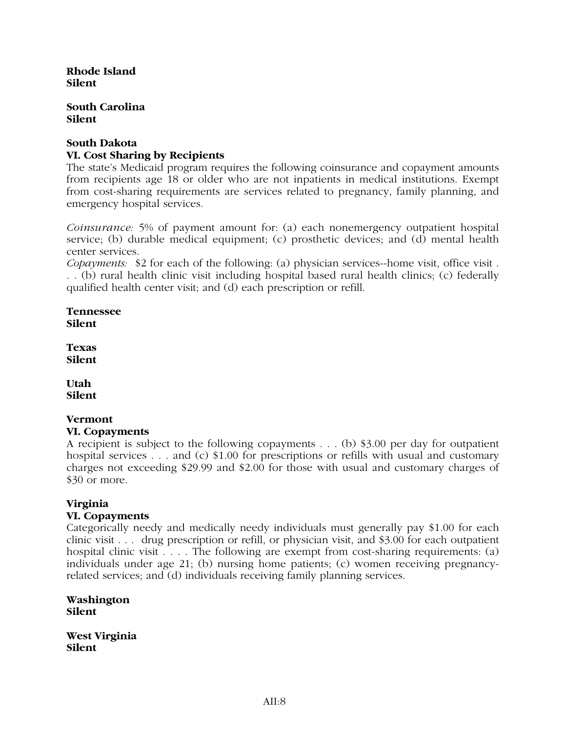**Rhode Island Silent**

**South Carolina Silent**

# **South Dakota VI. Cost Sharing by Recipients**

The state's Medicaid program requires the following coinsurance and copayment amounts from recipients age 18 or older who are not inpatients in medical institutions. Exempt from cost-sharing requirements are services related to pregnancy, family planning, and emergency hospital services.

*Coinsurance:* 5% of payment amount for: (a) each nonemergency outpatient hospital service; (b) durable medical equipment; (c) prosthetic devices; and (d) mental health center services.

*Copayments:* \$2 for each of the following: (a) physician services--home visit, office visit . . . (b) rural health clinic visit including hospital based rural health clinics; (c) federally qualified health center visit; and (d) each prescription or refill.

**Tennessee Silent**

**Texas Silent**

**Utah Silent**

# **Vermont VI. Copayments**

A recipient is subject to the following copayments . . . (b) \$3.00 per day for outpatient hospital services . . . and (c) \$1.00 for prescriptions or refills with usual and customary charges not exceeding \$29.99 and \$2.00 for those with usual and customary charges of \$30 or more.

# **Virginia**

# **VI. Copayments**

Categorically needy and medically needy individuals must generally pay \$1.00 for each clinic visit . . . drug prescription or refill, or physician visit, and \$3.00 for each outpatient hospital clinic visit . . . . The following are exempt from cost-sharing requirements: (a) individuals under age 21; (b) nursing home patients; (c) women receiving pregnancyrelated services; and (d) individuals receiving family planning services.

**Washington Silent**

**West Virginia Silent**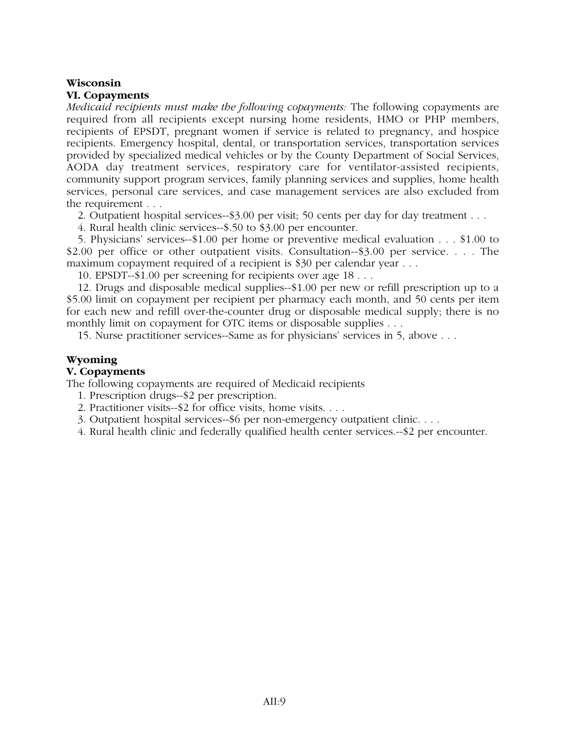# **Wisconsin**

# **VI. Copayments**

*Medicaid recipients must make the following copayments:* The following copayments are required from all recipients except nursing home residents, HMO or PHP members, recipients of EPSDT, pregnant women if service is related to pregnancy, and hospice recipients. Emergency hospital, dental, or transportation services, transportation services provided by specialized medical vehicles or by the County Department of Social Services, AODA day treatment services, respiratory care for ventilator-assisted recipients, community support program services, family planning services and supplies, home health services, personal care services, and case management services are also excluded from the requirement . . .

2. Outpatient hospital services--\$3.00 per visit; 50 cents per day for day treatment . . .

4. Rural health clinic services--\$.50 to \$3.00 per encounter.

5. Physicians' services--\$1.00 per home or preventive medical evaluation . . . \$1.00 to \$2.00 per office or other outpatient visits. Consultation--\$3.00 per service. . . . The maximum copayment required of a recipient is \$30 per calendar year . . .

10. EPSDT--\$1.00 per screening for recipients over age 18 . . .

12. Drugs and disposable medical supplies--\$1.00 per new or refill prescription up to a \$5.00 limit on copayment per recipient per pharmacy each month, and 50 cents per item for each new and refill over-the-counter drug or disposable medical supply; there is no monthly limit on copayment for OTC items or disposable supplies . . .

15. Nurse practitioner services--Same as for physicians' services in 5, above . . .

# **Wyoming**

# **V. Copayments**

The following copayments are required of Medicaid recipients

- 1. Prescription drugs--\$2 per prescription.
- 2. Practitioner visits--\$2 for office visits, home visits. . . .
- 3. Outpatient hospital services--\$6 per non-emergency outpatient clinic. . . .
- 4. Rural health clinic and federally qualified health center services.--\$2 per encounter.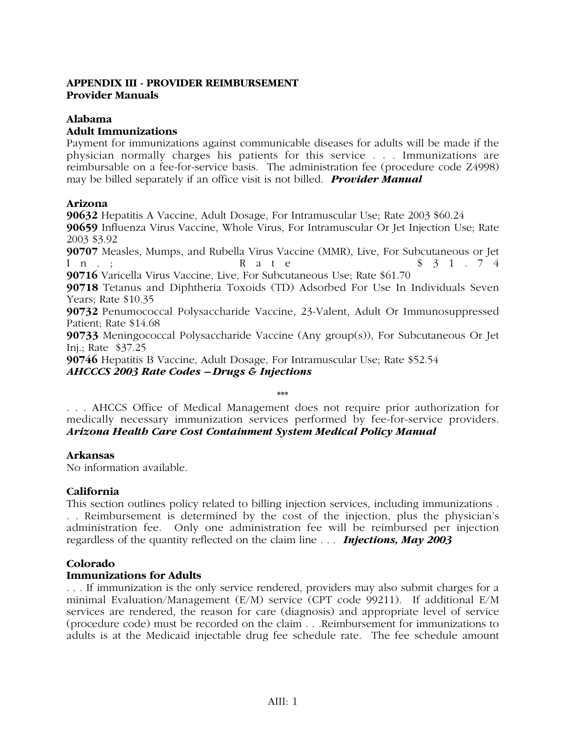# **APPENDIX III - PROVIDER REIMBURSEMENT Provider Manuals**

# **Alabama**

# **Adult Immunizations**

Payment for immunizations against communicable diseases for adults will be made if the physician normally charges his patients for this service . . . Immunizations are reimbursable on a fee-for-service basis. The administration fee (procedure code Z4998) may be billed separately if an office visit is not billed. *Provider Manual*

# **Arizona**

**90632** Hepatitis A Vaccine, Adult Dosage, For Intramuscular Use; Rate 2003 \$60.24 **90659** Influenza Virus Vaccine, Whole Virus, For Intramuscular Or Jet Injection Use; Rate 2003 \$3.92 **90707** Measles, Mumps, and Rubella Virus Vaccine (MMR), Live, For Subcutaneous or Jet In.; Rate \$31.74 **90716** Varicella Virus Vaccine, Live, For Subcutaneous Use; Rate \$61.70 **90718** Tetanus and Diphtheria Toxoids (TD) Adsorbed For Use In Individuals Seven Years; Rate \$10.35 **90732** Penumococcal Polysaccharide Vaccine, 23-Valent, Adult Or Immunosuppressed Patient; Rate \$14.68 **90733** Meningococcal Polysaccharide Vaccine (Any group(s)), For Subcutaneous Or Jet Inj.; Rate \$37.25

**90746** Hepatitis B Vaccine, Adult Dosage, For Intramuscular Use; Rate \$52.54 *AHCCCS 2003 Rate Codes – Drugs & Injections*

**\*\*\***

. . . AHCCS Office of Medical Management does not require prior authorization for medically necessary immunization services performed by fee-for-service providers. *Arizona Health Care Cost Containment System Medical Policy Manual*

# **Arkansas**

No information available.

# **California**

This section outlines policy related to billing injection services, including immunizations . . . Reimbursement is determined by the cost of the injection, plus the physician's administration fee. Only one administration fee will be reimbursed per injection regardless of the quantity reflected on the claim line . . . *Injections, May 2003*

# **Colorado**

# **Immunizations for Adults**

. . . If immunization is the only service rendered, providers may also submit charges for a minimal Evaluation/Management (E/M) service (CPT code 99211). If additional E/M services are rendered, the reason for care (diagnosis) and appropriate level of service (procedure code) must be recorded on the claim . . .Reimbursement for immunizations to adults is at the Medicaid injectable drug fee schedule rate. The fee schedule amount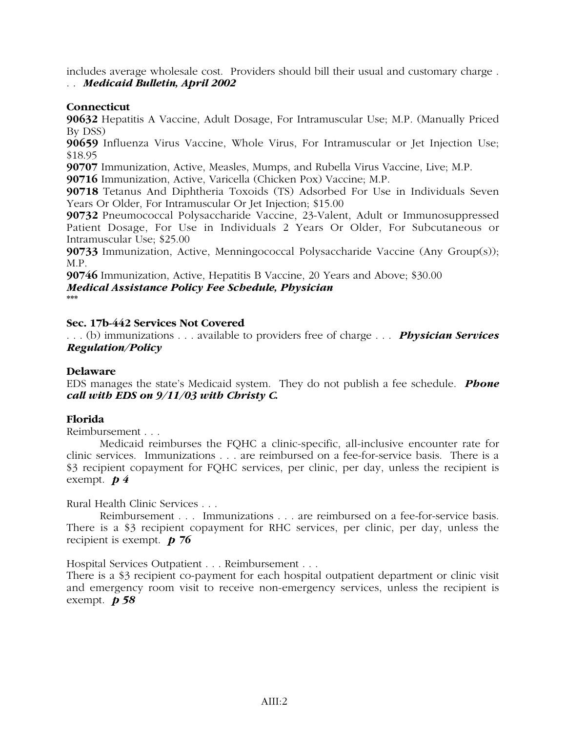includes average wholesale cost. Providers should bill their usual and customary charge . . . *Medicaid Bulletin, April 2002*

# **Connecticut**

**90632** Hepatitis A Vaccine, Adult Dosage, For Intramuscular Use; M.P. (Manually Priced By DSS)

**90659** Influenza Virus Vaccine, Whole Virus, For Intramuscular or Jet Injection Use; \$18.95

**90707** Immunization, Active, Measles, Mumps, and Rubella Virus Vaccine, Live; M.P.

**90716** Immunization, Active, Varicella (Chicken Pox) Vaccine; M.P.

**90718** Tetanus And Diphtheria Toxoids (TS) Adsorbed For Use in Individuals Seven Years Or Older, For Intramuscular Or Jet Injection; \$15.00

**90732** Pneumococcal Polysaccharide Vaccine, 23-Valent, Adult or Immunosuppressed Patient Dosage, For Use in Individuals 2 Years Or Older, For Subcutaneous or Intramuscular Use; \$25.00

**90733** Immunization, Active, Menningococcal Polysaccharide Vaccine (Any Group(s)); M.P.

**90746** Immunization, Active, Hepatitis B Vaccine, 20 Years and Above; \$30.00 *Medical Assistance Policy Fee Schedule, Physician* **\*\*\***

# **Sec. 17b-442 Services Not Covered**

. . . (b) immunizations . . . available to providers free of charge . . . *Physician Services Regulation/Policy*

# **Delaware**

EDS manages the state's Medicaid system. They do not publish a fee schedule. *Phone call with EDS on 9/11/03 with Christy C.*

# **Florida**

Reimbursement . . .

Medicaid reimburses the FQHC a clinic-specific, all-inclusive encounter rate for clinic services. Immunizations . . . are reimbursed on a fee-for-service basis. There is a \$3 recipient copayment for FQHC services, per clinic, per day, unless the recipient is exempt. *p 4*

Rural Health Clinic Services . . .

Reimbursement . . . Immunizations . . . are reimbursed on a fee-for-service basis. There is a \$3 recipient copayment for RHC services, per clinic, per day, unless the recipient is exempt. *p 76*

Hospital Services Outpatient . . . Reimbursement . . .

There is a \$3 recipient co-payment for each hospital outpatient department or clinic visit and emergency room visit to receive non-emergency services, unless the recipient is exempt. *p 58*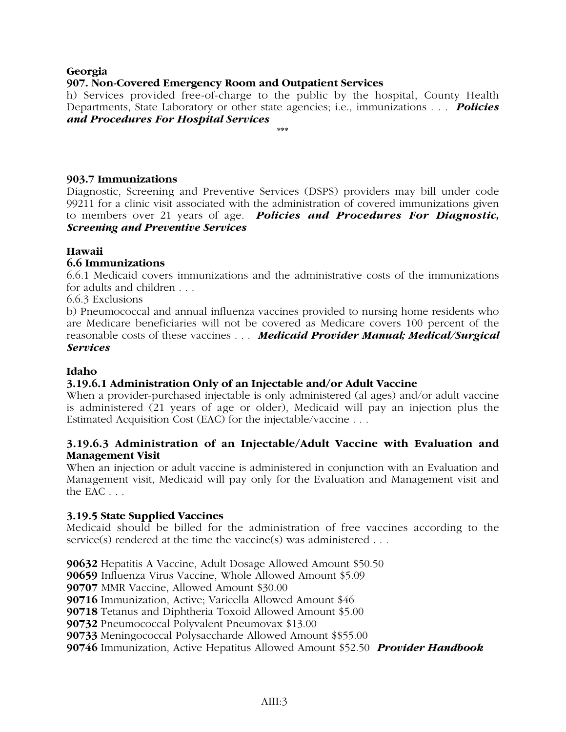# **Georgia**

# **907. Non-Covered Emergency Room and Outpatient Services**

h) Services provided free-of-charge to the public by the hospital, County Health Departments, State Laboratory or other state agencies; i.e., immunizations . . . *Policies and Procedures For Hospital Services*

**\*\*\***

# **903.7 Immunizations**

Diagnostic, Screening and Preventive Services (DSPS) providers may bill under code 99211 for a clinic visit associated with the administration of covered immunizations given to members over 21 years of age. *Policies and Procedures For Diagnostic, Screening and Preventive Services*

# **Hawaii**

# **6.6 Immunizations**

6.6.1 Medicaid covers immunizations and the administrative costs of the immunizations for adults and children . . .

6.6.3 Exclusions

b) Pneumococcal and annual influenza vaccines provided to nursing home residents who are Medicare beneficiaries will not be covered as Medicare covers 100 percent of the reasonable costs of these vaccines . . . *Medicaid Provider Manual; Medical/Surgical Services*

# **Idaho**

# **3.19.6.1 Administration Only of an Injectable and/or Adult Vaccine**

When a provider-purchased injectable is only administered (al ages) and/or adult vaccine is administered (21 years of age or older), Medicaid will pay an injection plus the Estimated Acquisition Cost (EAC) for the injectable/vaccine . . .

# **3.19.6.3 Administration of an Injectable/Adult Vaccine with Evaluation and Management Visit**

When an injection or adult vaccine is administered in conjunction with an Evaluation and Management visit, Medicaid will pay only for the Evaluation and Management visit and the EAC . . .

# **3.19.5 State Supplied Vaccines**

Medicaid should be billed for the administration of free vaccines according to the service(s) rendered at the time the vaccine(s) was administered . . .

Hepatitis A Vaccine, Adult Dosage Allowed Amount \$50.50 Influenza Virus Vaccine, Whole Allowed Amount \$5.09 MMR Vaccine, Allowed Amount \$30.00 Immunization, Active; Varicella Allowed Amount \$46 Tetanus and Diphtheria Toxoid Allowed Amount \$5.00 Pneumococcal Polyvalent Pneumovax \$13.00 Meningococcal Polysaccharde Allowed Amount \$\$55.00 Immunization, Active Hepatitus Allowed Amount \$52.50 *Provider Handbook*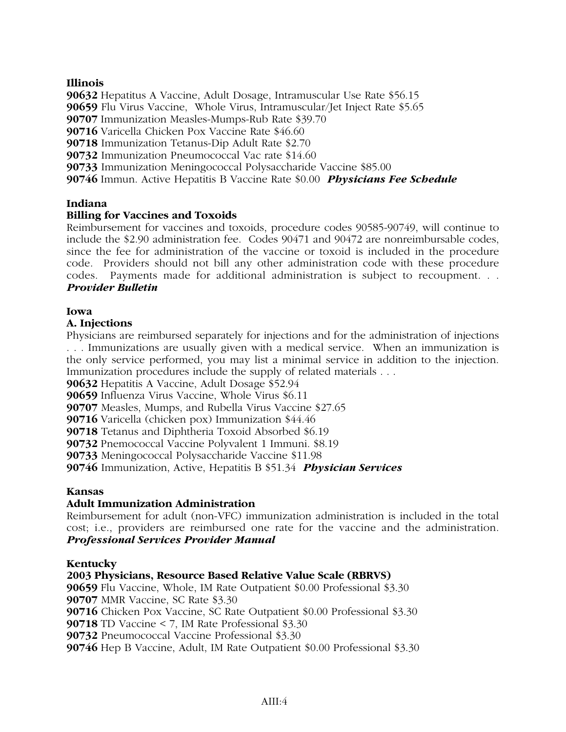# **Illinois**

Hepatitus A Vaccine, Adult Dosage, Intramuscular Use Rate \$56.15 Flu Virus Vaccine, Whole Virus, Intramuscular/Jet Inject Rate \$5.65 Immunization Measles-Mumps-Rub Rate \$39.70 Varicella Chicken Pox Vaccine Rate \$46.60 Immunization Tetanus-Dip Adult Rate \$2.70 Immunization Pneumococcal Vac rate \$14.60 Immunization Meningococcal Polysaccharide Vaccine \$85.00

**90746** Immun. Active Hepatitis B Vaccine Rate \$0.00 *Physicians Fee Schedule*

# **Indiana**

# **Billing for Vaccines and Toxoids**

Reimbursement for vaccines and toxoids, procedure codes 90585-90749, will continue to include the \$2.90 administration fee. Codes 90471 and 90472 are nonreimbursable codes, since the fee for administration of the vaccine or toxoid is included in the procedure code. Providers should not bill any other administration code with these procedure codes. Payments made for additional administration is subject to recoupment. . . *Provider Bulletin*

# **Iowa**

# **A. Injections**

Physicians are reimbursed separately for injections and for the administration of injections . . . Immunizations are usually given with a medical service. When an immunization is the only service performed, you may list a minimal service in addition to the injection. Immunization procedures include the supply of related materials . . .

**90632** Hepatitis A Vaccine, Adult Dosage \$52.94

**90659** Influenza Virus Vaccine, Whole Virus \$6.11

**90707** Measles, Mumps, and Rubella Virus Vaccine \$27.65

**90716** Varicella (chicken pox) Immunization \$44.46

**90718** Tetanus and Diphtheria Toxoid Absorbed \$6.19

**90732** Pnemococcal Vaccine Polyvalent 1 Immuni. \$8.19

**90733** Meningococcal Polysaccharide Vaccine \$11.98

**90746** Immunization, Active, Hepatitis B \$51.34 *Physician Services*

# **Kansas**

# **Adult Immunization Administration**

Reimbursement for adult (non-VFC) immunization administration is included in the total cost; i.e., providers are reimbursed one rate for the vaccine and the administration. *Professional Services Provider Manual*

# **Kentucky**

# **2003 Physicians, Resource Based Relative Value Scale (RBRVS)**

Flu Vaccine, Whole, IM Rate Outpatient \$0.00 Professional \$3.30 MMR Vaccine, SC Rate \$3.30 Chicken Pox Vaccine, SC Rate Outpatient \$0.00 Professional \$3.30 TD Vaccine < 7, IM Rate Professional \$3.30 Pneumococcal Vaccine Professional \$3.30 Hep B Vaccine, Adult, IM Rate Outpatient \$0.00 Professional \$3.30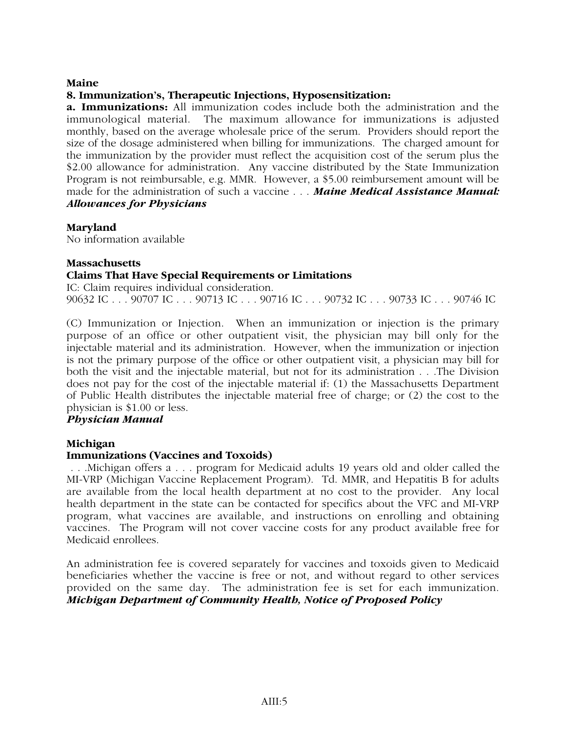# **Maine**

# **8. Immunization's, Therapeutic Injections, Hyposensitization:**

**a. Immunizations:** All immunization codes include both the administration and the immunological material. The maximum allowance for immunizations is adjusted monthly, based on the average wholesale price of the serum. Providers should report the size of the dosage administered when billing for immunizations. The charged amount for the immunization by the provider must reflect the acquisition cost of the serum plus the \$2.00 allowance for administration. Any vaccine distributed by the State Immunization Program is not reimbursable, e.g. MMR. However, a \$5.00 reimbursement amount will be made for the administration of such a vaccine . . . *Maine Medical Assistance Manual: Allowances for Physicians*

# **Maryland**

No information available

# **Massachusetts**

# **Claims That Have Special Requirements or Limitations**

IC: Claim requires individual consideration. 90632 IC . . . 90707 IC . . . 90713 IC . . . 90716 IC . . . 90732 IC . . . 90733 IC . . . 90746 IC

(C) Immunization or Injection. When an immunization or injection is the primary purpose of an office or other outpatient visit, the physician may bill only for the injectable material and its administration. However, when the immunization or injection is not the primary purpose of the office or other outpatient visit, a physician may bill for both the visit and the injectable material, but not for its administration . . .The Division does not pay for the cost of the injectable material if: (1) the Massachusetts Department of Public Health distributes the injectable material free of charge; or (2) the cost to the physician is \$1.00 or less.

# *Physician Manual*

# **Michigan**

# **Immunizations (Vaccines and Toxoids)**

 . . .Michigan offers a . . . program for Medicaid adults 19 years old and older called the MI-VRP (Michigan Vaccine Replacement Program). Td. MMR, and Hepatitis B for adults are available from the local health department at no cost to the provider. Any local health department in the state can be contacted for specifics about the VFC and MI-VRP program, what vaccines are available, and instructions on enrolling and obtaining vaccines. The Program will not cover vaccine costs for any product available free for Medicaid enrollees.

An administration fee is covered separately for vaccines and toxoids given to Medicaid beneficiaries whether the vaccine is free or not, and without regard to other services provided on the same day. The administration fee is set for each immunization. *Michigan Department of Community Health, Notice of Proposed Policy*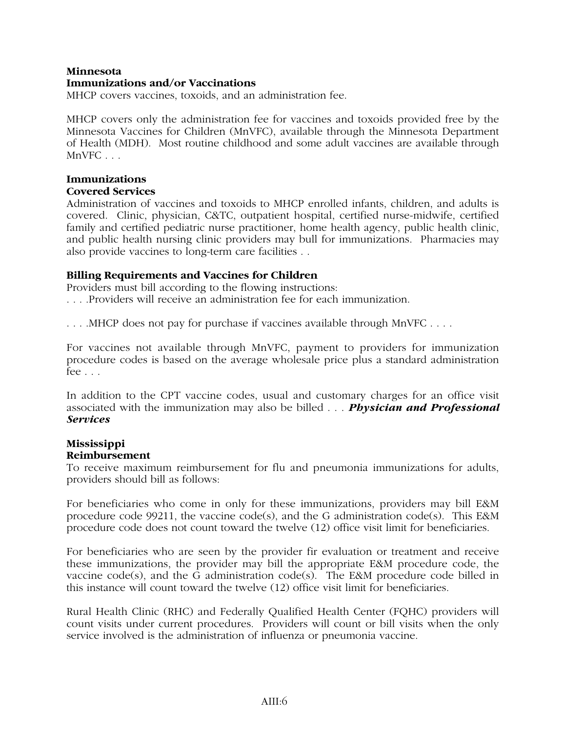# **Minnesota**

# **Immunizations and/or Vaccinations**

MHCP covers vaccines, toxoids, and an administration fee.

MHCP covers only the administration fee for vaccines and toxoids provided free by the Minnesota Vaccines for Children (MnVFC), available through the Minnesota Department of Health (MDH). Most routine childhood and some adult vaccines are available through MnVFC . . .

# **Immunizations Covered Services**

Administration of vaccines and toxoids to MHCP enrolled infants, children, and adults is covered. Clinic, physician, C&TC, outpatient hospital, certified nurse-midwife, certified family and certified pediatric nurse practitioner, home health agency, public health clinic, and public health nursing clinic providers may bull for immunizations. Pharmacies may also provide vaccines to long-term care facilities . .

# **Billing Requirements and Vaccines for Children**

Providers must bill according to the flowing instructions: . . . .Providers will receive an administration fee for each immunization.

. . . .MHCP does not pay for purchase if vaccines available through MnVFC . . . .

For vaccines not available through MnVFC, payment to providers for immunization procedure codes is based on the average wholesale price plus a standard administration fee . . .

In addition to the CPT vaccine codes, usual and customary charges for an office visit associated with the immunization may also be billed . . . *Physician and Professional Services*

# **Mississippi Reimbursement**

To receive maximum reimbursement for flu and pneumonia immunizations for adults, providers should bill as follows:

For beneficiaries who come in only for these immunizations, providers may bill E&M procedure code 99211, the vaccine code(s), and the G administration code(s). This E&M procedure code does not count toward the twelve (12) office visit limit for beneficiaries.

For beneficiaries who are seen by the provider fir evaluation or treatment and receive these immunizations, the provider may bill the appropriate E&M procedure code, the vaccine code(s), and the G administration code(s). The E&M procedure code billed in this instance will count toward the twelve (12) office visit limit for beneficiaries.

Rural Health Clinic (RHC) and Federally Qualified Health Center (FQHC) providers will count visits under current procedures. Providers will count or bill visits when the only service involved is the administration of influenza or pneumonia vaccine.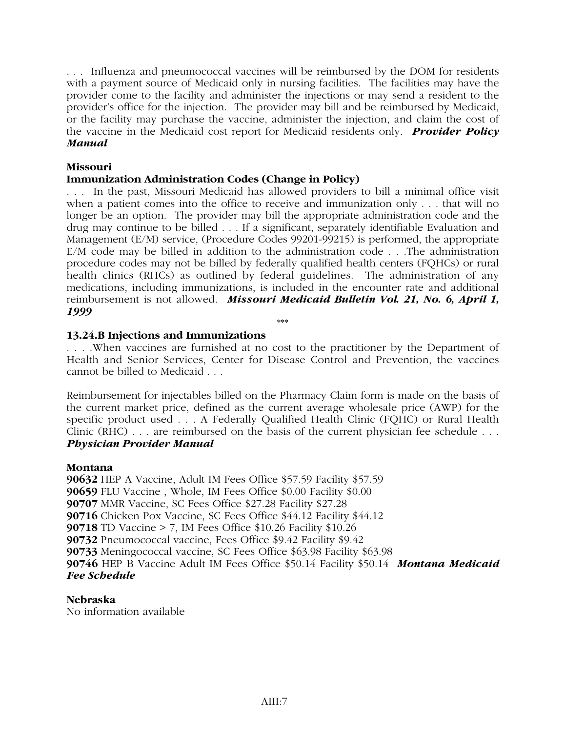. . . Influenza and pneumococcal vaccines will be reimbursed by the DOM for residents with a payment source of Medicaid only in nursing facilities. The facilities may have the provider come to the facility and administer the injections or may send a resident to the provider's office for the injection. The provider may bill and be reimbursed by Medicaid, or the facility may purchase the vaccine, administer the injection, and claim the cost of the vaccine in the Medicaid cost report for Medicaid residents only. *Provider Policy Manual*

# **Missouri**

# **Immunization Administration Codes (Change in Policy)**

. . . In the past, Missouri Medicaid has allowed providers to bill a minimal office visit when a patient comes into the office to receive and immunization only . . . that will no longer be an option. The provider may bill the appropriate administration code and the drug may continue to be billed . . . If a significant, separately identifiable Evaluation and Management (E/M) service, (Procedure Codes 99201-99215) is performed, the appropriate E/M code may be billed in addition to the administration code . . .The administration procedure codes may not be billed by federally qualified health centers (FQHCs) or rural health clinics (RHCs) as outlined by federal guidelines. The administration of any medications, including immunizations, is included in the encounter rate and additional reimbursement is not allowed. *Missouri Medicaid Bulletin Vol. 21, No. 6, April 1, 1999*

# **13.24.B Injections and Immunizations**

. . . .When vaccines are furnished at no cost to the practitioner by the Department of Health and Senior Services, Center for Disease Control and Prevention, the vaccines cannot be billed to Medicaid . . .

**\*\*\***

Reimbursement for injectables billed on the Pharmacy Claim form is made on the basis of the current market price, defined as the current average wholesale price (AWP) for the specific product used . . . A Federally Qualified Health Clinic (FQHC) or Rural Health Clinic (RHC) . . . are reimbursed on the basis of the current physician fee schedule . . . *Physician Provider Manual*

# **Montana**

HEP A Vaccine, Adult IM Fees Office \$57.59 Facility \$57.59 FLU Vaccine , Whole, IM Fees Office \$0.00 Facility \$0.00 MMR Vaccine, SC Fees Office \$27.28 Facility \$27.28 Chicken Pox Vaccine, SC Fees Office \$44.12 Facility \$44.12 TD Vaccine > 7, IM Fees Office \$10.26 Facility \$10.26 Pneumococcal vaccine, Fees Office \$9.42 Facility \$9.42 Meningococcal vaccine, SC Fees Office \$63.98 Facility \$63.98 HEP B Vaccine Adult IM Fees Office \$50.14 Facility \$50.14 *Montana Medicaid Fee Schedule*

**Nebraska** No information available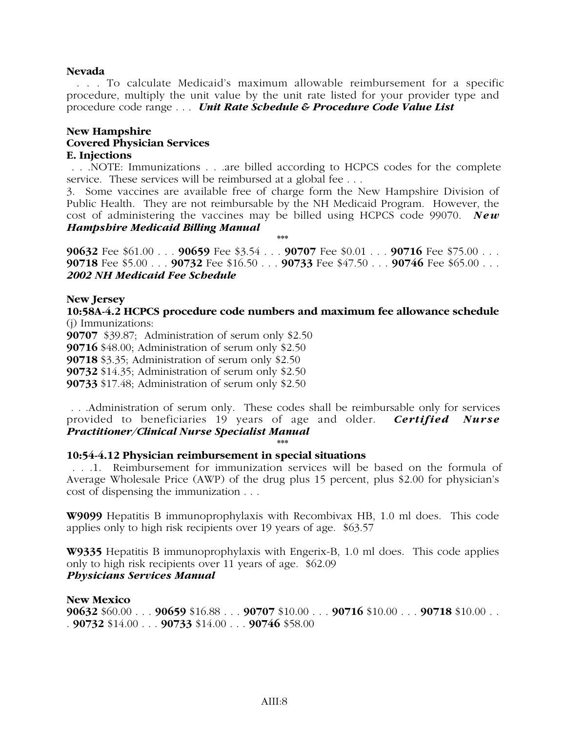# **Nevada**

 . . . To calculate Medicaid's maximum allowable reimbursement for a specific procedure, multiply the unit value by the unit rate listed for your provider type and procedure code range . . . *Unit Rate Schedule & Procedure Code Value List*

# **New Hampshire Covered Physician Services E. Injections**

 . . .NOTE: Immunizations . . .are billed according to HCPCS codes for the complete service. These services will be reimbursed at a global fee . . .

3. Some vaccines are available free of charge form the New Hampshire Division of Public Health. They are not reimbursable by the NH Medicaid Program. However, the cost of administering the vaccines may be billed using HCPCS code 99070. *New Hampshire Medicaid Billing Manual*

**90632** Fee \$61.00 . . . **90659** Fee \$3.54 . . . **90707** Fee \$0.01 . . . **90716** Fee \$75.00 . . . **90718** Fee \$5.00 . . . **90732** Fee \$16.50 . . . **90733** Fee \$47.50 . . . **90746** Fee \$65.00 . . . *2002 NH Medicaid Fee Schedule*

**\*\*\***

# **New Jersey**

**10:58A-4.2 HCPCS procedure code numbers and maximum fee allowance schedule** (j) Immunizations:

\$39.87; Administration of serum only \$2.50 \$48.00; Administration of serum only \$2.50 \$3.35; Administration of serum only \$2.50 \$14.35; Administration of serum only \$2.50 \$17.48; Administration of serum only \$2.50

 . . .Administration of serum only. These codes shall be reimbursable only for services provided to beneficiaries 19 years of age and older. *Certified Nurse Practitioner/Clinical Nurse Specialist Manual*

# **\*\*\* 10:54-4.12 Physician reimbursement in special situations**

 . . .1. Reimbursement for immunization services will be based on the formula of Average Wholesale Price (AWP) of the drug plus 15 percent, plus \$2.00 for physician's cost of dispensing the immunization . . .

**W9099** Hepatitis B immunoprophylaxis with Recombivax HB, 1.0 ml does. This code applies only to high risk recipients over 19 years of age. \$63.57

**W9335** Hepatitis B immunoprophylaxis with Engerix-B, 1.0 ml does. This code applies only to high risk recipients over 11 years of age. \$62.09 *Physicians Services Manual*

# **New Mexico**

**90632** \$60.00 . . . **90659** \$16.88 . . . **90707** \$10.00 . . . **90716** \$10.00 . . . **90718** \$10.00 . . . **90732** \$14.00 . . . **90733** \$14.00 . . . **90746** \$58.00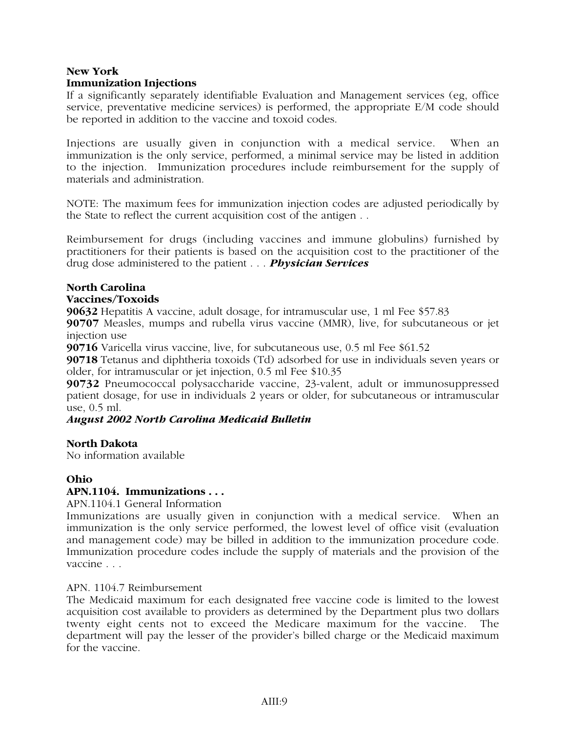# **New York Immunization Injections**

If a significantly separately identifiable Evaluation and Management services (eg, office service, preventative medicine services) is performed, the appropriate E/M code should be reported in addition to the vaccine and toxoid codes.

Injections are usually given in conjunction with a medical service. When an immunization is the only service, performed, a minimal service may be listed in addition to the injection. Immunization procedures include reimbursement for the supply of materials and administration.

NOTE: The maximum fees for immunization injection codes are adjusted periodically by the State to reflect the current acquisition cost of the antigen . .

Reimbursement for drugs (including vaccines and immune globulins) furnished by practitioners for their patients is based on the acquisition cost to the practitioner of the drug dose administered to the patient . . . *Physician Services*

# **North Carolina**

# **Vaccines/Toxoids**

**90632** Hepatitis A vaccine, adult dosage, for intramuscular use, 1 ml Fee \$57.83

**90707** Measles, mumps and rubella virus vaccine (MMR), live, for subcutaneous or jet injection use

**90716** Varicella virus vaccine, live, for subcutaneous use, 0.5 ml Fee \$61.52

**90718** Tetanus and diphtheria toxoids (Td) adsorbed for use in individuals seven years or older, for intramuscular or jet injection, 0.5 ml Fee \$10.35

**90732** Pneumococcal polysaccharide vaccine, 23-valent, adult or immunosuppressed patient dosage, for use in individuals 2 years or older, for subcutaneous or intramuscular use, 0.5 ml.

# *August 2002 North Carolina Medicaid Bulletin*

# **North Dakota**

No information available

# **Ohio**

# **APN.1104. Immunizations . . .**

APN.1104.1 General Information

Immunizations are usually given in conjunction with a medical service. When an immunization is the only service performed, the lowest level of office visit (evaluation and management code) may be billed in addition to the immunization procedure code. Immunization procedure codes include the supply of materials and the provision of the vaccine . . .

# APN. 1104.7 Reimbursement

The Medicaid maximum for each designated free vaccine code is limited to the lowest acquisition cost available to providers as determined by the Department plus two dollars twenty eight cents not to exceed the Medicare maximum for the vaccine. The department will pay the lesser of the provider's billed charge or the Medicaid maximum for the vaccine.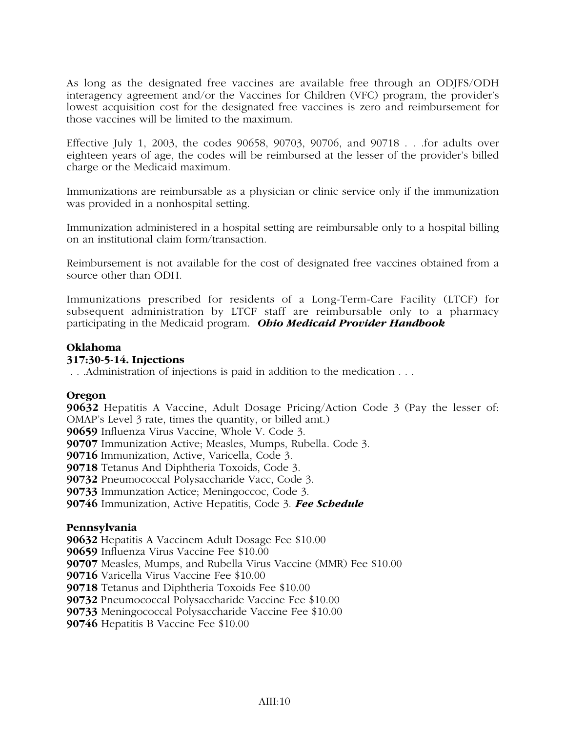As long as the designated free vaccines are available free through an ODJFS/ODH interagency agreement and/or the Vaccines for Children (VFC) program, the provider's lowest acquisition cost for the designated free vaccines is zero and reimbursement for those vaccines will be limited to the maximum.

Effective July 1, 2003, the codes 90658, 90703, 90706, and 90718 . . .for adults over eighteen years of age, the codes will be reimbursed at the lesser of the provider's billed charge or the Medicaid maximum.

Immunizations are reimbursable as a physician or clinic service only if the immunization was provided in a nonhospital setting.

Immunization administered in a hospital setting are reimbursable only to a hospital billing on an institutional claim form/transaction.

Reimbursement is not available for the cost of designated free vaccines obtained from a source other than ODH.

Immunizations prescribed for residents of a Long-Term-Care Facility (LTCF) for subsequent administration by LTCF staff are reimbursable only to a pharmacy participating in the Medicaid program. *Ohio Medicaid Provider Handbook*

# **Oklahoma**

# **317:30-5-14. Injections**

. . .Administration of injections is paid in addition to the medication . . .

# **Oregon**

Hepatitis A Vaccine, Adult Dosage Pricing/Action Code 3 (Pay the lesser of: OMAP's Level 3 rate, times the quantity, or billed amt.) Influenza Virus Vaccine, Whole V. Code 3. Immunization Active; Measles, Mumps, Rubella. Code 3. Immunization, Active, Varicella, Code 3. Tetanus And Diphtheria Toxoids, Code 3. Pneumococcal Polysaccharide Vacc, Code 3. Immunzation Actice; Meningoccoc, Code 3. Immunization, Active Hepatitis, Code 3. *Fee Schedule*

# **Pennsylvania**

Hepatitis A Vaccinem Adult Dosage Fee \$10.00 Influenza Virus Vaccine Fee \$10.00 Measles, Mumps, and Rubella Virus Vaccine (MMR) Fee \$10.00 Varicella Virus Vaccine Fee \$10.00 Tetanus and Diphtheria Toxoids Fee \$10.00 Pneumococcal Polysaccharide Vaccine Fee \$10.00 Meningococcal Polysaccharide Vaccine Fee \$10.00 Hepatitis B Vaccine Fee \$10.00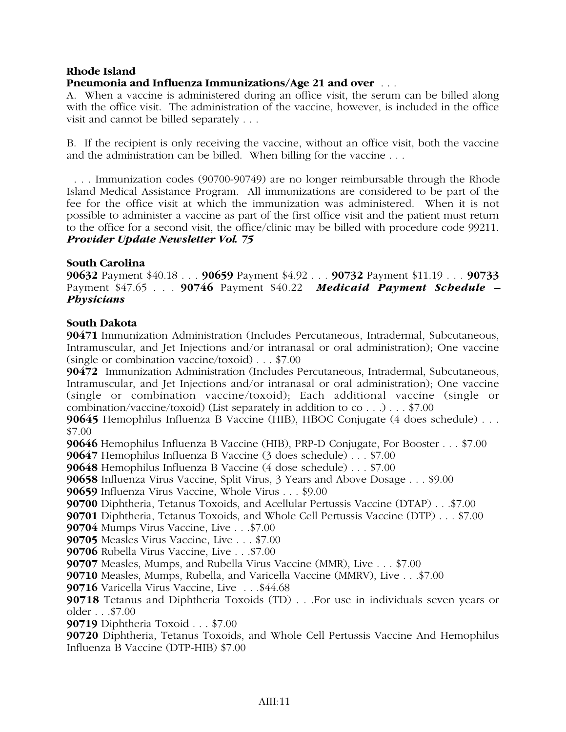# **Rhode Island**

# **Pneumonia and Influenza Immunizations/Age 21 and over** . . .

A. When a vaccine is administered during an office visit, the serum can be billed along with the office visit. The administration of the vaccine, however, is included in the office visit and cannot be billed separately . . .

B. If the recipient is only receiving the vaccine, without an office visit, both the vaccine and the administration can be billed. When billing for the vaccine . . .

 . . . Immunization codes (90700-90749) are no longer reimbursable through the Rhode Island Medical Assistance Program. All immunizations are considered to be part of the fee for the office visit at which the immunization was administered. When it is not possible to administer a vaccine as part of the first office visit and the patient must return to the office for a second visit, the office/clinic may be billed with procedure code 99211. *Provider Update Newsletter Vol. 75*

# **South Carolina**

**90632** Payment \$40.18 . . . **90659** Payment \$4.92 . . . **90732** Payment \$11.19 . . . **90733** Payment \$47.65 . . . **90746** Payment \$40.22 *Medicaid Payment Schedule – Physicians*

# **South Dakota**

**90471** Immunization Administration (Includes Percutaneous, Intradermal, Subcutaneous, Intramuscular, and Jet Injections and/or intranasal or oral administration); One vaccine (single or combination vaccine/toxoid) . . . \$7.00

**90472** Immunization Administration (Includes Percutaneous, Intradermal, Subcutaneous, Intramuscular, and Jet Injections and/or intranasal or oral administration); One vaccine (single or combination vaccine/toxoid); Each additional vaccine (single or combination/vaccine/toxoid) (List separately in addition to co . . .) . . . \$7.00

**90645** Hemophilus Influenza B Vaccine (HIB), HBOC Conjugate (4 does schedule) . . . \$7.00

**90646** Hemophilus Influenza B Vaccine (HIB), PRP-D Conjugate, For Booster . . . \$7.00

**90647** Hemophilus Influenza B Vaccine (3 does schedule) . . . \$7.00

**90648** Hemophilus Influenza B Vaccine (4 dose schedule) . . . \$7.00

**90658** Influenza Virus Vaccine, Split Virus, 3 Years and Above Dosage . . . \$9.00

**90659** Influenza Virus Vaccine, Whole Virus . . . \$9.00

**90700** Diphtheria, Tetanus Toxoids, and Acellular Pertussis Vaccine (DTAP) . . .\$7.00

**90701** Diphtheria, Tetanus Toxoids, and Whole Cell Pertussis Vaccine (DTP) . . . \$7.00

**90704** Mumps Virus Vaccine, Live . . .\$7.00

**90705** Measles Virus Vaccine, Live . . . \$7.00

**90706** Rubella Virus Vaccine, Live . . .\$7.00

**90707** Measles, Mumps, and Rubella Virus Vaccine (MMR), Live . . . \$7.00

**90710** Measles, Mumps, Rubella, and Varicella Vaccine (MMRV), Live . . .\$7.00

**90716** Varicella Virus Vaccine, Live . . .\$44.68

**90718** Tetanus and Diphtheria Toxoids (TD) . . .For use in individuals seven years or older . . .\$7.00

**90719** Diphtheria Toxoid . . . \$7.00

**90720** Diphtheria, Tetanus Toxoids, and Whole Cell Pertussis Vaccine And Hemophilus Influenza B Vaccine (DTP-HIB) \$7.00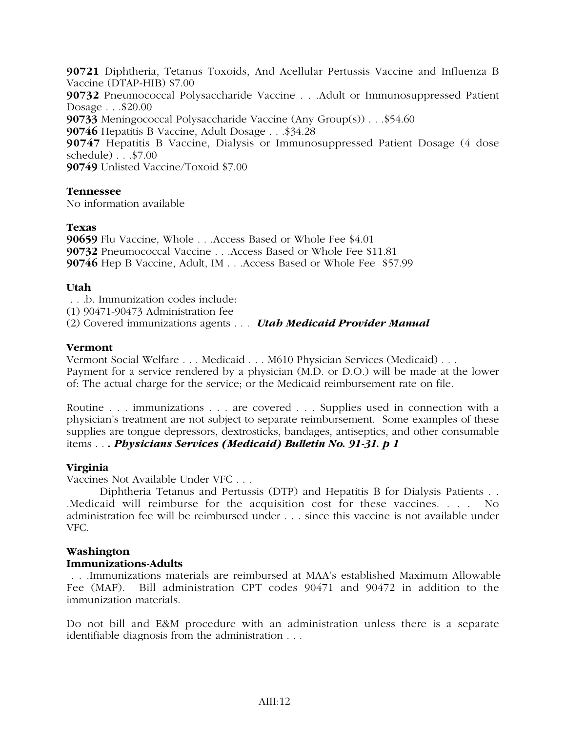Diphtheria, Tetanus Toxoids, And Acellular Pertussis Vaccine and Influenza B Vaccine (DTAP-HIB) \$7.00 Pneumococcal Polysaccharide Vaccine . . .Adult or Immunosuppressed Patient Dosage . . .\$20.00 Meningococcal Polysaccharide Vaccine (Any Group(s)) . . .\$54.60 Hepatitis B Vaccine, Adult Dosage . . .\$34.28 Hepatitis B Vaccine, Dialysis or Immunosuppressed Patient Dosage (4 dose schedule) . . .\$7.00 Unlisted Vaccine/Toxoid \$7.00

# **Tennessee**

No information available

# **Texas**

**90659** Flu Vaccine, Whole . . .Access Based or Whole Fee \$4.01 **90732** Pneumococcal Vaccine . . .Access Based or Whole Fee \$11.81 **90746** Hep B Vaccine, Adult, IM . . .Access Based or Whole Fee \$57.99

# **Utah**

. . .b. Immunization codes include:

(1) 90471-90473 Administration fee

(2) Covered immunizations agents . . . *Utah Medicaid Provider Manual*

# **Vermont**

Vermont Social Welfare . . . Medicaid . . . M610 Physician Services (Medicaid) . . . Payment for a service rendered by a physician (M.D. or D.O.) will be made at the lower of: The actual charge for the service; or the Medicaid reimbursement rate on file.

Routine . . . immunizations . . . are covered . . . Supplies used in connection with a physician's treatment are not subject to separate reimbursement. Some examples of these supplies are tongue depressors, dextrosticks, bandages, antiseptics, and other consumable items . . *. Physicians Services (Medicaid) Bulletin No. 91-31. p 1*

# **Virginia**

Vaccines Not Available Under VFC . . .

Diphtheria Tetanus and Pertussis (DTP) and Hepatitis B for Dialysis Patients . . .Medicaid will reimburse for the acquisition cost for these vaccines. . . . No administration fee will be reimbursed under . . . since this vaccine is not available under VFC.

# **Washington**

# **Immunizations-Adults**

 . . .Immunizations materials are reimbursed at MAA's established Maximum Allowable Fee (MAF). Bill administration CPT codes 90471 and 90472 in addition to the immunization materials.

Do not bill and E&M procedure with an administration unless there is a separate identifiable diagnosis from the administration . . .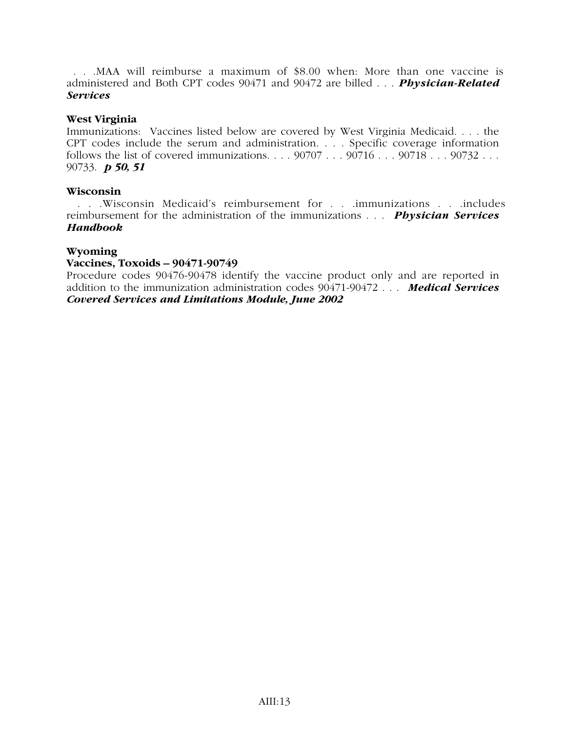. . .MAA will reimburse a maximum of \$8.00 when: More than one vaccine is administered and Both CPT codes 90471 and 90472 are billed . . . *Physician-Related Services*

# **West Virginia**

Immunizations: Vaccines listed below are covered by West Virginia Medicaid. . . . the CPT codes include the serum and administration. . . . Specific coverage information follows the list of covered immunizations.  $\ldots$  90707  $\ldots$  90716  $\ldots$  90718  $\ldots$  90732  $\ldots$ 90733. *p 50, 51*

# **Wisconsin**

 . . .Wisconsin Medicaid's reimbursement for . . .immunizations . . .includes reimbursement for the administration of the immunizations . . . *Physician Services Handbook*

# **Wyoming**

# **Vaccines, Toxoids – 90471-90749**

Procedure codes 90476-90478 identify the vaccine product only and are reported in addition to the immunization administration codes 90471-90472 . . . *Medical Services Covered Services and Limitations Module, June 2002*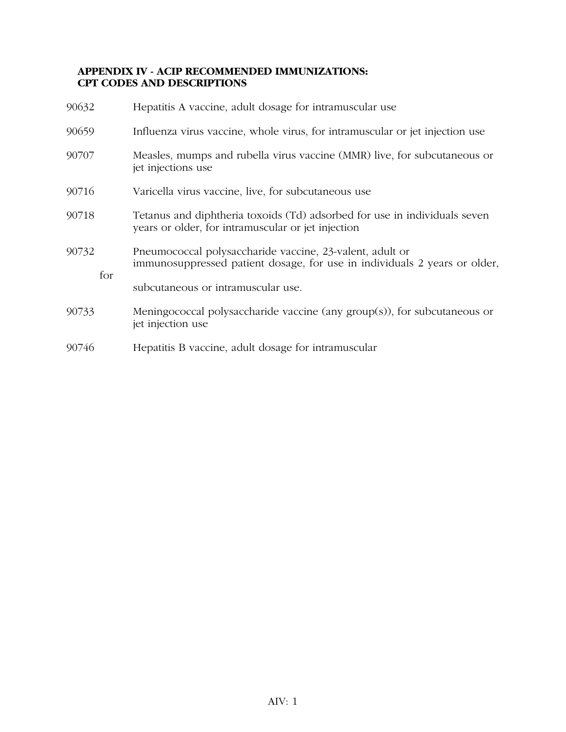# **APPENDIX IV - ACIP RECOMMENDED IMMUNIZATIONS: CPT CODES AND DESCRIPTIONS**

| 90632        | Hepatitis A vaccine, adult dosage for intramuscular use                                                                               |  |  |  |  |  |
|--------------|---------------------------------------------------------------------------------------------------------------------------------------|--|--|--|--|--|
| 90659        | Influenza virus vaccine, whole virus, for intramuscular or jet injection use                                                          |  |  |  |  |  |
| 90707        | Measles, mumps and rubella virus vaccine (MMR) live, for subcutaneous or<br>jet injections use                                        |  |  |  |  |  |
| 90716        | Varicella virus vaccine, live, for subcutaneous use                                                                                   |  |  |  |  |  |
| 90718        | Tetanus and diphtheria toxoids (Td) adsorbed for use in individuals seven<br>years or older, for intramuscular or jet injection       |  |  |  |  |  |
| 90732<br>for | Pneumococcal polysaccharide vaccine, 23-valent, adult or<br>immunosuppressed patient dosage, for use in individuals 2 years or older, |  |  |  |  |  |
|              | subcutaneous or intramuscular use.                                                                                                    |  |  |  |  |  |
| 90733        | Meningococcal polysaccharide vaccine (any $group(s)$ ), for subcutaneous or<br>jet injection use                                      |  |  |  |  |  |
| 90746        | Hepatitis B vaccine, adult dosage for intramuscular                                                                                   |  |  |  |  |  |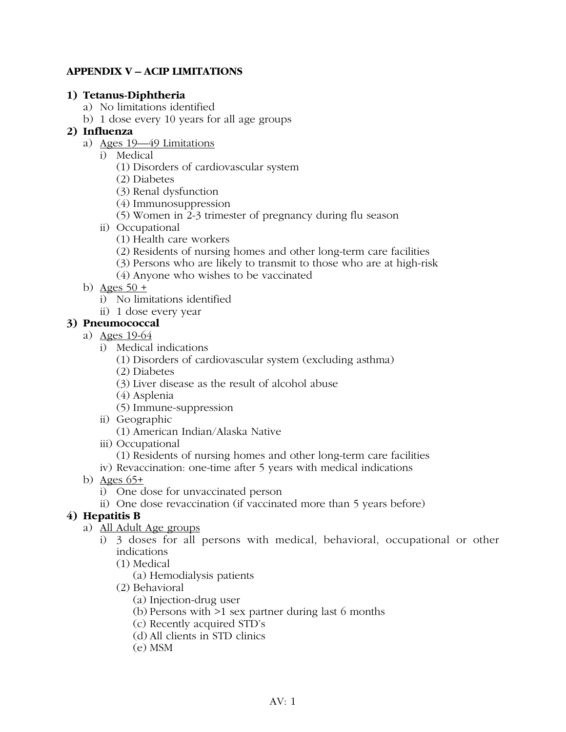# **APPENDIX V – ACIP LIMITATIONS**

# **1) Tetanus-Diphtheria**

- a) No limitations identified
- b) 1 dose every 10 years for all age groups

# **2) Influenza**

- a) Ages 19—49 Limitations
	- i) Medical
		- (1) Disorders of cardiovascular system
		- (2) Diabetes
		- (3) Renal dysfunction
		- (4) Immunosuppression
		- (5) Women in 2-3 trimester of pregnancy during flu season
	- ii) Occupational
		- (1) Health care workers
		- (2) Residents of nursing homes and other long-term care facilities
		- (3) Persons who are likely to transmit to those who are at high-risk
		- (4) Anyone who wishes to be vaccinated
- b) Ages  $50 +$ 
	- i) No limitations identified
	- ii) 1 dose every year

# **3) Pneumococcal**

- a) Ages 19-64
	- i) Medical indications
		- (1) Disorders of cardiovascular system (excluding asthma)
		- (2) Diabetes
		- (3) Liver disease as the result of alcohol abuse
		- (4) Asplenia
		- (5) Immune-suppression
	- ii) Geographic
		- (1) American Indian/Alaska Native
	- iii) Occupational
	- (1) Residents of nursing homes and other long-term care facilities
	- iv) Revaccination: one-time after 5 years with medical indications
- b) Ages 65+
	- i) One dose for unvaccinated person
	- ii) One dose revaccination (if vaccinated more than 5 years before)

# **4) Hepatitis B**

- a) All Adult Age groups
	- i) 3 doses for all persons with medical, behavioral, occupational or other indications
		- (1) Medical
			- (a) Hemodialysis patients
		- (2) Behavioral
			- (a) Injection-drug user
			- (b) Persons with >1 sex partner during last 6 months
			- (c) Recently acquired STD's
			- (d) All clients in STD clinics
			- (e) MSM